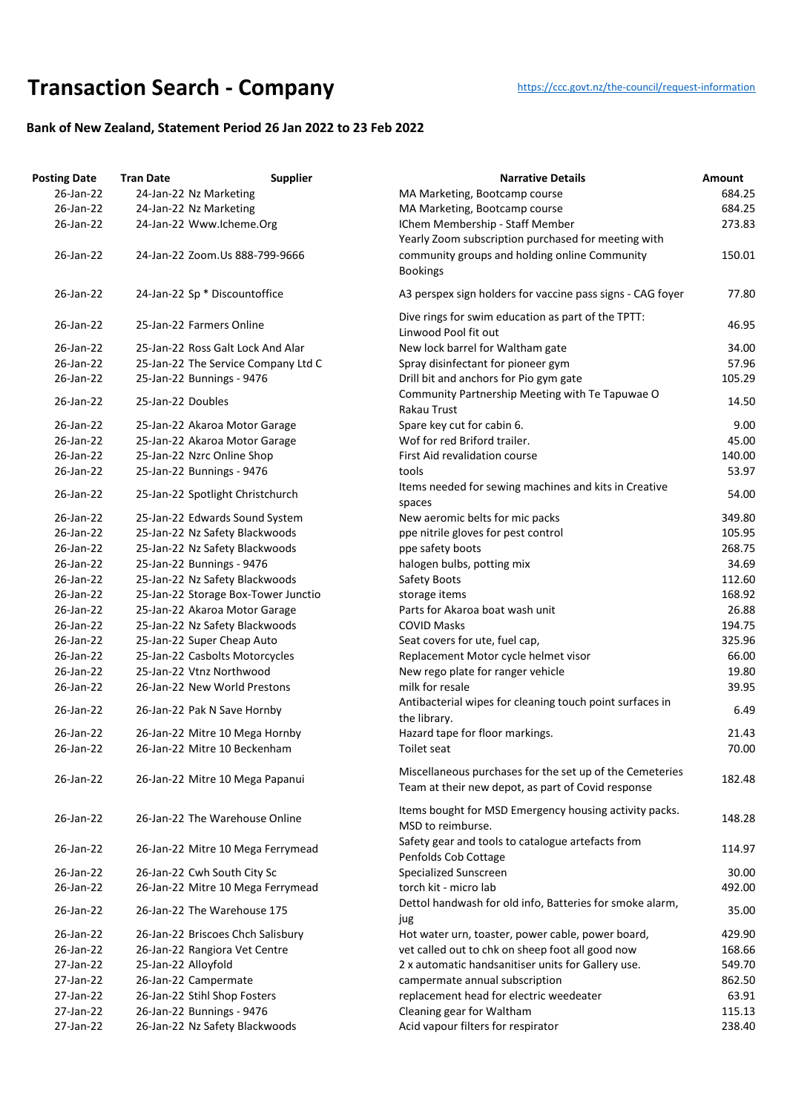## **Transaction Searc[h](https://ccc.govt.nz/the-council/request-information) - Company** https://ccc.govt.nz/the-council/request-information

## **Bank of New Zealand, Statement Period 26 Jan 2022 to 23 Feb 2022**

| <b>Posting Date</b> | <b>Tran Date</b>                    | <b>Supplier</b> | <b>Narrative Details</b>                                                    | Amount |
|---------------------|-------------------------------------|-----------------|-----------------------------------------------------------------------------|--------|
| 26-Jan-22           | 24-Jan-22 Nz Marketing              |                 | MA Marketing, Bootcamp course                                               | 684.25 |
| 26-Jan-22           | 24-Jan-22 Nz Marketing              |                 | MA Marketing, Bootcamp course                                               | 684.25 |
| 26-Jan-22           | 24-Jan-22 Www.Icheme.Org            |                 | IChem Membership - Staff Member                                             | 273.83 |
|                     |                                     |                 | Yearly Zoom subscription purchased for meeting with                         |        |
| 26-Jan-22           | 24-Jan-22 Zoom.Us 888-799-9666      |                 | community groups and holding online Community                               | 150.01 |
|                     |                                     |                 | <b>Bookings</b>                                                             |        |
| 26-Jan-22           | 24-Jan-22 Sp * Discountoffice       |                 | A3 perspex sign holders for vaccine pass signs - CAG foyer                  | 77.80  |
| 26-Jan-22           | 25-Jan-22 Farmers Online            |                 | Dive rings for swim education as part of the TPTT:<br>Linwood Pool fit out  | 46.95  |
| 26-Jan-22           | 25-Jan-22 Ross Galt Lock And Alar   |                 | New lock barrel for Waltham gate                                            | 34.00  |
| 26-Jan-22           | 25-Jan-22 The Service Company Ltd C |                 | Spray disinfectant for pioneer gym                                          | 57.96  |
| 26-Jan-22           | 25-Jan-22 Bunnings - 9476           |                 | Drill bit and anchors for Pio gym gate                                      | 105.29 |
|                     |                                     |                 | Community Partnership Meeting with Te Tapuwae O                             |        |
| 26-Jan-22           | 25-Jan-22 Doubles                   |                 | Rakau Trust                                                                 | 14.50  |
| 26-Jan-22           | 25-Jan-22 Akaroa Motor Garage       |                 | Spare key cut for cabin 6.                                                  | 9.00   |
| 26-Jan-22           | 25-Jan-22 Akaroa Motor Garage       |                 | Wof for red Briford trailer.                                                | 45.00  |
| 26-Jan-22           | 25-Jan-22 Nzrc Online Shop          |                 | First Aid revalidation course                                               | 140.00 |
| 26-Jan-22           | 25-Jan-22 Bunnings - 9476           |                 | tools                                                                       | 53.97  |
|                     |                                     |                 | Items needed for sewing machines and kits in Creative                       |        |
| 26-Jan-22           | 25-Jan-22 Spotlight Christchurch    |                 | spaces                                                                      | 54.00  |
| 26-Jan-22           | 25-Jan-22 Edwards Sound System      |                 | New aeromic belts for mic packs                                             | 349.80 |
| 26-Jan-22           | 25-Jan-22 Nz Safety Blackwoods      |                 | ppe nitrile gloves for pest control                                         | 105.95 |
| 26-Jan-22           | 25-Jan-22 Nz Safety Blackwoods      |                 | ppe safety boots                                                            | 268.75 |
| 26-Jan-22           | 25-Jan-22 Bunnings - 9476           |                 | halogen bulbs, potting mix                                                  | 34.69  |
| 26-Jan-22           | 25-Jan-22 Nz Safety Blackwoods      |                 | Safety Boots                                                                | 112.60 |
| 26-Jan-22           | 25-Jan-22 Storage Box-Tower Junctio |                 | storage items                                                               | 168.92 |
| 26-Jan-22           | 25-Jan-22 Akaroa Motor Garage       |                 | Parts for Akaroa boat wash unit                                             | 26.88  |
| 26-Jan-22           | 25-Jan-22 Nz Safety Blackwoods      |                 | <b>COVID Masks</b>                                                          | 194.75 |
| 26-Jan-22           | 25-Jan-22 Super Cheap Auto          |                 | Seat covers for ute, fuel cap,                                              | 325.96 |
| 26-Jan-22           | 25-Jan-22 Casbolts Motorcycles      |                 | Replacement Motor cycle helmet visor                                        | 66.00  |
| 26-Jan-22           | 25-Jan-22 Vtnz Northwood            |                 | New rego plate for ranger vehicle                                           | 19.80  |
| 26-Jan-22           | 26-Jan-22 New World Prestons        |                 | milk for resale                                                             | 39.95  |
| 26-Jan-22           | 26-Jan-22 Pak N Save Hornby         |                 | Antibacterial wipes for cleaning touch point surfaces in<br>the library.    | 6.49   |
| 26-Jan-22           | 26-Jan-22 Mitre 10 Mega Hornby      |                 | Hazard tape for floor markings.                                             | 21.43  |
| 26-Jan-22           | 26-Jan-22 Mitre 10 Beckenham        |                 | Toilet seat                                                                 | 70.00  |
| 26-Jan-22           | 26-Jan-22 Mitre 10 Mega Papanui     |                 | Miscellaneous purchases for the set up of the Cemeteries                    | 182.48 |
|                     |                                     |                 | Team at their new depot, as part of Covid response                          |        |
| 26-Jan-22           | 26-Jan-22 The Warehouse Online      |                 | Items bought for MSD Emergency housing activity packs.<br>MSD to reimburse. | 148.28 |
| 26-Jan-22           | 26-Jan-22 Mitre 10 Mega Ferrymead   |                 | Safety gear and tools to catalogue artefacts from<br>Penfolds Cob Cottage   | 114.97 |
| 26-Jan-22           | 26-Jan-22 Cwh South City Sc         |                 | <b>Specialized Sunscreen</b>                                                | 30.00  |
| 26-Jan-22           | 26-Jan-22 Mitre 10 Mega Ferrymead   |                 | torch kit - micro lab                                                       | 492.00 |
| 26-Jan-22           | 26-Jan-22 The Warehouse 175         |                 | Dettol handwash for old info, Batteries for smoke alarm,<br>jug             | 35.00  |
| 26-Jan-22           | 26-Jan-22 Briscoes Chch Salisbury   |                 | Hot water urn, toaster, power cable, power board,                           | 429.90 |
| 26-Jan-22           | 26-Jan-22 Rangiora Vet Centre       |                 | vet called out to chk on sheep foot all good now                            | 168.66 |
| 27-Jan-22           | 25-Jan-22 Alloyfold                 |                 | 2 x automatic handsanitiser units for Gallery use.                          | 549.70 |
| 27-Jan-22           | 26-Jan-22 Campermate                |                 | campermate annual subscription                                              | 862.50 |
| 27-Jan-22           | 26-Jan-22 Stihl Shop Fosters        |                 | replacement head for electric weedeater                                     | 63.91  |
| 27-Jan-22           | 26-Jan-22 Bunnings - 9476           |                 | Cleaning gear for Waltham                                                   | 115.13 |
| 27-Jan-22           | 26-Jan-22 Nz Safety Blackwoods      |                 | Acid vapour filters for respirator                                          | 238.40 |
|                     |                                     |                 |                                                                             |        |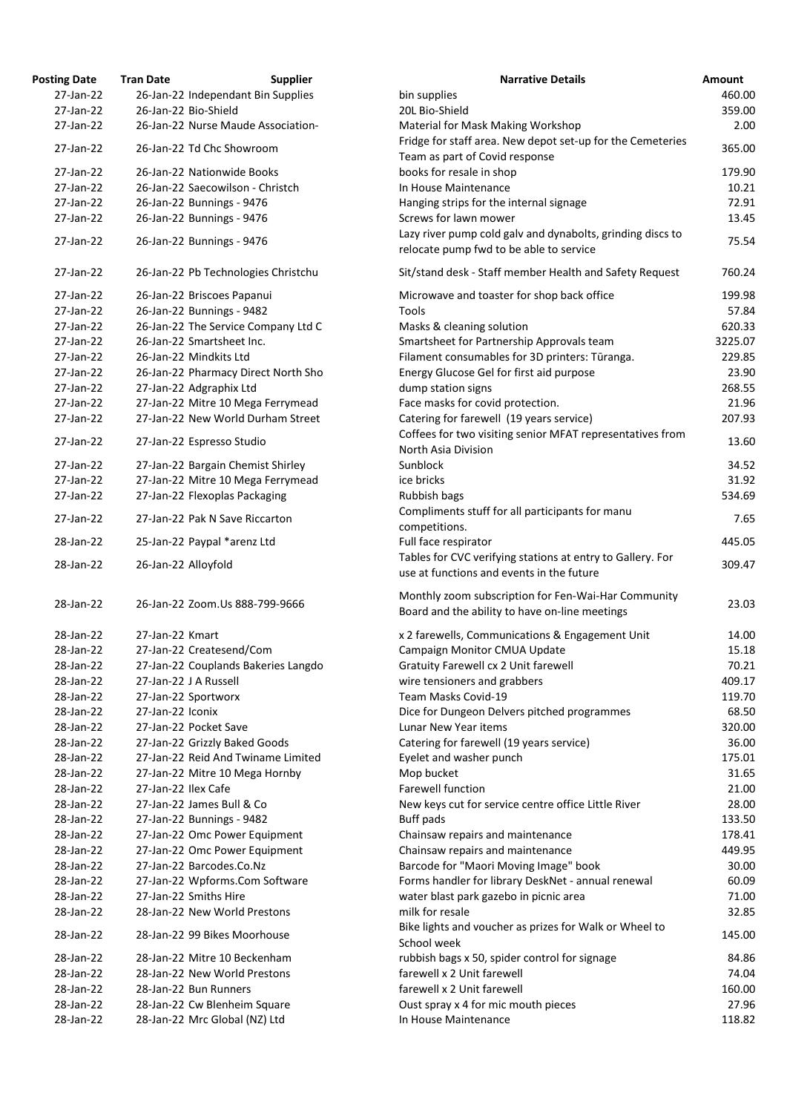| <b>Posting Date</b> | <b>Supplier</b><br><b>Tran Date</b>                          | <b>Narrative Details</b>                                                                              |
|---------------------|--------------------------------------------------------------|-------------------------------------------------------------------------------------------------------|
| 27-Jan-22           | 26-Jan-22 Independant Bin Supplies                           | bin supplies                                                                                          |
| 27-Jan-22           | 26-Jan-22 Bio-Shield                                         | 20L Bio-Shield                                                                                        |
| 27-Jan-22           | 26-Jan-22 Nurse Maude Association-                           | Material for Mask Making Workshop                                                                     |
| 27-Jan-22           | 26-Jan-22 Td Chc Showroom                                    | Fridge for staff area. New depot set-up for the Cemeteries                                            |
|                     |                                                              | Team as part of Covid response                                                                        |
| 27-Jan-22           | 26-Jan-22 Nationwide Books                                   | books for resale in shop                                                                              |
| 27-Jan-22           | 26-Jan-22 Saecowilson - Christch                             | In House Maintenance                                                                                  |
| 27-Jan-22           | 26-Jan-22 Bunnings - 9476                                    | Hanging strips for the internal signage                                                               |
| 27-Jan-22           | 26-Jan-22 Bunnings - 9476                                    | Screws for lawn mower                                                                                 |
| 27-Jan-22           | 26-Jan-22 Bunnings - 9476                                    | Lazy river pump cold galv and dynabolts, grinding discs to<br>relocate pump fwd to be able to service |
| 27-Jan-22           | 26-Jan-22 Pb Technologies Christchu                          | Sit/stand desk - Staff member Health and Safety Request                                               |
| 27-Jan-22           | 26-Jan-22 Briscoes Papanui                                   | Microwave and toaster for shop back office                                                            |
| 27-Jan-22           | 26-Jan-22 Bunnings - 9482                                    | Tools                                                                                                 |
| 27-Jan-22           | 26-Jan-22 The Service Company Ltd C                          | Masks & cleaning solution                                                                             |
| 27-Jan-22           | 26-Jan-22 Smartsheet Inc.                                    | Smartsheet for Partnership Approvals team                                                             |
| 27-Jan-22           | 26-Jan-22 Mindkits Ltd                                       | Filament consumables for 3D printers: Tūranga.                                                        |
| 27-Jan-22           | 26-Jan-22 Pharmacy Direct North Sho                          | Energy Glucose Gel for first aid purpose                                                              |
| 27-Jan-22           | 27-Jan-22 Adgraphix Ltd                                      | dump station signs                                                                                    |
| 27-Jan-22           | 27-Jan-22 Mitre 10 Mega Ferrymead                            | Face masks for covid protection.                                                                      |
| 27-Jan-22           | 27-Jan-22 New World Durham Street                            | Catering for farewell (19 years service)                                                              |
|                     |                                                              | Coffees for two visiting senior MFAT representatives from                                             |
| 27-Jan-22           | 27-Jan-22 Espresso Studio                                    | North Asia Division                                                                                   |
| 27-Jan-22           | 27-Jan-22 Bargain Chemist Shirley                            | Sunblock                                                                                              |
| 27-Jan-22           | 27-Jan-22 Mitre 10 Mega Ferrymead                            | ice bricks                                                                                            |
| 27-Jan-22           | 27-Jan-22 Flexoplas Packaging                                | Rubbish bags                                                                                          |
| 27-Jan-22           | 27-Jan-22 Pak N Save Riccarton                               | Compliments stuff for all participants for manu<br>competitions.                                      |
| 28-Jan-22           | 25-Jan-22 Paypal *arenz Ltd                                  | Full face respirator                                                                                  |
|                     |                                                              | Tables for CVC verifying stations at entry to Gallery. For                                            |
| 28-Jan-22           | 26-Jan-22 Alloyfold                                          | use at functions and events in the future                                                             |
| 28-Jan-22           | 26-Jan-22 Zoom.Us 888-799-9666                               | Monthly zoom subscription for Fen-Wai-Har Community<br>Board and the ability to have on-line meetings |
| 28-Jan-22           | 27-Jan-22 Kmart                                              | x 2 farewells, Communications & Engagement Unit                                                       |
| 28-Jan-22           | 27-Jan-22 Createsend/Com                                     | Campaign Monitor CMUA Update                                                                          |
| 28-Jan-22           | 27-Jan-22 Couplands Bakeries Langdo                          | Gratuity Farewell cx 2 Unit farewell                                                                  |
| 28-Jan-22           | 27-Jan-22 J A Russell                                        | wire tensioners and grabbers                                                                          |
| 28-Jan-22           | 27-Jan-22 Sportworx                                          | <b>Team Masks Covid-19</b>                                                                            |
| 28-Jan-22           | 27-Jan-22 Iconix                                             | Dice for Dungeon Delvers pitched programmes                                                           |
| 28-Jan-22           | 27-Jan-22 Pocket Save                                        | Lunar New Year items                                                                                  |
| 28-Jan-22           | 27-Jan-22 Grizzly Baked Goods                                | Catering for farewell (19 years service)                                                              |
| 28-Jan-22           | 27-Jan-22 Reid And Twiname Limited                           | Eyelet and washer punch                                                                               |
| 28-Jan-22           | 27-Jan-22 Mitre 10 Mega Hornby                               | Mop bucket                                                                                            |
| 28-Jan-22           | 27-Jan-22 Ilex Cafe                                          | Farewell function                                                                                     |
| 28-Jan-22           | 27-Jan-22 James Bull & Co                                    | New keys cut for service centre office Little River                                                   |
| 28-Jan-22           | 27-Jan-22 Bunnings - 9482                                    | Buff pads                                                                                             |
| 28-Jan-22           | 27-Jan-22 Omc Power Equipment                                | Chainsaw repairs and maintenance                                                                      |
| 28-Jan-22           | 27-Jan-22 Omc Power Equipment                                | Chainsaw repairs and maintenance                                                                      |
| 28-Jan-22           | 27-Jan-22 Barcodes.Co.Nz                                     | Barcode for "Maori Moving Image" book                                                                 |
| 28-Jan-22           | 27-Jan-22 Wpforms.Com Software                               | Forms handler for library DeskNet - annual renewal                                                    |
| 28-Jan-22           | 27-Jan-22 Smiths Hire                                        | water blast park gazebo in picnic area                                                                |
| 28-Jan-22           | 28-Jan-22 New World Prestons                                 | milk for resale                                                                                       |
| 28-Jan-22           | 28-Jan-22 99 Bikes Moorhouse                                 | Bike lights and voucher as prizes for Walk or Wheel to<br>School week                                 |
| 28-Jan-22           |                                                              |                                                                                                       |
| 28-Jan-22           | 28-Jan-22 Mitre 10 Beckenham<br>28-Jan-22 New World Prestons | rubbish bags x 50, spider control for signage<br>farewell x 2 Unit farewell                           |
| 28-Jan-22           | 28-Jan-22 Bun Runners                                        | farewell x 2 Unit farewell                                                                            |
| 28-Jan-22           | 28-Jan-22 Cw Blenheim Square                                 | Oust spray x 4 for mic mouth pieces                                                                   |
| 28-Jan-22           | 28-Jan-22 Mrc Global (NZ) Ltd                                | In House Maintenance                                                                                  |
|                     |                                                              |                                                                                                       |

| ing Date  | Tran Date           | <b>Supplier</b>                     | <b>Narrative Details</b>                                                                              | Amount  |
|-----------|---------------------|-------------------------------------|-------------------------------------------------------------------------------------------------------|---------|
| 27-Jan-22 |                     | 26-Jan-22 Independant Bin Supplies  | bin supplies                                                                                          | 460.00  |
| 27-Jan-22 |                     | 26-Jan-22 Bio-Shield                | 20L Bio-Shield                                                                                        | 359.00  |
| 27-Jan-22 |                     | 26-Jan-22 Nurse Maude Association-  | Material for Mask Making Workshop                                                                     | 2.00    |
| 27-Jan-22 |                     | 26-Jan-22 Td Chc Showroom           | Fridge for staff area. New depot set-up for the Cemeteries<br>Team as part of Covid response          | 365.00  |
| 27-Jan-22 |                     | 26-Jan-22 Nationwide Books          | books for resale in shop                                                                              | 179.90  |
| 27-Jan-22 |                     | 26-Jan-22 Saecowilson - Christch    | In House Maintenance                                                                                  | 10.21   |
| 27-Jan-22 |                     | 26-Jan-22 Bunnings - 9476           | Hanging strips for the internal signage                                                               | 72.91   |
| 27-Jan-22 |                     | 26-Jan-22 Bunnings - 9476           | Screws for lawn mower                                                                                 | 13.45   |
| 27-Jan-22 |                     | 26-Jan-22 Bunnings - 9476           | Lazy river pump cold galv and dynabolts, grinding discs to<br>relocate pump fwd to be able to service | 75.54   |
| 27-Jan-22 |                     | 26-Jan-22 Pb Technologies Christchu | Sit/stand desk - Staff member Health and Safety Request                                               | 760.24  |
| 27-Jan-22 |                     | 26-Jan-22 Briscoes Papanui          | Microwave and toaster for shop back office                                                            | 199.98  |
| 27-Jan-22 |                     | 26-Jan-22 Bunnings - 9482           | Tools                                                                                                 | 57.84   |
| 27-Jan-22 |                     | 26-Jan-22 The Service Company Ltd C | Masks & cleaning solution                                                                             | 620.33  |
| 27-Jan-22 |                     | 26-Jan-22 Smartsheet Inc.           | Smartsheet for Partnership Approvals team                                                             | 3225.07 |
| 27-Jan-22 |                     | 26-Jan-22 Mindkits Ltd              | Filament consumables for 3D printers: Tūranga.                                                        | 229.85  |
| 27-Jan-22 |                     | 26-Jan-22 Pharmacy Direct North Sho | Energy Glucose Gel for first aid purpose                                                              | 23.90   |
| 27-Jan-22 |                     | 27-Jan-22 Adgraphix Ltd             | dump station signs                                                                                    | 268.55  |
| 27-Jan-22 |                     | 27-Jan-22 Mitre 10 Mega Ferrymead   | Face masks for covid protection.                                                                      | 21.96   |
| 27-Jan-22 |                     | 27-Jan-22 New World Durham Street   | Catering for farewell (19 years service)                                                              | 207.93  |
| 27-Jan-22 |                     | 27-Jan-22 Espresso Studio           | Coffees for two visiting senior MFAT representatives from                                             | 13.60   |
|           |                     |                                     | North Asia Division                                                                                   |         |
| 27-Jan-22 |                     | 27-Jan-22 Bargain Chemist Shirley   | Sunblock                                                                                              | 34.52   |
| 27-Jan-22 |                     | 27-Jan-22 Mitre 10 Mega Ferrymead   | ice bricks                                                                                            | 31.92   |
| 27-Jan-22 |                     | 27-Jan-22 Flexoplas Packaging       | Rubbish bags                                                                                          | 534.69  |
| 27-Jan-22 |                     | 27-Jan-22 Pak N Save Riccarton      | Compliments stuff for all participants for manu<br>competitions.                                      | 7.65    |
| 28-Jan-22 |                     | 25-Jan-22 Paypal *arenz Ltd         | Full face respirator                                                                                  | 445.05  |
|           |                     |                                     | Tables for CVC verifying stations at entry to Gallery. For                                            |         |
| 28-Jan-22 | 26-Jan-22 Alloyfold |                                     | use at functions and events in the future                                                             | 309.47  |
| 28-Jan-22 |                     | 26-Jan-22 Zoom.Us 888-799-9666      | Monthly zoom subscription for Fen-Wai-Har Community<br>Board and the ability to have on-line meetings | 23.03   |
| 28-Jan-22 | 27-Jan-22 Kmart     |                                     | x 2 farewells, Communications & Engagement Unit                                                       | 14.00   |
| 28-Jan-22 |                     | 27-Jan-22 Createsend/Com            | Campaign Monitor CMUA Update                                                                          | 15.18   |
| 28-Jan-22 |                     | 27-Jan-22 Couplands Bakeries Langdo | Gratuity Farewell cx 2 Unit farewell                                                                  | 70.21   |
| 28-Jan-22 |                     | 27-Jan-22 J A Russell               | wire tensioners and grabbers                                                                          | 409.17  |
| 28-Jan-22 |                     | 27-Jan-22 Sportworx                 | Team Masks Covid-19                                                                                   | 119.70  |
| 28-Jan-22 | 27-Jan-22 Iconix    |                                     | Dice for Dungeon Delvers pitched programmes                                                           | 68.50   |
|           |                     | 27-Jan-22 Pocket Save               | Lunar New Year items                                                                                  | 320.00  |
| 28-Jan-22 |                     |                                     |                                                                                                       |         |
| 28-Jan-22 |                     | 27-Jan-22 Grizzly Baked Goods       | Catering for farewell (19 years service)                                                              | 36.00   |
| 28-Jan-22 |                     | 27-Jan-22 Reid And Twiname Limited  | Eyelet and washer punch                                                                               | 175.01  |
| 28-Jan-22 |                     | 27-Jan-22 Mitre 10 Mega Hornby      | Mop bucket                                                                                            | 31.65   |
| 28-Jan-22 | 27-Jan-22 Ilex Cafe |                                     | Farewell function                                                                                     | 21.00   |
| 28-Jan-22 |                     | 27-Jan-22 James Bull & Co           | New keys cut for service centre office Little River                                                   | 28.00   |
| 28-Jan-22 |                     | 27-Jan-22 Bunnings - 9482           | <b>Buff pads</b>                                                                                      | 133.50  |
| 28-Jan-22 |                     | 27-Jan-22 Omc Power Equipment       | Chainsaw repairs and maintenance                                                                      | 178.41  |
| 28-Jan-22 |                     | 27-Jan-22 Omc Power Equipment       | Chainsaw repairs and maintenance                                                                      | 449.95  |
| 28-Jan-22 |                     | 27-Jan-22 Barcodes.Co.Nz            | Barcode for "Maori Moving Image" book                                                                 | 30.00   |
| 28-Jan-22 |                     | 27-Jan-22 Wpforms.Com Software      | Forms handler for library DeskNet - annual renewal                                                    | 60.09   |
| 28-Jan-22 |                     | 27-Jan-22 Smiths Hire               | water blast park gazebo in picnic area                                                                | 71.00   |
| 28-Jan-22 |                     | 28-Jan-22 New World Prestons        | milk for resale                                                                                       | 32.85   |
| 28-Jan-22 |                     | 28-Jan-22 99 Bikes Moorhouse        | Bike lights and voucher as prizes for Walk or Wheel to                                                | 145.00  |
|           |                     |                                     | School week                                                                                           |         |
| 28-Jan-22 |                     | 28-Jan-22 Mitre 10 Beckenham        | rubbish bags x 50, spider control for signage                                                         | 84.86   |
| 28-Jan-22 |                     | 28-Jan-22 New World Prestons        | farewell x 2 Unit farewell                                                                            | 74.04   |
| 28-Jan-22 |                     | 28-Jan-22 Bun Runners               | farewell x 2 Unit farewell                                                                            | 160.00  |
| 28-Jan-22 |                     | 28-Jan-22 Cw Blenheim Square        | Oust spray x 4 for mic mouth pieces                                                                   | 27.96   |
| 28-Jan-22 |                     | 28-Jan-22 Mrc Global (NZ) Ltd       | In House Maintenance                                                                                  | 118.82  |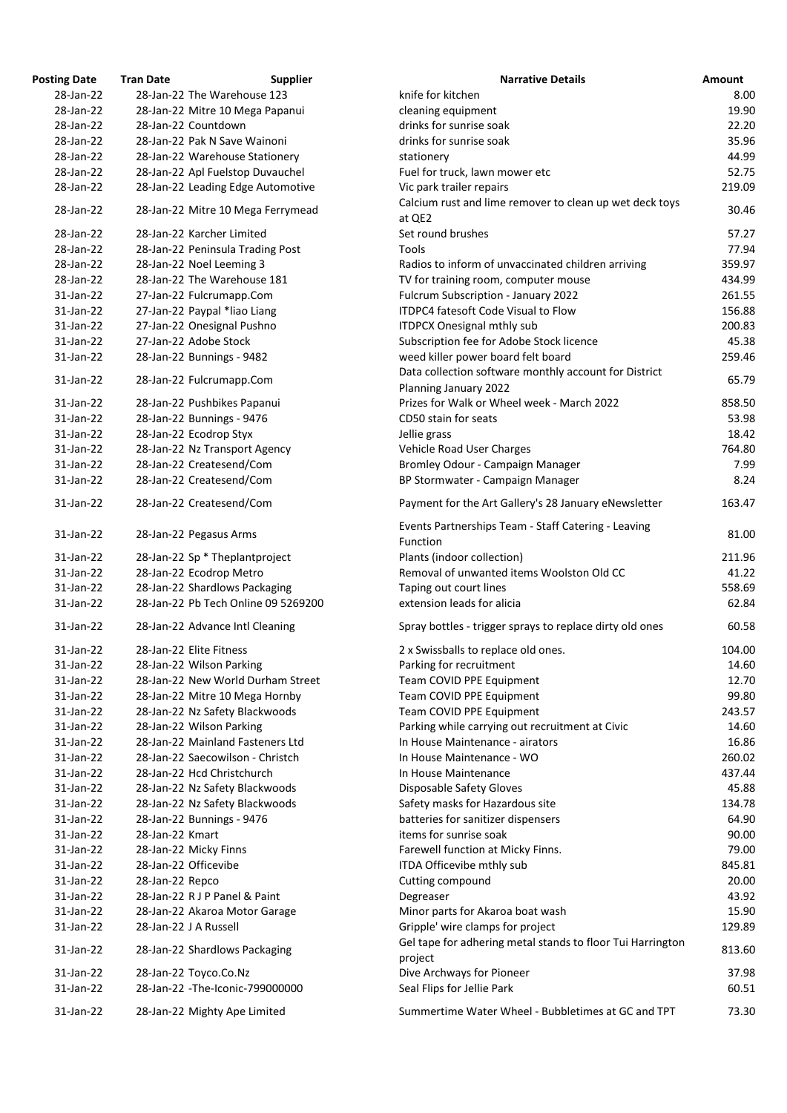| <b>Osting Date</b> | <b>Tran Date</b>      | <b>Supplier</b>                                           | <b>Narrative Details</b>                                                       |
|--------------------|-----------------------|-----------------------------------------------------------|--------------------------------------------------------------------------------|
| 28-Jan-22          |                       | 28-Jan-22 The Warehouse 123                               | knife for kitchen                                                              |
| 28-Jan-22          |                       | 28-Jan-22 Mitre 10 Mega Papanui                           | cleaning equipment                                                             |
| 28-Jan-22          |                       | 28-Jan-22 Countdown                                       | drinks for sunrise soak                                                        |
| 28-Jan-22          |                       | 28-Jan-22 Pak N Save Wainoni                              | drinks for sunrise soak                                                        |
| 28-Jan-22          |                       | 28-Jan-22 Warehouse Stationery                            | stationery                                                                     |
| 28-Jan-22          |                       | 28-Jan-22 Apl Fuelstop Duvauchel                          | Fuel for truck, lawn mower etc                                                 |
| 28-Jan-22          |                       | 28-Jan-22 Leading Edge Automotive                         | Vic park trailer repairs                                                       |
| 28-Jan-22          |                       | 28-Jan-22 Mitre 10 Mega Ferrymead                         | Calcium rust and lime remover to clean up wet deck t<br>at QE2                 |
| 28-Jan-22          |                       | 28-Jan-22 Karcher Limited                                 | Set round brushes                                                              |
| 28-Jan-22          |                       | 28-Jan-22 Peninsula Trading Post                          | Tools                                                                          |
| 28-Jan-22          |                       | 28-Jan-22 Noel Leeming 3                                  | Radios to inform of unvaccinated children arriving                             |
| 28-Jan-22          |                       | 28-Jan-22 The Warehouse 181                               | TV for training room, computer mouse                                           |
| 31-Jan-22          |                       | 27-Jan-22 Fulcrumapp.Com                                  | Fulcrum Subscription - January 2022                                            |
| 31-Jan-22          |                       | 27-Jan-22 Paypal *liao Liang                              | <b>ITDPC4 fatesoft Code Visual to Flow</b>                                     |
| 31-Jan-22          |                       | 27-Jan-22 Onesignal Pushno                                | <b>ITDPCX Onesignal mthly sub</b>                                              |
| 31-Jan-22          |                       | 27-Jan-22 Adobe Stock                                     | Subscription fee for Adobe Stock licence                                       |
| 31-Jan-22          |                       | 28-Jan-22 Bunnings - 9482                                 | weed killer power board felt board                                             |
| 31-Jan-22          |                       | 28-Jan-22 Fulcrumapp.Com                                  | Data collection software monthly account for District<br>Planning January 2022 |
| 31-Jan-22          |                       | 28-Jan-22 Pushbikes Papanui                               | Prizes for Walk or Wheel week - March 2022                                     |
| 31-Jan-22          |                       | 28-Jan-22 Bunnings - 9476                                 | CD50 stain for seats                                                           |
| 31-Jan-22          |                       | 28-Jan-22 Ecodrop Styx                                    |                                                                                |
| 31-Jan-22          |                       |                                                           | Jellie grass                                                                   |
| 31-Jan-22          |                       | 28-Jan-22 Nz Transport Agency<br>28-Jan-22 Createsend/Com | Vehicle Road User Charges                                                      |
| 31-Jan-22          |                       | 28-Jan-22 Createsend/Com                                  | Bromley Odour - Campaign Manager<br>BP Stormwater - Campaign Manager           |
| 31-Jan-22          |                       | 28-Jan-22 Createsend/Com                                  | Payment for the Art Gallery's 28 January eNewsletter                           |
|                    |                       |                                                           | Events Partnerships Team - Staff Catering - Leaving                            |
| 31-Jan-22          |                       | 28-Jan-22 Pegasus Arms                                    | Function                                                                       |
| 31-Jan-22          |                       | 28-Jan-22 Sp * Theplantproject                            | Plants (indoor collection)                                                     |
| 31-Jan-22          |                       | 28-Jan-22 Ecodrop Metro                                   | Removal of unwanted items Woolston Old CC                                      |
| 31-Jan-22          |                       | 28-Jan-22 Shardlows Packaging                             | Taping out court lines                                                         |
| 31-Jan-22          |                       | 28-Jan-22 Pb Tech Online 09 5269200                       | extension leads for alicia                                                     |
| 31-Jan-22          |                       | 28-Jan-22 Advance Intl Cleaning                           | Spray bottles - trigger sprays to replace dirty old ones                       |
| 31-Jan-22          |                       | 28-Jan-22 Elite Fitness                                   | 2 x Swissballs to replace old ones.                                            |
| 31-Jan-22          |                       | 28-Jan-22 Wilson Parking                                  | Parking for recruitment                                                        |
| 31-Jan-22          |                       | 28-Jan-22 New World Durham Street                         | Team COVID PPE Equipment                                                       |
| 31-Jan-22          |                       | 28-Jan-22 Mitre 10 Mega Hornby                            | Team COVID PPE Equipment                                                       |
| 31-Jan-22          |                       | 28-Jan-22 Nz Safety Blackwoods                            | Team COVID PPE Equipment                                                       |
| 31-Jan-22          |                       | 28-Jan-22 Wilson Parking                                  | Parking while carrying out recruitment at Civic                                |
| 31-Jan-22          |                       | 28-Jan-22 Mainland Fasteners Ltd                          | In House Maintenance - airators                                                |
| 31-Jan-22          |                       | 28-Jan-22 Saecowilson - Christch                          | In House Maintenance - WO                                                      |
| 31-Jan-22          |                       | 28-Jan-22 Hcd Christchurch                                | In House Maintenance                                                           |
| 31-Jan-22          |                       | 28-Jan-22 Nz Safety Blackwoods                            | Disposable Safety Gloves                                                       |
| 31-Jan-22          |                       | 28-Jan-22 Nz Safety Blackwoods                            | Safety masks for Hazardous site                                                |
| 31-Jan-22          |                       | 28-Jan-22 Bunnings - 9476                                 | batteries for sanitizer dispensers                                             |
| 31-Jan-22          | 28-Jan-22 Kmart       |                                                           | items for sunrise soak                                                         |
| 31-Jan-22          |                       | 28-Jan-22 Micky Finns                                     | Farewell function at Micky Finns.                                              |
| 31-Jan-22          | 28-Jan-22 Officevibe  |                                                           | ITDA Officevibe mthly sub                                                      |
| 31-Jan-22          | 28-Jan-22 Repco       |                                                           | Cutting compound                                                               |
| 31-Jan-22          |                       | 28-Jan-22 R J P Panel & Paint                             | Degreaser                                                                      |
| 31-Jan-22          |                       | 28-Jan-22 Akaroa Motor Garage                             | Minor parts for Akaroa boat wash                                               |
| 31-Jan-22          | 28-Jan-22 J A Russell |                                                           | Gripple' wire clamps for project                                               |
| 31-Jan-22          |                       | 28-Jan-22 Shardlows Packaging                             | Gel tape for adhering metal stands to floor Tui Harring<br>project             |
| 31-Jan-22          |                       | 28-Jan-22 Toyco.Co.Nz                                     | Dive Archways for Pioneer                                                      |
| 31-Jan-22          |                       | 28-Jan-22 - The-Iconic-799000000                          | Seal Flips for Jellie Park                                                     |
| 31-Jan-22          |                       | 28-Jan-22 Mighty Ape Limited                              | Summertime Water Wheel - Bubbletimes at GC and T                               |

| <b>Posting Date</b>    | <b>Tran Date</b> | <b>Supplier</b>                                      | <b>Narrative Details</b>                                                                 | <b>Amount</b>  |
|------------------------|------------------|------------------------------------------------------|------------------------------------------------------------------------------------------|----------------|
| 28-Jan-22              |                  | 28-Jan-22 The Warehouse 123                          | knife for kitchen                                                                        | 8.00           |
| 28-Jan-22              |                  | 28-Jan-22 Mitre 10 Mega Papanui                      | cleaning equipment                                                                       | 19.90          |
| 28-Jan-22              |                  | 28-Jan-22 Countdown                                  | drinks for sunrise soak                                                                  | 22.20          |
| 28-Jan-22              |                  | 28-Jan-22 Pak N Save Wainoni                         | drinks for sunrise soak                                                                  | 35.96          |
| 28-Jan-22              |                  | 28-Jan-22 Warehouse Stationery                       | stationery                                                                               | 44.99          |
| 28-Jan-22              |                  | 28-Jan-22 Apl Fuelstop Duvauchel                     | Fuel for truck, lawn mower etc                                                           | 52.75          |
| 28-Jan-22              |                  | 28-Jan-22 Leading Edge Automotive                    | Vic park trailer repairs                                                                 | 219.09         |
| 28-Jan-22              |                  | 28-Jan-22 Mitre 10 Mega Ferrymead                    | Calcium rust and lime remover to clean up wet deck toys<br>at QE2                        | 30.46          |
| 28-Jan-22              |                  | 28-Jan-22 Karcher Limited                            | Set round brushes                                                                        | 57.27          |
| 28-Jan-22              |                  | 28-Jan-22 Peninsula Trading Post                     | Tools                                                                                    | 77.94          |
| 28-Jan-22              |                  | 28-Jan-22 Noel Leeming 3                             | Radios to inform of unvaccinated children arriving                                       | 359.97         |
| 28-Jan-22              |                  | 28-Jan-22 The Warehouse 181                          | TV for training room, computer mouse                                                     | 434.99         |
| 31-Jan-22              |                  | 27-Jan-22 Fulcrumapp.Com                             | Fulcrum Subscription - January 2022                                                      | 261.55         |
| 31-Jan-22              |                  | 27-Jan-22 Paypal *liao Liang                         | ITDPC4 fatesoft Code Visual to Flow                                                      | 156.88         |
| 31-Jan-22              |                  | 27-Jan-22 Onesignal Pushno                           | <b>ITDPCX Onesignal mthly sub</b>                                                        | 200.83         |
| 31-Jan-22              |                  | 27-Jan-22 Adobe Stock                                | Subscription fee for Adobe Stock licence                                                 | 45.38          |
| 31-Jan-22              |                  | 28-Jan-22 Bunnings - 9482                            | weed killer power board felt board                                                       | 259.46         |
|                        |                  |                                                      | Data collection software monthly account for District                                    |                |
| 31-Jan-22              |                  | 28-Jan-22 Fulcrumapp.Com                             |                                                                                          | 65.79          |
|                        |                  |                                                      | Planning January 2022                                                                    |                |
| 31-Jan-22              |                  | 28-Jan-22 Pushbikes Papanui                          | Prizes for Walk or Wheel week - March 2022                                               | 858.50         |
| 31-Jan-22              |                  | 28-Jan-22 Bunnings - 9476                            | CD50 stain for seats                                                                     | 53.98          |
| 31-Jan-22              |                  | 28-Jan-22 Ecodrop Styx                               | Jellie grass                                                                             | 18.42          |
| 31-Jan-22              |                  | 28-Jan-22 Nz Transport Agency                        | Vehicle Road User Charges                                                                | 764.80         |
| 31-Jan-22              |                  | 28-Jan-22 Createsend/Com                             | Bromley Odour - Campaign Manager                                                         | 7.99           |
| 31-Jan-22<br>31-Jan-22 |                  | 28-Jan-22 Createsend/Com<br>28-Jan-22 Createsend/Com | BP Stormwater - Campaign Manager<br>Payment for the Art Gallery's 28 January eNewsletter | 8.24<br>163.47 |
|                        |                  |                                                      |                                                                                          |                |
| 31-Jan-22              |                  | 28-Jan-22 Pegasus Arms                               | Events Partnerships Team - Staff Catering - Leaving<br>Function                          | 81.00          |
| 31-Jan-22              |                  | 28-Jan-22 Sp * Theplantproject                       | Plants (indoor collection)                                                               | 211.96         |
| 31-Jan-22              |                  | 28-Jan-22 Ecodrop Metro                              | Removal of unwanted items Woolston Old CC                                                | 41.22          |
| 31-Jan-22              |                  | 28-Jan-22 Shardlows Packaging                        | Taping out court lines                                                                   | 558.69         |
| 31-Jan-22              |                  | 28-Jan-22 Pb Tech Online 09 5269200                  | extension leads for alicia                                                               | 62.84          |
| 31-Jan-22              |                  | 28-Jan-22 Advance Intl Cleaning                      | Spray bottles - trigger sprays to replace dirty old ones                                 | 60.58          |
|                        |                  |                                                      |                                                                                          |                |
| 31-Jan-22              |                  | 28-Jan-22 Elite Fitness                              | 2 x Swissballs to replace old ones.                                                      | 104.00         |
| 31-Jan-22              |                  | 28-Jan-22 Wilson Parking                             | Parking for recruitment                                                                  | 14.60          |
| 31-Jan-22              |                  | 28-Jan-22 New World Durham Street                    | Team COVID PPE Equipment                                                                 | 12.70          |
| 31-Jan-22              |                  | 28-Jan-22 Mitre 10 Mega Hornby                       | Team COVID PPE Equipment                                                                 | 99.80          |
| 31-Jan-22              |                  | 28-Jan-22 Nz Safety Blackwoods                       | Team COVID PPE Equipment                                                                 | 243.57         |
| 31-Jan-22              |                  | 28-Jan-22 Wilson Parking                             | Parking while carrying out recruitment at Civic                                          | 14.60          |
| 31-Jan-22              |                  | 28-Jan-22 Mainland Fasteners Ltd                     | In House Maintenance - airators                                                          | 16.86          |
| 31-Jan-22              |                  | 28-Jan-22 Saecowilson - Christch                     | In House Maintenance - WO                                                                | 260.02         |
| 31-Jan-22              |                  | 28-Jan-22 Hcd Christchurch                           | In House Maintenance                                                                     | 437.44         |
| 31-Jan-22              |                  | 28-Jan-22 Nz Safety Blackwoods                       | Disposable Safety Gloves                                                                 | 45.88          |
| 31-Jan-22              |                  | 28-Jan-22 Nz Safety Blackwoods                       | Safety masks for Hazardous site                                                          | 134.78         |
| 31-Jan-22              |                  | 28-Jan-22 Bunnings - 9476                            | batteries for sanitizer dispensers                                                       | 64.90          |
| 31-Jan-22              | 28-Jan-22 Kmart  |                                                      | items for sunrise soak                                                                   | 90.00          |
| 31-Jan-22              |                  | 28-Jan-22 Micky Finns                                | Farewell function at Micky Finns.                                                        | 79.00          |
| 31-Jan-22              |                  | 28-Jan-22 Officevibe                                 | ITDA Officevibe mthly sub                                                                | 845.81         |
| 31-Jan-22              | 28-Jan-22 Repco  |                                                      | Cutting compound                                                                         | 20.00          |
| 31-Jan-22              |                  | 28-Jan-22 R J P Panel & Paint                        | Degreaser                                                                                | 43.92          |
| 31-Jan-22              |                  | 28-Jan-22 Akaroa Motor Garage                        | Minor parts for Akaroa boat wash                                                         | 15.90          |
| 31-Jan-22              |                  | 28-Jan-22 J A Russell                                | Gripple' wire clamps for project                                                         | 129.89         |
| 31-Jan-22              |                  | 28-Jan-22 Shardlows Packaging                        | Gel tape for adhering metal stands to floor Tui Harrington<br>project                    | 813.60         |
| 31-Jan-22              |                  | 28-Jan-22 Toyco.Co.Nz                                | Dive Archways for Pioneer                                                                | 37.98          |
| 31-Jan-22              |                  | 28-Jan-22 - The-Iconic-799000000                     | Seal Flips for Jellie Park                                                               | 60.51          |
| 31-Jan-22              |                  | 28-Jan-22 Mighty Ape Limited                         | Summertime Water Wheel - Bubbletimes at GC and TPT                                       | 73.30          |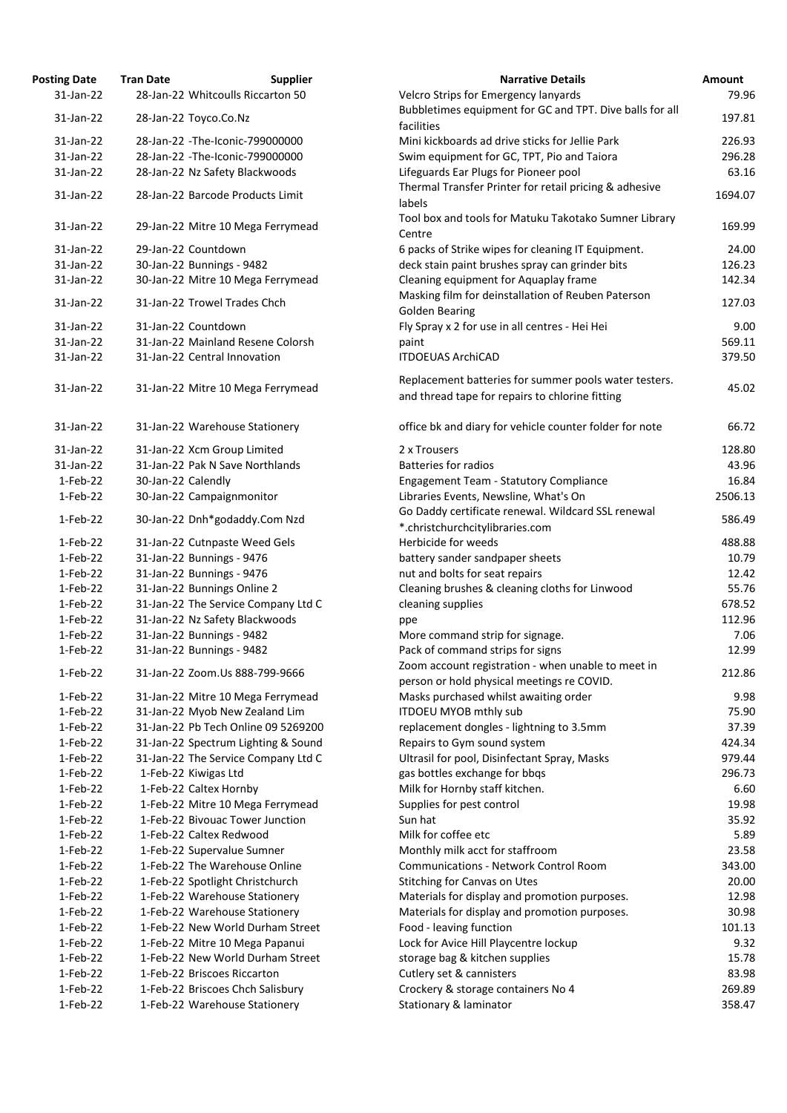| <b>osting Date</b> | <b>Tran Date</b>             | <b>Supplier</b>                     | <b>Narrative Details</b>                                 |
|--------------------|------------------------------|-------------------------------------|----------------------------------------------------------|
| 31-Jan-22          |                              | 28-Jan-22 Whitcoulls Riccarton 50   | Velcro Strips for Emergency lanyards                     |
|                    |                              |                                     | Bubbletimes equipment for GC and TPT. Dive balls for all |
| 31-Jan-22          | 28-Jan-22 Toyco.Co.Nz        |                                     | facilities                                               |
| 31-Jan-22          |                              | 28-Jan-22 - The-Iconic-799000000    | Mini kickboards ad drive sticks for Jellie Park          |
| 31-Jan-22          |                              | 28-Jan-22 - The-Iconic-799000000    | Swim equipment for GC, TPT, Pio and Taiora               |
| 31-Jan-22          |                              | 28-Jan-22 Nz Safety Blackwoods      | Lifeguards Ear Plugs for Pioneer pool                    |
|                    |                              |                                     | Thermal Transfer Printer for retail pricing & adhesive   |
| 31-Jan-22          |                              | 28-Jan-22 Barcode Products Limit    | labels                                                   |
|                    |                              |                                     | Tool box and tools for Matuku Takotako Sumner Library    |
| 31-Jan-22          |                              | 29-Jan-22 Mitre 10 Mega Ferrymead   | Centre                                                   |
| 31-Jan-22          | 29-Jan-22 Countdown          |                                     | 6 packs of Strike wipes for cleaning IT Equipment.       |
| 31-Jan-22          | 30-Jan-22 Bunnings - 9482    |                                     | deck stain paint brushes spray can grinder bits          |
| 31-Jan-22          |                              | 30-Jan-22 Mitre 10 Mega Ferrymead   | Cleaning equipment for Aquaplay frame                    |
|                    |                              |                                     |                                                          |
| 31-Jan-22          | 31-Jan-22 Trowel Trades Chch |                                     | Masking film for deinstallation of Reuben Paterson       |
|                    |                              |                                     | <b>Golden Bearing</b>                                    |
| 31-Jan-22          | 31-Jan-22 Countdown          |                                     | Fly Spray x 2 for use in all centres - Hei Hei           |
| 31-Jan-22          |                              | 31-Jan-22 Mainland Resene Colorsh   | paint                                                    |
| 31-Jan-22          | 31-Jan-22 Central Innovation |                                     | <b>ITDOEUAS ArchiCAD</b>                                 |
|                    |                              |                                     | Replacement batteries for summer pools water testers.    |
| 31-Jan-22          |                              | 31-Jan-22 Mitre 10 Mega Ferrymead   | and thread tape for repairs to chlorine fitting          |
|                    |                              |                                     |                                                          |
| 31-Jan-22          |                              | 31-Jan-22 Warehouse Stationery      | office bk and diary for vehicle counter folder for note  |
|                    |                              |                                     |                                                          |
| 31-Jan-22          | 31-Jan-22 Xcm Group Limited  |                                     | 2 x Trousers                                             |
| 31-Jan-22          |                              | 31-Jan-22 Pak N Save Northlands     | <b>Batteries for radios</b>                              |
| $1-Feb-22$         | 30-Jan-22 Calendly           |                                     | <b>Engagement Team - Statutory Compliance</b>            |
| $1-Feb-22$         | 30-Jan-22 Campaignmonitor    |                                     | Libraries Events, Newsline, What's On                    |
|                    |                              |                                     | Go Daddy certificate renewal. Wildcard SSL renewal       |
| $1-Feb-22$         |                              | 30-Jan-22 Dnh*godaddy.Com Nzd       | *.christchurchcitylibraries.com                          |
| $1-Feb-22$         |                              | 31-Jan-22 Cutnpaste Weed Gels       | Herbicide for weeds                                      |
| $1-Feb-22$         | 31-Jan-22 Bunnings - 9476    |                                     | battery sander sandpaper sheets                          |
| $1-Feb-22$         | 31-Jan-22 Bunnings - 9476    |                                     | nut and bolts for seat repairs                           |
| $1-Feb-22$         | 31-Jan-22 Bunnings Online 2  |                                     |                                                          |
|                    |                              |                                     | Cleaning brushes & cleaning cloths for Linwood           |
| $1-Feb-22$         |                              | 31-Jan-22 The Service Company Ltd C | cleaning supplies                                        |
| $1-Feb-22$         |                              | 31-Jan-22 Nz Safety Blackwoods      | ppe                                                      |
| $1-Feb-22$         | 31-Jan-22 Bunnings - 9482    |                                     | More command strip for signage.                          |
| $1-Feb-22$         | 31-Jan-22 Bunnings - 9482    |                                     | Pack of command strips for signs                         |
| $1-Feb-22$         |                              | 31-Jan-22 Zoom.Us 888-799-9666      | Zoom account registration - when unable to meet in       |
|                    |                              |                                     | person or hold physical meetings re COVID.               |
| $1-Feb-22$         |                              | 31-Jan-22 Mitre 10 Mega Ferrymead   | Masks purchased whilst awaiting order                    |
| $1-Feb-22$         |                              | 31-Jan-22 Myob New Zealand Lim      | <b>ITDOEU MYOB mthly sub</b>                             |
| $1-Feb-22$         |                              | 31-Jan-22 Pb Tech Online 09 5269200 | replacement dongles - lightning to 3.5mm                 |
| $1-Feb-22$         |                              | 31-Jan-22 Spectrum Lighting & Sound | Repairs to Gym sound system                              |
| $1-Feb-22$         |                              | 31-Jan-22 The Service Company Ltd C | Ultrasil for pool, Disinfectant Spray, Masks             |
| $1-Feb-22$         | 1-Feb-22 Kiwigas Ltd         |                                     | gas bottles exchange for bbqs                            |
| $1-Feb-22$         | 1-Feb-22 Caltex Hornby       |                                     | Milk for Hornby staff kitchen.                           |
| $1-Feb-22$         |                              | 1-Feb-22 Mitre 10 Mega Ferrymead    | Supplies for pest control                                |
| $1-Feb-22$         |                              | 1-Feb-22 Bivouac Tower Junction     | Sun hat                                                  |
| $1-Feb-22$         | 1-Feb-22 Caltex Redwood      |                                     | Milk for coffee etc                                      |
| $1-Feb-22$         |                              | 1-Feb-22 Supervalue Sumner          | Monthly milk acct for staffroom                          |
| $1-Feb-22$         |                              | 1-Feb-22 The Warehouse Online       | <b>Communications - Network Control Room</b>             |
| $1-Feb-22$         |                              |                                     |                                                          |
|                    |                              | 1-Feb-22 Spotlight Christchurch     | <b>Stitching for Canvas on Utes</b>                      |
| $1-Feb-22$         |                              | 1-Feb-22 Warehouse Stationery       | Materials for display and promotion purposes.            |
| $1-Feb-22$         |                              | 1-Feb-22 Warehouse Stationery       | Materials for display and promotion purposes.            |
| $1-Feb-22$         |                              | 1-Feb-22 New World Durham Street    | Food - leaving function                                  |
| $1-Feb-22$         |                              | 1-Feb-22 Mitre 10 Mega Papanui      | Lock for Avice Hill Playcentre lockup                    |
| $1-Feb-22$         |                              | 1-Feb-22 New World Durham Street    | storage bag & kitchen supplies                           |
| $1-Feb-22$         | 1-Feb-22 Briscoes Riccarton  |                                     | Cutlery set & cannisters                                 |
| $1-Feb-22$         |                              | 1-Feb-22 Briscoes Chch Salisbury    | Crockery & storage containers No 4                       |
| $1-Feb-22$         |                              | 1-Feb-22 Warehouse Stationery       | Stationary & laminator                                   |

| <b>Posting Date</b> | <b>Tran Date</b>   | <b>Supplier</b>                     | <b>Narrative Details</b>                                 | <b>Amount</b> |
|---------------------|--------------------|-------------------------------------|----------------------------------------------------------|---------------|
| 31-Jan-22           |                    | 28-Jan-22 Whitcoulls Riccarton 50   | Velcro Strips for Emergency lanyards                     | 79.96         |
|                     |                    |                                     | Bubbletimes equipment for GC and TPT. Dive balls for all |               |
| 31-Jan-22           |                    | 28-Jan-22 Toyco.Co.Nz               | facilities                                               | 197.81        |
| 31-Jan-22           |                    | 28-Jan-22 - The-Iconic-799000000    | Mini kickboards ad drive sticks for Jellie Park          | 226.93        |
| 31-Jan-22           |                    | 28-Jan-22 - The-Iconic-799000000    | Swim equipment for GC, TPT, Pio and Taiora               | 296.28        |
| 31-Jan-22           |                    | 28-Jan-22 Nz Safety Blackwoods      | Lifeguards Ear Plugs for Pioneer pool                    | 63.16         |
|                     |                    |                                     | Thermal Transfer Printer for retail pricing & adhesive   |               |
| 31-Jan-22           |                    | 28-Jan-22 Barcode Products Limit    | labels                                                   | 1694.07       |
|                     |                    |                                     | Tool box and tools for Matuku Takotako Sumner Library    |               |
| 31-Jan-22           |                    | 29-Jan-22 Mitre 10 Mega Ferrymead   | Centre                                                   | 169.99        |
| 31-Jan-22           |                    | 29-Jan-22 Countdown                 | 6 packs of Strike wipes for cleaning IT Equipment.       | 24.00         |
| 31-Jan-22           |                    | 30-Jan-22 Bunnings - 9482           | deck stain paint brushes spray can grinder bits          | 126.23        |
| 31-Jan-22           |                    | 30-Jan-22 Mitre 10 Mega Ferrymead   | Cleaning equipment for Aquaplay frame                    | 142.34        |
|                     |                    |                                     |                                                          |               |
| 31-Jan-22           |                    | 31-Jan-22 Trowel Trades Chch        | Masking film for deinstallation of Reuben Paterson       | 127.03        |
|                     |                    |                                     | <b>Golden Bearing</b>                                    |               |
| 31-Jan-22           |                    | 31-Jan-22 Countdown                 | Fly Spray x 2 for use in all centres - Hei Hei           | 9.00          |
| 31-Jan-22           |                    | 31-Jan-22 Mainland Resene Colorsh   | paint                                                    | 569.11        |
| 31-Jan-22           |                    | 31-Jan-22 Central Innovation        | <b>ITDOEUAS ArchiCAD</b>                                 | 379.50        |
|                     |                    |                                     | Replacement batteries for summer pools water testers.    |               |
| 31-Jan-22           |                    | 31-Jan-22 Mitre 10 Mega Ferrymead   |                                                          | 45.02         |
|                     |                    |                                     | and thread tape for repairs to chlorine fitting          |               |
|                     |                    |                                     |                                                          |               |
| 31-Jan-22           |                    | 31-Jan-22 Warehouse Stationery      | office bk and diary for vehicle counter folder for note  | 66.72         |
| 31-Jan-22           |                    | 31-Jan-22 Xcm Group Limited         | 2 x Trousers                                             | 128.80        |
| 31-Jan-22           |                    | 31-Jan-22 Pak N Save Northlands     | <b>Batteries for radios</b>                              | 43.96         |
| $1-Feb-22$          | 30-Jan-22 Calendly |                                     | <b>Engagement Team - Statutory Compliance</b>            | 16.84         |
| 1-Feb-22            |                    | 30-Jan-22 Campaignmonitor           | Libraries Events, Newsline, What's On                    | 2506.13       |
|                     |                    |                                     | Go Daddy certificate renewal. Wildcard SSL renewal       |               |
| $1-Feb-22$          |                    | 30-Jan-22 Dnh*godaddy.Com Nzd       |                                                          | 586.49        |
|                     |                    |                                     | *.christchurchcitylibraries.com                          |               |
| $1-Feb-22$          |                    | 31-Jan-22 Cutnpaste Weed Gels       | Herbicide for weeds                                      | 488.88        |
| $1-Feb-22$          |                    | 31-Jan-22 Bunnings - 9476           | battery sander sandpaper sheets                          | 10.79         |
| $1-Feb-22$          |                    | 31-Jan-22 Bunnings - 9476           | nut and bolts for seat repairs                           | 12.42         |
| $1-Feb-22$          |                    | 31-Jan-22 Bunnings Online 2         | Cleaning brushes & cleaning cloths for Linwood           | 55.76         |
| $1-Feb-22$          |                    | 31-Jan-22 The Service Company Ltd C | cleaning supplies                                        | 678.52        |
| $1-Feb-22$          |                    | 31-Jan-22 Nz Safety Blackwoods      | ppe                                                      | 112.96        |
| $1-Feb-22$          |                    | 31-Jan-22 Bunnings - 9482           | More command strip for signage.                          | 7.06          |
| $1-Feb-22$          |                    | 31-Jan-22 Bunnings - 9482           | Pack of command strips for signs                         | 12.99         |
|                     |                    |                                     | Zoom account registration - when unable to meet in       |               |
| $1-Feb-22$          |                    | 31-Jan-22 Zoom.Us 888-799-9666      | person or hold physical meetings re COVID.               | 212.86        |
| $1-Feb-22$          |                    | 31-Jan-22 Mitre 10 Mega Ferrymead   | Masks purchased whilst awaiting order                    | 9.98          |
| $1-Feb-22$          |                    | 31-Jan-22 Myob New Zealand Lim      | <b>ITDOEU MYOB mthly sub</b>                             | 75.90         |
| 1-Feb-22            |                    | 31-Jan-22 Pb Tech Online 09 5269200 | replacement dongles - lightning to 3.5mm                 | 37.39         |
| $1-Feb-22$          |                    |                                     | Repairs to Gym sound system                              | 424.34        |
|                     |                    | 31-Jan-22 Spectrum Lighting & Sound |                                                          |               |
| $1-Feb-22$          |                    | 31-Jan-22 The Service Company Ltd C | Ultrasil for pool, Disinfectant Spray, Masks             | 979.44        |
| $1-Feb-22$          |                    | 1-Feb-22 Kiwigas Ltd                | gas bottles exchange for bbqs                            | 296.73        |
| $1-Feb-22$          |                    | 1-Feb-22 Caltex Hornby              | Milk for Hornby staff kitchen.                           | 6.60          |
| $1-Feb-22$          |                    | 1-Feb-22 Mitre 10 Mega Ferrymead    | Supplies for pest control                                | 19.98         |
| $1-Feb-22$          |                    | 1-Feb-22 Bivouac Tower Junction     | Sun hat                                                  | 35.92         |
| $1-Feb-22$          |                    | 1-Feb-22 Caltex Redwood             | Milk for coffee etc                                      | 5.89          |
| $1-Feb-22$          |                    | 1-Feb-22 Supervalue Sumner          | Monthly milk acct for staffroom                          | 23.58         |
| $1-Feb-22$          |                    | 1-Feb-22 The Warehouse Online       | <b>Communications - Network Control Room</b>             | 343.00        |
| $1-Feb-22$          |                    | 1-Feb-22 Spotlight Christchurch     | <b>Stitching for Canvas on Utes</b>                      | 20.00         |
| $1-Feb-22$          |                    | 1-Feb-22 Warehouse Stationery       | Materials for display and promotion purposes.            | 12.98         |
| $1-Feb-22$          |                    | 1-Feb-22 Warehouse Stationery       | Materials for display and promotion purposes.            | 30.98         |
| $1-Feb-22$          |                    | 1-Feb-22 New World Durham Street    | Food - leaving function                                  | 101.13        |
| $1-Feb-22$          |                    | 1-Feb-22 Mitre 10 Mega Papanui      | Lock for Avice Hill Playcentre lockup                    | 9.32          |
| $1-Feb-22$          |                    | 1-Feb-22 New World Durham Street    |                                                          | 15.78         |
|                     |                    |                                     | storage bag & kitchen supplies                           |               |
| $1-Feb-22$          |                    | 1-Feb-22 Briscoes Riccarton         | Cutlery set & cannisters                                 | 83.98         |
| $1-Feb-22$          |                    | 1-Feb-22 Briscoes Chch Salisbury    | Crockery & storage containers No 4                       | 269.89        |
| $1-Feb-22$          |                    | 1-Feb-22 Warehouse Stationery       | Stationary & laminator                                   | 358.47        |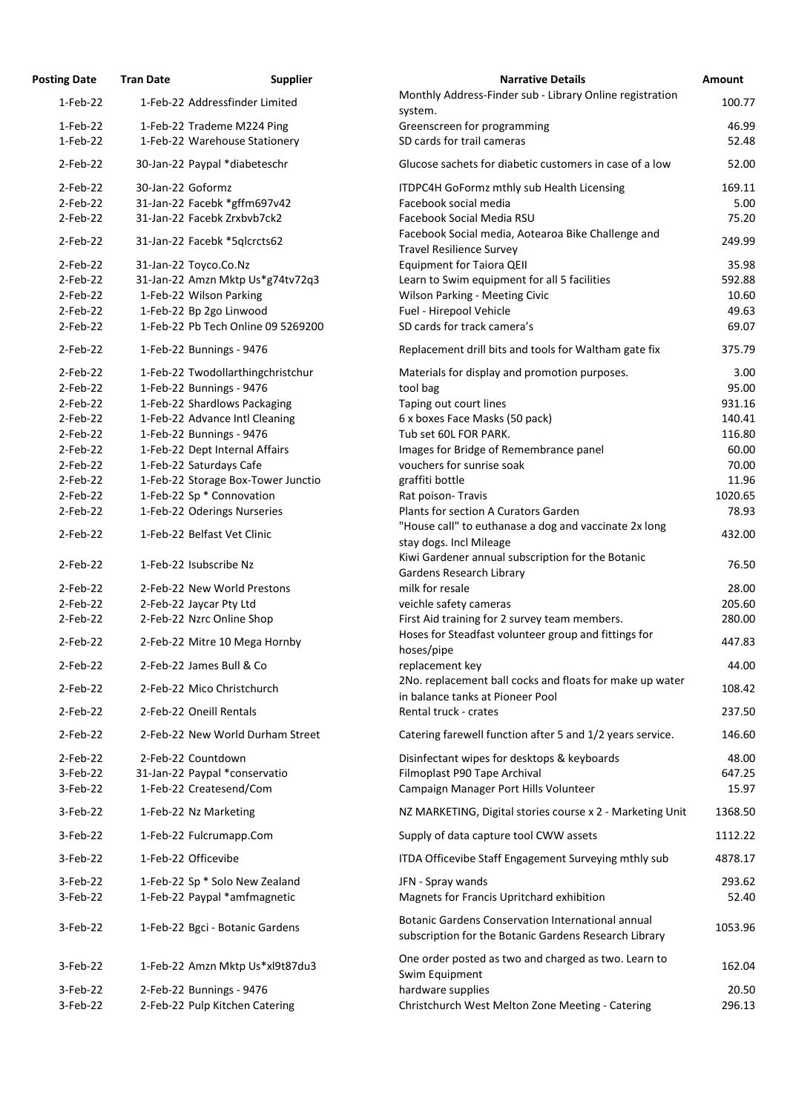| <b>Osting Date</b>       | <b>Tran Date</b>                                            | <b>Supplier</b>                    | <b>Narrative Details</b>                                                                                          |
|--------------------------|-------------------------------------------------------------|------------------------------------|-------------------------------------------------------------------------------------------------------------------|
| $1-Feb-22$               | 1-Feb-22 Addressfinder Limited                              |                                    | Monthly Address-Finder sub - Library Online registration                                                          |
|                          |                                                             |                                    | system.                                                                                                           |
| $1-Feb-22$<br>$1-Feb-22$ | 1-Feb-22 Trademe M224 Ping<br>1-Feb-22 Warehouse Stationery |                                    | Greenscreen for programming<br>SD cards for trail cameras                                                         |
| $2$ -Feb-22              | 30-Jan-22 Paypal *diabeteschr                               |                                    | Glucose sachets for diabetic customers in case of a low                                                           |
| $2$ -Feb-22              | 30-Jan-22 Goformz                                           |                                    | ITDPC4H GoFormz mthly sub Health Licensing                                                                        |
| $2$ -Feb-22              | 31-Jan-22 Facebk *gffm697v42                                |                                    | Facebook social media                                                                                             |
| $2$ -Feb-22              | 31-Jan-22 Facebk Zrxbvb7ck2                                 |                                    | Facebook Social Media RSU                                                                                         |
| $2$ -Feb-22              | 31-Jan-22 Facebk *5qlcrcts62                                |                                    | Facebook Social media, Aotearoa Bike Challenge and<br><b>Travel Resilience Survey</b>                             |
| $2$ -Feb-22              | 31-Jan-22 Toyco.Co.Nz                                       |                                    | <b>Equipment for Taiora QEII</b>                                                                                  |
| $2$ -Feb-22              | 31-Jan-22 Amzn Mktp Us*g74tv72q3                            |                                    | Learn to Swim equipment for all 5 facilities                                                                      |
| $2$ -Feb-22              | 1-Feb-22 Wilson Parking                                     |                                    | <b>Wilson Parking - Meeting Civic</b>                                                                             |
| $2$ -Feb-22              | 1-Feb-22 Bp 2go Linwood                                     |                                    | Fuel - Hirepool Vehicle                                                                                           |
| $2$ -Feb-22              |                                                             | 1-Feb-22 Pb Tech Online 09 5269200 | SD cards for track camera's                                                                                       |
| $2$ -Feb-22              | 1-Feb-22 Bunnings - 9476                                    |                                    | Replacement drill bits and tools for Waltham gate fix                                                             |
| $2$ -Feb-22              | 1-Feb-22 Twodollarthingchristchur                           |                                    | Materials for display and promotion purposes.                                                                     |
| $2$ -Feb-22              | 1-Feb-22 Bunnings - 9476                                    |                                    | tool bag                                                                                                          |
| $2$ -Feb-22              | 1-Feb-22 Shardlows Packaging                                |                                    | Taping out court lines                                                                                            |
| $2$ -Feb-22              | 1-Feb-22 Advance Intl Cleaning                              |                                    | 6 x boxes Face Masks (50 pack)                                                                                    |
| $2$ -Feb-22              | 1-Feb-22 Bunnings - 9476                                    |                                    | Tub set 60L FOR PARK.                                                                                             |
| $2$ -Feb-22              | 1-Feb-22 Dept Internal Affairs                              |                                    | Images for Bridge of Remembrance panel                                                                            |
| $2$ -Feb-22              | 1-Feb-22 Saturdays Cafe                                     |                                    | vouchers for sunrise soak                                                                                         |
| $2$ -Feb-22              | 1-Feb-22 Storage Box-Tower Junctio                          |                                    | graffiti bottle                                                                                                   |
| $2$ -Feb-22              | 1-Feb-22 Sp * Connovation                                   |                                    | Rat poison-Travis                                                                                                 |
| $2$ -Feb-22              | 1-Feb-22 Oderings Nurseries                                 |                                    | Plants for section A Curators Garden                                                                              |
| $2-Feb-22$               | 1-Feb-22 Belfast Vet Clinic                                 |                                    | "House call" to euthanase a dog and vaccinate 2x long                                                             |
|                          |                                                             |                                    | stay dogs. Incl Mileage<br>Kiwi Gardener annual subscription for the Botanic                                      |
| $2$ -Feb-22              | 1-Feb-22 Isubscribe Nz                                      |                                    | <b>Gardens Research Library</b>                                                                                   |
| $2$ -Feb-22              | 2-Feb-22 New World Prestons                                 |                                    | milk for resale                                                                                                   |
| $2$ -Feb-22              | 2-Feb-22 Jaycar Pty Ltd                                     |                                    | veichle safety cameras                                                                                            |
| $2$ -Feb-22              | 2-Feb-22 Nzrc Online Shop                                   |                                    | First Aid training for 2 survey team members.                                                                     |
| $2$ -Feb-22              | 2-Feb-22 Mitre 10 Mega Hornby                               |                                    | Hoses for Steadfast volunteer group and fittings for<br>hoses/pipe                                                |
| $2$ -Feb-22              | 2-Feb-22 James Bull & Co                                    |                                    | replacement key                                                                                                   |
| $2$ -Feb-22              | 2-Feb-22 Mico Christchurch                                  |                                    | 2No. replacement ball cocks and floats for make up water<br>in balance tanks at Pioneer Pool                      |
| $2$ -Feb-22              | 2-Feb-22 Oneill Rentals                                     |                                    | Rental truck - crates                                                                                             |
| $2$ -Feb-22              | 2-Feb-22 New World Durham Street                            |                                    | Catering farewell function after 5 and 1/2 years service.                                                         |
| $2$ -Feb-22              | 2-Feb-22 Countdown                                          |                                    | Disinfectant wipes for desktops & keyboards                                                                       |
| 3-Feb-22                 | 31-Jan-22 Paypal *conservatio                               |                                    | Filmoplast P90 Tape Archival                                                                                      |
| 3-Feb-22                 | 1-Feb-22 Createsend/Com                                     |                                    | Campaign Manager Port Hills Volunteer                                                                             |
| 3-Feb-22                 | 1-Feb-22 Nz Marketing                                       |                                    | NZ MARKETING, Digital stories course x 2 - Marketing Unit                                                         |
| 3-Feb-22                 | 1-Feb-22 Fulcrumapp.Com                                     |                                    | Supply of data capture tool CWW assets                                                                            |
| 3-Feb-22                 | 1-Feb-22 Officevibe                                         |                                    | ITDA Officevibe Staff Engagement Surveying mthly sub                                                              |
| 3-Feb-22                 | 1-Feb-22 Sp * Solo New Zealand                              |                                    | JFN - Spray wands                                                                                                 |
| 3-Feb-22                 | 1-Feb-22 Paypal *amfmagnetic                                |                                    | Magnets for Francis Upritchard exhibition                                                                         |
| 3-Feb-22                 | 1-Feb-22 Bgci - Botanic Gardens                             |                                    | <b>Botanic Gardens Conservation International annual</b><br>subscription for the Botanic Gardens Research Library |
| 3-Feb-22                 | 1-Feb-22 Amzn Mktp Us*xl9t87du3                             |                                    | One order posted as two and charged as two. Learn to<br>Swim Equipment                                            |
| 3-Feb-22                 | 2-Feb-22 Bunnings - 9476                                    |                                    | hardware supplies                                                                                                 |
| $3-Feb-22$               | 2-Feb-22 Pulp Kitchen Catering                              |                                    | Christchurch West Melton Zone Meeting - Catering                                                                  |

| <b>Posting Date</b> | <b>Tran Date</b>  | <b>Supplier</b>                    | <b>Narrative Details</b>                                                                                          | Amount  |
|---------------------|-------------------|------------------------------------|-------------------------------------------------------------------------------------------------------------------|---------|
| $1-Feb-22$          |                   | 1-Feb-22 Addressfinder Limited     | Monthly Address-Finder sub - Library Online registration<br>system.                                               | 100.77  |
| $1-Feb-22$          |                   | 1-Feb-22 Trademe M224 Ping         | Greenscreen for programming                                                                                       | 46.99   |
| $1-Feb-22$          |                   | 1-Feb-22 Warehouse Stationery      | SD cards for trail cameras                                                                                        | 52.48   |
| $2$ -Feb-22         |                   | 30-Jan-22 Paypal *diabeteschr      | Glucose sachets for diabetic customers in case of a low                                                           | 52.00   |
| $2$ -Feb-22         | 30-Jan-22 Goformz |                                    | ITDPC4H GoFormz mthly sub Health Licensing                                                                        | 169.11  |
| $2$ -Feb-22         |                   | 31-Jan-22 Facebk *gffm697v42       | Facebook social media                                                                                             | 5.00    |
| $2$ -Feb-22         |                   | 31-Jan-22 Facebk Zrxbvb7ck2        | Facebook Social Media RSU                                                                                         | 75.20   |
| $2$ -Feb-22         |                   | 31-Jan-22 Facebk *5qlcrcts62       | Facebook Social media, Aotearoa Bike Challenge and<br><b>Travel Resilience Survey</b>                             | 249.99  |
| $2$ -Feb-22         |                   | 31-Jan-22 Toyco.Co.Nz              | <b>Equipment for Taiora QEII</b>                                                                                  | 35.98   |
| $2$ -Feb-22         |                   | 31-Jan-22 Amzn Mktp Us*g74tv72q3   | Learn to Swim equipment for all 5 facilities                                                                      | 592.88  |
| $2$ -Feb-22         |                   | 1-Feb-22 Wilson Parking            | <b>Wilson Parking - Meeting Civic</b>                                                                             | 10.60   |
| $2$ -Feb-22         |                   | 1-Feb-22 Bp 2go Linwood            | Fuel - Hirepool Vehicle                                                                                           | 49.63   |
| $2$ -Feb-22         |                   | 1-Feb-22 Pb Tech Online 09 5269200 | SD cards for track camera's                                                                                       | 69.07   |
| $2$ -Feb-22         |                   | 1-Feb-22 Bunnings - 9476           | Replacement drill bits and tools for Waltham gate fix                                                             | 375.79  |
| $2$ -Feb-22         |                   | 1-Feb-22 Twodollarthingchristchur  | Materials for display and promotion purposes.                                                                     | 3.00    |
| $2$ -Feb-22         |                   | 1-Feb-22 Bunnings - 9476           | tool bag                                                                                                          | 95.00   |
| $2$ -Feb-22         |                   | 1-Feb-22 Shardlows Packaging       | Taping out court lines                                                                                            | 931.16  |
| $2$ -Feb-22         |                   | 1-Feb-22 Advance Intl Cleaning     | 6 x boxes Face Masks (50 pack)                                                                                    | 140.41  |
| $2$ -Feb-22         |                   | 1-Feb-22 Bunnings - 9476           | Tub set 60L FOR PARK.                                                                                             | 116.80  |
| $2$ -Feb-22         |                   | 1-Feb-22 Dept Internal Affairs     | Images for Bridge of Remembrance panel                                                                            | 60.00   |
| $2$ -Feb-22         |                   | 1-Feb-22 Saturdays Cafe            | vouchers for sunrise soak                                                                                         | 70.00   |
| $2$ -Feb-22         |                   | 1-Feb-22 Storage Box-Tower Junctio | graffiti bottle                                                                                                   | 11.96   |
| $2$ -Feb-22         |                   | 1-Feb-22 Sp * Connovation          | Rat poison-Travis                                                                                                 | 1020.65 |
| $2$ -Feb-22         |                   | 1-Feb-22 Oderings Nurseries        | Plants for section A Curators Garden                                                                              | 78.93   |
| $2$ -Feb-22         |                   | 1-Feb-22 Belfast Vet Clinic        | "House call" to euthanase a dog and vaccinate 2x long<br>stay dogs. Incl Mileage                                  | 432.00  |
| $2$ -Feb-22         |                   | 1-Feb-22 Isubscribe Nz             | Kiwi Gardener annual subscription for the Botanic<br><b>Gardens Research Library</b>                              | 76.50   |
| $2$ -Feb-22         |                   | 2-Feb-22 New World Prestons        | milk for resale                                                                                                   | 28.00   |
| $2$ -Feb-22         |                   | 2-Feb-22 Jaycar Pty Ltd            | veichle safety cameras                                                                                            | 205.60  |
| $2$ -Feb-22         |                   | 2-Feb-22 Nzrc Online Shop          | First Aid training for 2 survey team members.                                                                     | 280.00  |
| $2$ -Feb-22         |                   | 2-Feb-22 Mitre 10 Mega Hornby      | Hoses for Steadfast volunteer group and fittings for<br>hoses/pipe                                                | 447.83  |
| $2$ -Feb-22         |                   | 2-Feb-22 James Bull & Co           | replacement key                                                                                                   | 44.00   |
| $2$ -Feb-22         |                   | 2-Feb-22 Mico Christchurch         | 2No. replacement ball cocks and floats for make up water<br>in balance tanks at Pioneer Pool                      | 108.42  |
| $2$ -Feb-22         |                   | 2-Feb-22 Oneill Rentals            | Rental truck - crates                                                                                             | 237.50  |
| $2$ -Feb-22         |                   | 2-Feb-22 New World Durham Street   | Catering farewell function after 5 and 1/2 years service.                                                         | 146.60  |
| $2$ -Feb-22         |                   | 2-Feb-22 Countdown                 | Disinfectant wipes for desktops & keyboards                                                                       | 48.00   |
| 3-Feb-22            |                   | 31-Jan-22 Paypal *conservatio      | Filmoplast P90 Tape Archival                                                                                      | 647.25  |
| 3-Feb-22            |                   | 1-Feb-22 Createsend/Com            | Campaign Manager Port Hills Volunteer                                                                             | 15.97   |
| 3-Feb-22            |                   | 1-Feb-22 Nz Marketing              | NZ MARKETING, Digital stories course x 2 - Marketing Unit                                                         | 1368.50 |
| 3-Feb-22            |                   | 1-Feb-22 Fulcrumapp.Com            | Supply of data capture tool CWW assets                                                                            | 1112.22 |
| 3-Feb-22            |                   | 1-Feb-22 Officevibe                | ITDA Officevibe Staff Engagement Surveying mthly sub                                                              | 4878.17 |
| 3-Feb-22            |                   | 1-Feb-22 Sp * Solo New Zealand     | JFN - Spray wands                                                                                                 | 293.62  |
| 3-Feb-22            |                   | 1-Feb-22 Paypal *amfmagnetic       | Magnets for Francis Upritchard exhibition                                                                         | 52.40   |
| 3-Feb-22            |                   | 1-Feb-22 Bgci - Botanic Gardens    | <b>Botanic Gardens Conservation International annual</b><br>subscription for the Botanic Gardens Research Library | 1053.96 |
| 3-Feb-22            |                   | 1-Feb-22 Amzn Mktp Us*xl9t87du3    | One order posted as two and charged as two. Learn to<br>Swim Equipment                                            | 162.04  |
| 3-Feb-22            |                   | 2-Feb-22 Bunnings - 9476           | hardware supplies                                                                                                 | 20.50   |
| 3-Feb-22            |                   | 2-Feb-22 Pulp Kitchen Catering     | Christchurch West Melton Zone Meeting - Catering                                                                  | 296.13  |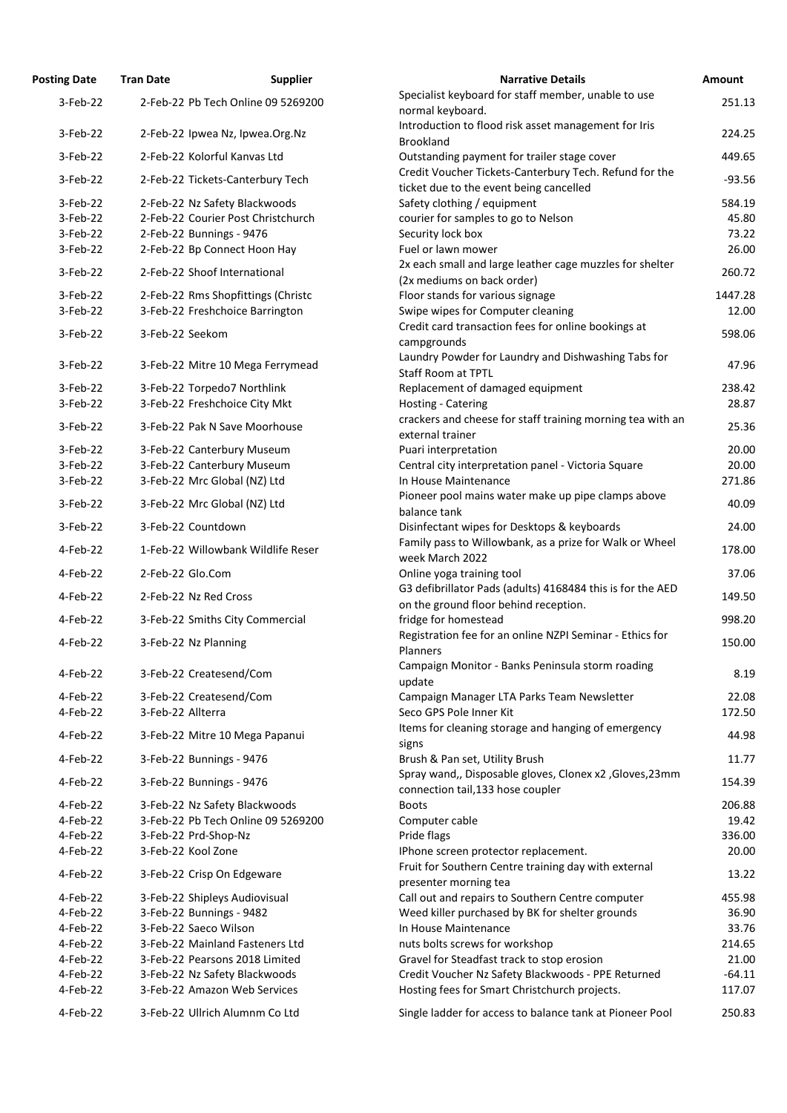| <b>Posting Date</b>  | <b>Tran Date</b>   | <b>Supplier</b>                                   | <b>Narrative Details</b>                                                                            | <b>Amount</b> |
|----------------------|--------------------|---------------------------------------------------|-----------------------------------------------------------------------------------------------------|---------------|
| 3-Feb-22             |                    | 2-Feb-22 Pb Tech Online 09 5269200                | Specialist keyboard for staff member, unable to use                                                 | 251.          |
|                      |                    |                                                   | normal keyboard.<br>Introduction to flood risk asset management for Iris                            |               |
| 3-Feb-22             |                    | 2-Feb-22 Ipwea Nz, Ipwea.Org.Nz                   | <b>Brookland</b>                                                                                    | 224.          |
| 3-Feb-22             |                    | 2-Feb-22 Kolorful Kanvas Ltd                      | Outstanding payment for trailer stage cover                                                         | 449.          |
| 3-Feb-22             |                    |                                                   | Credit Voucher Tickets-Canterbury Tech. Refund for the                                              | $-93.$        |
|                      |                    | 2-Feb-22 Tickets-Canterbury Tech                  | ticket due to the event being cancelled                                                             |               |
| 3-Feb-22             |                    | 2-Feb-22 Nz Safety Blackwoods                     | Safety clothing / equipment                                                                         | 584.          |
| 3-Feb-22             |                    | 2-Feb-22 Courier Post Christchurch                | courier for samples to go to Nelson                                                                 | 45.           |
| 3-Feb-22             |                    | 2-Feb-22 Bunnings - 9476                          | Security lock box                                                                                   | 73.           |
| 3-Feb-22             |                    | 2-Feb-22 Bp Connect Hoon Hay                      | Fuel or lawn mower<br>2x each small and large leather cage muzzles for shelter                      | 26.           |
| 3-Feb-22             |                    | 2-Feb-22 Shoof International                      | (2x mediums on back order)                                                                          | 260.          |
| 3-Feb-22             |                    | 2-Feb-22 Rms Shopfittings (Christc                | Floor stands for various signage                                                                    | 1447.         |
| 3-Feb-22             |                    | 3-Feb-22 Freshchoice Barrington                   | Swipe wipes for Computer cleaning                                                                   | 12.           |
|                      |                    |                                                   | Credit card transaction fees for online bookings at                                                 |               |
| 3-Feb-22             | 3-Feb-22 Seekom    |                                                   | campgrounds                                                                                         | 598.          |
| 3-Feb-22             |                    | 3-Feb-22 Mitre 10 Mega Ferrymead                  | Laundry Powder for Laundry and Dishwashing Tabs for                                                 | 47.           |
|                      |                    |                                                   | <b>Staff Room at TPTL</b>                                                                           |               |
| 3-Feb-22             |                    | 3-Feb-22 Torpedo7 Northlink                       | Replacement of damaged equipment                                                                    | 238.          |
| 3-Feb-22             |                    | 3-Feb-22 Freshchoice City Mkt                     | Hosting - Catering                                                                                  | 28.           |
| 3-Feb-22             |                    | 3-Feb-22 Pak N Save Moorhouse                     | crackers and cheese for staff training morning tea with an                                          | 25.           |
| 3-Feb-22             |                    | 3-Feb-22 Canterbury Museum                        | external trainer<br>Puari interpretation                                                            | 20.           |
| 3-Feb-22             |                    | 3-Feb-22 Canterbury Museum                        | Central city interpretation panel - Victoria Square                                                 | 20.           |
| 3-Feb-22             |                    | 3-Feb-22 Mrc Global (NZ) Ltd                      | In House Maintenance                                                                                | 271.          |
|                      |                    |                                                   | Pioneer pool mains water make up pipe clamps above                                                  |               |
| 3-Feb-22             |                    | 3-Feb-22 Mrc Global (NZ) Ltd                      | balance tank                                                                                        | 40.           |
| 3-Feb-22             |                    | 3-Feb-22 Countdown                                | Disinfectant wipes for Desktops & keyboards                                                         | 24.           |
| 4-Feb-22             |                    | 1-Feb-22 Willowbank Wildlife Reser                | Family pass to Willowbank, as a prize for Walk or Wheel                                             | 178.          |
|                      |                    |                                                   | week March 2022                                                                                     |               |
| 4-Feb-22             | 2-Feb-22 Glo.Com   |                                                   | Online yoga training tool                                                                           | 37.           |
| 4-Feb-22             |                    | 2-Feb-22 Nz Red Cross                             | G3 defibrillator Pads (adults) 4168484 this is for the AED<br>on the ground floor behind reception. | 149.          |
| 4-Feb-22             |                    | 3-Feb-22 Smiths City Commercial                   | fridge for homestead                                                                                | 998.          |
|                      |                    |                                                   | Registration fee for an online NZPI Seminar - Ethics for                                            |               |
| 4-Feb-22             |                    | 3-Feb-22 Nz Planning                              | <b>Planners</b>                                                                                     | 150.          |
| 4-Feb-22             |                    | 3-Feb-22 Createsend/Com                           | Campaign Monitor - Banks Peninsula storm roading                                                    | 8.            |
|                      |                    |                                                   | update                                                                                              |               |
| 4-Feb-22             |                    | 3-Feb-22 Createsend/Com                           | Campaign Manager LTA Parks Team Newsletter                                                          | 22.           |
| 4-Feb-22             | 3-Feb-22 Allterra  |                                                   | Seco GPS Pole Inner Kit                                                                             | 172.          |
| 4-Feb-22             |                    | 3-Feb-22 Mitre 10 Mega Papanui                    | Items for cleaning storage and hanging of emergency                                                 | 44.           |
| 4-Feb-22             |                    | 3-Feb-22 Bunnings - 9476                          | signs<br>Brush & Pan set, Utility Brush                                                             | 11.           |
|                      |                    |                                                   | Spray wand,, Disposable gloves, Clonex x2, Gloves, 23mm                                             |               |
| 4-Feb-22             |                    | 3-Feb-22 Bunnings - 9476                          | connection tail, 133 hose coupler                                                                   | 154.          |
| 4-Feb-22             |                    | 3-Feb-22 Nz Safety Blackwoods                     | <b>Boots</b>                                                                                        | 206.          |
| 4-Feb-22             |                    | 3-Feb-22 Pb Tech Online 09 5269200                | Computer cable                                                                                      | 19.           |
| 4-Feb-22             |                    | 3-Feb-22 Prd-Shop-Nz                              | Pride flags                                                                                         | 336.          |
| 4-Feb-22             | 3-Feb-22 Kool Zone |                                                   | IPhone screen protector replacement.                                                                | 20.           |
| 4-Feb-22             |                    | 3-Feb-22 Crisp On Edgeware                        | Fruit for Southern Centre training day with external                                                | 13.           |
|                      |                    |                                                   | presenter morning tea                                                                               |               |
| 4-Feb-22             |                    | 3-Feb-22 Shipleys Audiovisual                     | Call out and repairs to Southern Centre computer                                                    | 455.          |
| 4-Feb-22<br>4-Feb-22 |                    | 3-Feb-22 Bunnings - 9482<br>3-Feb-22 Saeco Wilson | Weed killer purchased by BK for shelter grounds<br>In House Maintenance                             | 36.<br>33.    |
| 4-Feb-22             |                    | 3-Feb-22 Mainland Fasteners Ltd                   | nuts bolts screws for workshop                                                                      | 214.          |
| 4-Feb-22             |                    | 3-Feb-22 Pearsons 2018 Limited                    | Gravel for Steadfast track to stop erosion                                                          | 21.           |
| 4-Feb-22             |                    | 3-Feb-22 Nz Safety Blackwoods                     | Credit Voucher Nz Safety Blackwoods - PPE Returned                                                  | $-64.$        |
| 4-Feb-22             |                    | 3-Feb-22 Amazon Web Services                      | Hosting fees for Smart Christchurch projects.                                                       | 117.          |
| 4-Feb-22             |                    | 3-Feb-22 Ullrich Alumnm Co Ltd                    | Single ladder for access to balance tank at Pioneer Pool                                            | 250.          |
|                      |                    |                                                   |                                                                                                     |               |

| ng Date  | <b>Tran Date</b>      | <b>Supplier</b>                    | <b>Narrative Details</b>                                                                            | <b>Amount</b> |
|----------|-----------------------|------------------------------------|-----------------------------------------------------------------------------------------------------|---------------|
| 3-Feb-22 |                       | 2-Feb-22 Pb Tech Online 09 5269200 | Specialist keyboard for staff member, unable to use<br>normal keyboard.                             | 251.13        |
| 3-Feb-22 |                       | 2-Feb-22 Ipwea Nz, Ipwea.Org.Nz    | Introduction to flood risk asset management for Iris<br><b>Brookland</b>                            | 224.25        |
| 3-Feb-22 |                       | 2-Feb-22 Kolorful Kanvas Ltd       | Outstanding payment for trailer stage cover                                                         | 449.65        |
| 3-Feb-22 |                       | 2-Feb-22 Tickets-Canterbury Tech   | Credit Voucher Tickets-Canterbury Tech. Refund for the<br>ticket due to the event being cancelled   | $-93.56$      |
| 3-Feb-22 |                       | 2-Feb-22 Nz Safety Blackwoods      | Safety clothing / equipment                                                                         | 584.19        |
| 3-Feb-22 |                       | 2-Feb-22 Courier Post Christchurch | courier for samples to go to Nelson                                                                 | 45.80         |
| 3-Feb-22 |                       | 2-Feb-22 Bunnings - 9476           | Security lock box                                                                                   | 73.22         |
| 3-Feb-22 |                       | 2-Feb-22 Bp Connect Hoon Hay       | Fuel or lawn mower                                                                                  | 26.00         |
| 3-Feb-22 |                       | 2-Feb-22 Shoof International       | 2x each small and large leather cage muzzles for shelter<br>(2x mediums on back order)              | 260.72        |
| 3-Feb-22 |                       | 2-Feb-22 Rms Shopfittings (Christc | Floor stands for various signage                                                                    | 1447.28       |
| 3-Feb-22 |                       | 3-Feb-22 Freshchoice Barrington    | Swipe wipes for Computer cleaning                                                                   | 12.00         |
| 3-Feb-22 | 3-Feb-22 Seekom       |                                    | Credit card transaction fees for online bookings at<br>campgrounds                                  | 598.06        |
| 3-Feb-22 |                       | 3-Feb-22 Mitre 10 Mega Ferrymead   | Laundry Powder for Laundry and Dishwashing Tabs for<br><b>Staff Room at TPTL</b>                    | 47.96         |
| 3-Feb-22 |                       | 3-Feb-22 Torpedo7 Northlink        | Replacement of damaged equipment                                                                    | 238.42        |
| 3-Feb-22 |                       | 3-Feb-22 Freshchoice City Mkt      | Hosting - Catering                                                                                  | 28.87         |
| 3-Feb-22 |                       | 3-Feb-22 Pak N Save Moorhouse      | crackers and cheese for staff training morning tea with an<br>external trainer                      | 25.36         |
| 3-Feb-22 |                       | 3-Feb-22 Canterbury Museum         | Puari interpretation                                                                                | 20.00         |
| 3-Feb-22 |                       | 3-Feb-22 Canterbury Museum         | Central city interpretation panel - Victoria Square                                                 | 20.00         |
| 3-Feb-22 |                       | 3-Feb-22 Mrc Global (NZ) Ltd       | In House Maintenance                                                                                | 271.86        |
| 3-Feb-22 |                       | 3-Feb-22 Mrc Global (NZ) Ltd       | Pioneer pool mains water make up pipe clamps above<br>balance tank                                  | 40.09         |
| 3-Feb-22 | 3-Feb-22 Countdown    |                                    | Disinfectant wipes for Desktops & keyboards                                                         | 24.00         |
| 4-Feb-22 |                       | 1-Feb-22 Willowbank Wildlife Reser | Family pass to Willowbank, as a prize for Walk or Wheel<br>week March 2022                          | 178.00        |
| 4-Feb-22 | 2-Feb-22 Glo.Com      |                                    | Online yoga training tool                                                                           | 37.06         |
| 4-Feb-22 | 2-Feb-22 Nz Red Cross |                                    | G3 defibrillator Pads (adults) 4168484 this is for the AED<br>on the ground floor behind reception. | 149.50        |
| 4-Feb-22 |                       | 3-Feb-22 Smiths City Commercial    | fridge for homestead<br>Registration fee for an online NZPI Seminar - Ethics for                    | 998.20        |
| 4-Feb-22 | 3-Feb-22 Nz Planning  |                                    | Planners                                                                                            | 150.00        |
| 4-Feb-22 |                       | 3-Feb-22 Createsend/Com            | Campaign Monitor - Banks Peninsula storm roading<br>update                                          | 8.19          |
| 4-Feb-22 |                       | 3-Feb-22 Createsend/Com            | Campaign Manager LTA Parks Team Newsletter                                                          | 22.08         |
| 4-Feb-22 | 3-Feb-22 Allterra     |                                    | Seco GPS Pole Inner Kit<br>Items for cleaning storage and hanging of emergency                      | 172.50        |
| 4-Feb-22 |                       | 3-Feb-22 Mitre 10 Mega Papanui     | signs                                                                                               | 44.98         |
| 4-Feb-22 |                       | 3-Feb-22 Bunnings - 9476           | Brush & Pan set, Utility Brush                                                                      | 11.77         |
| 4-Feb-22 |                       | 3-Feb-22 Bunnings - 9476           | Spray wand,, Disposable gloves, Clonex x2, Gloves, 23mm<br>connection tail, 133 hose coupler        | 154.39        |
| 4-Feb-22 |                       | 3-Feb-22 Nz Safety Blackwoods      | <b>Boots</b>                                                                                        | 206.88        |
| 4-Feb-22 |                       | 3-Feb-22 Pb Tech Online 09 5269200 | Computer cable                                                                                      | 19.42         |
| 4-Feb-22 | 3-Feb-22 Prd-Shop-Nz  |                                    | Pride flags                                                                                         | 336.00        |
| 4-Feb-22 | 3-Feb-22 Kool Zone    |                                    | IPhone screen protector replacement.                                                                | 20.00         |
| 4-Feb-22 |                       | 3-Feb-22 Crisp On Edgeware         | Fruit for Southern Centre training day with external<br>presenter morning tea                       | 13.22         |
| 4-Feb-22 |                       | 3-Feb-22 Shipleys Audiovisual      | Call out and repairs to Southern Centre computer                                                    | 455.98        |
| 4-Feb-22 |                       | 3-Feb-22 Bunnings - 9482           | Weed killer purchased by BK for shelter grounds                                                     | 36.90         |
| 4-Feb-22 | 3-Feb-22 Saeco Wilson |                                    | In House Maintenance                                                                                | 33.76         |
| 4-Feb-22 |                       | 3-Feb-22 Mainland Fasteners Ltd    | nuts bolts screws for workshop                                                                      | 214.65        |
| 4-Feb-22 |                       | 3-Feb-22 Pearsons 2018 Limited     | Gravel for Steadfast track to stop erosion                                                          | 21.00         |
| 4-Feb-22 |                       | 3-Feb-22 Nz Safety Blackwoods      | Credit Voucher Nz Safety Blackwoods - PPE Returned                                                  | $-64.11$      |
| 4-Feb-22 |                       | 3-Feb-22 Amazon Web Services       | Hosting fees for Smart Christchurch projects.                                                       | 117.07        |
| 4-Feb-22 |                       | 3-Feb-22 Ullrich Alumnm Co Ltd     | Single ladder for access to balance tank at Pioneer Pool                                            | 250.83        |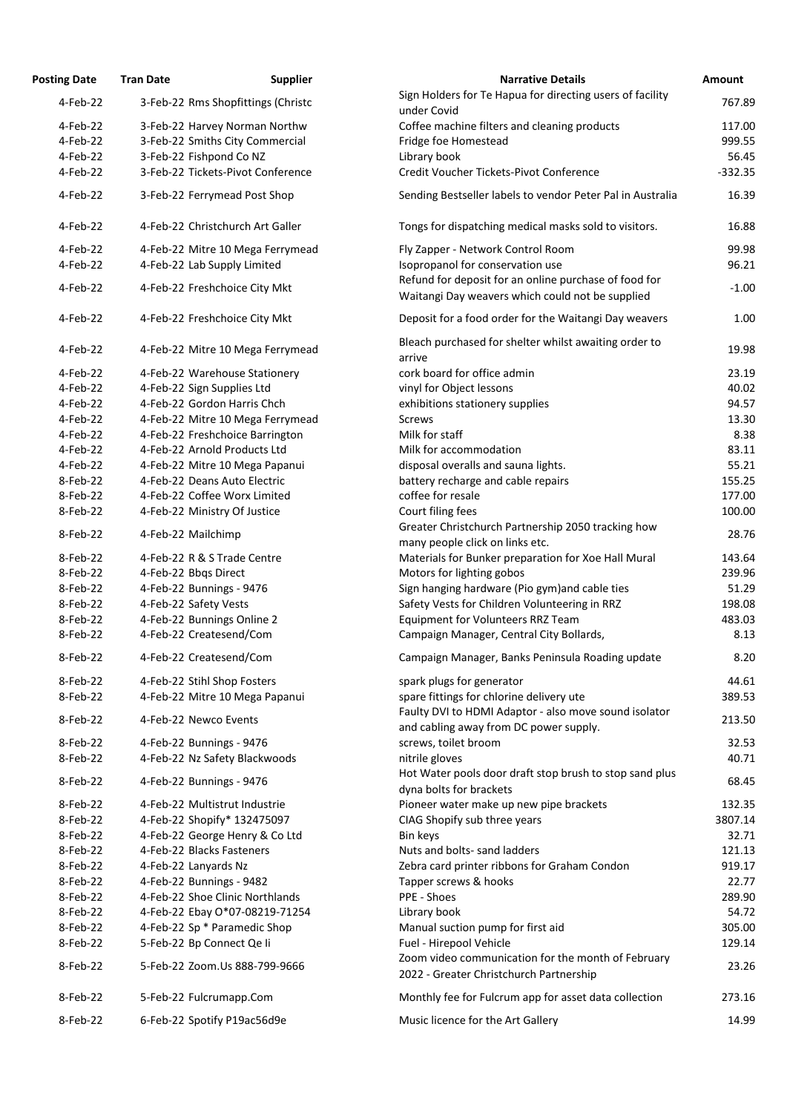| <b>osting Date</b> | <b>Tran Date</b>             | <b>Supplier</b>                    | <b>Narrative Details</b>                                                                                  |
|--------------------|------------------------------|------------------------------------|-----------------------------------------------------------------------------------------------------------|
| 4-Feb-22           |                              | 3-Feb-22 Rms Shopfittings (Christc | Sign Holders for Te Hapua for directing users of facility<br>under Covid                                  |
| 4-Feb-22           |                              | 3-Feb-22 Harvey Norman Northw      | Coffee machine filters and cleaning products                                                              |
| $4-Feb-22$         |                              | 3-Feb-22 Smiths City Commercial    | Fridge foe Homestead                                                                                      |
| 4-Feb-22           | 3-Feb-22 Fishpond Co NZ      |                                    | Library book                                                                                              |
| 4-Feb-22           |                              | 3-Feb-22 Tickets-Pivot Conference  | Credit Voucher Tickets-Pivot Conference                                                                   |
| 4-Feb-22           |                              | 3-Feb-22 Ferrymead Post Shop       | Sending Bestseller labels to vendor Peter Pal in Australi                                                 |
| 4-Feb-22           |                              | 4-Feb-22 Christchurch Art Galler   | Tongs for dispatching medical masks sold to visitors.                                                     |
| 4-Feb-22           |                              | 4-Feb-22 Mitre 10 Mega Ferrymead   | Fly Zapper - Network Control Room                                                                         |
| 4-Feb-22           | 4-Feb-22 Lab Supply Limited  |                                    | Isopropanol for conservation use                                                                          |
| $4-Feb-22$         |                              | 4-Feb-22 Freshchoice City Mkt      | Refund for deposit for an online purchase of food for<br>Waitangi Day weavers which could not be supplied |
| 4-Feb-22           |                              | 4-Feb-22 Freshchoice City Mkt      | Deposit for a food order for the Waitangi Day weavers                                                     |
| $4-Feb-22$         |                              | 4-Feb-22 Mitre 10 Mega Ferrymead   | Bleach purchased for shelter whilst awaiting order to<br>arrive                                           |
| 4-Feb-22           |                              | 4-Feb-22 Warehouse Stationery      | cork board for office admin                                                                               |
| 4-Feb-22           | 4-Feb-22 Sign Supplies Ltd   |                                    | vinyl for Object lessons                                                                                  |
| 4-Feb-22           |                              | 4-Feb-22 Gordon Harris Chch        | exhibitions stationery supplies                                                                           |
| 4-Feb-22           |                              | 4-Feb-22 Mitre 10 Mega Ferrymead   | <b>Screws</b>                                                                                             |
| 4-Feb-22           |                              | 4-Feb-22 Freshchoice Barrington    | Milk for staff                                                                                            |
| 4-Feb-22           |                              | 4-Feb-22 Arnold Products Ltd       | Milk for accommodation                                                                                    |
| 4-Feb-22           |                              | 4-Feb-22 Mitre 10 Mega Papanui     | disposal overalls and sauna lights.                                                                       |
| 8-Feb-22           |                              | 4-Feb-22 Deans Auto Electric       | battery recharge and cable repairs                                                                        |
| 8-Feb-22           |                              | 4-Feb-22 Coffee Worx Limited       | coffee for resale                                                                                         |
| 8-Feb-22           | 4-Feb-22 Ministry Of Justice |                                    | Court filing fees                                                                                         |
| 8-Feb-22           | 4-Feb-22 Mailchimp           |                                    | Greater Christchurch Partnership 2050 tracking how                                                        |
|                    |                              |                                    | many people click on links etc.                                                                           |
| 8-Feb-22           | 4-Feb-22 R & S Trade Centre  |                                    | Materials for Bunker preparation for Xoe Hall Mural                                                       |
| 8-Feb-22           | 4-Feb-22 Bbqs Direct         |                                    | Motors for lighting gobos                                                                                 |
| 8-Feb-22           | 4-Feb-22 Bunnings - 9476     |                                    | Sign hanging hardware (Pio gym) and cable ties                                                            |
| 8-Feb-22           | 4-Feb-22 Safety Vests        |                                    | Safety Vests for Children Volunteering in RRZ                                                             |
| 8-Feb-22           | 4-Feb-22 Bunnings Online 2   |                                    | Equipment for Volunteers RRZ Team                                                                         |
| 8-Feb-22           | 4-Feb-22 Createsend/Com      |                                    | Campaign Manager, Central City Bollards,                                                                  |
| 8-Feb-22           | 4-Feb-22 Createsend/Com      |                                    | Campaign Manager, Banks Peninsula Roading update                                                          |
| 8-Feb-22           | 4-Feb-22 Stihl Shop Fosters  |                                    | spark plugs for generator                                                                                 |
| 8-Feb-22           |                              | 4-Feb-22 Mitre 10 Mega Papanui     | spare fittings for chlorine delivery ute                                                                  |
|                    |                              |                                    | Faulty DVI to HDMI Adaptor - also move sound isolator                                                     |
| 8-Feb-22           | 4-Feb-22 Newco Events        |                                    | and cabling away from DC power supply.                                                                    |
| 8-Feb-22           | 4-Feb-22 Bunnings - 9476     |                                    | screws, toilet broom                                                                                      |
| 8-Feb-22           |                              | 4-Feb-22 Nz Safety Blackwoods      | nitrile gloves                                                                                            |
|                    |                              |                                    | Hot Water pools door draft stop brush to stop sand plu                                                    |
| 8-Feb-22           | 4-Feb-22 Bunnings - 9476     |                                    | dyna bolts for brackets                                                                                   |
| 8-Feb-22           |                              | 4-Feb-22 Multistrut Industrie      | Pioneer water make up new pipe brackets                                                                   |
| 8-Feb-22           |                              | 4-Feb-22 Shopify* 132475097        | CIAG Shopify sub three years                                                                              |
| 8-Feb-22           |                              | 4-Feb-22 George Henry & Co Ltd     | Bin keys                                                                                                  |
| 8-Feb-22           | 4-Feb-22 Blacks Fasteners    |                                    | Nuts and bolts- sand ladders                                                                              |
| 8-Feb-22           | 4-Feb-22 Lanyards Nz         |                                    | Zebra card printer ribbons for Graham Condon                                                              |
| 8-Feb-22           | 4-Feb-22 Bunnings - 9482     |                                    | Tapper screws & hooks                                                                                     |
| 8-Feb-22           |                              | 4-Feb-22 Shoe Clinic Northlands    | PPE - Shoes                                                                                               |
| 8-Feb-22           |                              | 4-Feb-22 Ebay O*07-08219-71254     | Library book                                                                                              |
| 8-Feb-22           |                              | 4-Feb-22 Sp * Paramedic Shop       | Manual suction pump for first aid                                                                         |
| 8-Feb-22           | 5-Feb-22 Bp Connect Qe li    |                                    | Fuel - Hirepool Vehicle                                                                                   |
| 8-Feb-22           |                              | 5-Feb-22 Zoom.Us 888-799-9666      | Zoom video communication for the month of February<br>2022 - Greater Christchurch Partnership             |
| 8-Feb-22           | 5-Feb-22 Fulcrumapp.Com      |                                    | Monthly fee for Fulcrum app for asset data collection                                                     |
| 8-Feb-22           |                              | 6-Feb-22 Spotify P19ac56d9e        | Music licence for the Art Gallery                                                                         |

| <b>Posting Date</b> | <b>Tran Date</b>             | <b>Supplier</b>                    | <b>Narrative Details</b>                                                                                  | <b>Amount</b> |
|---------------------|------------------------------|------------------------------------|-----------------------------------------------------------------------------------------------------------|---------------|
| 4-Feb-22            |                              | 3-Feb-22 Rms Shopfittings (Christc | Sign Holders for Te Hapua for directing users of facility<br>under Covid                                  | 767.89        |
| 4-Feb-22            |                              | 3-Feb-22 Harvey Norman Northw      | Coffee machine filters and cleaning products                                                              | 117.00        |
| 4-Feb-22            |                              | 3-Feb-22 Smiths City Commercial    | Fridge foe Homestead                                                                                      | 999.55        |
| 4-Feb-22            | 3-Feb-22 Fishpond Co NZ      |                                    | Library book                                                                                              | 56.45         |
| 4-Feb-22            |                              | 3-Feb-22 Tickets-Pivot Conference  | Credit Voucher Tickets-Pivot Conference                                                                   | $-332.35$     |
| 4-Feb-22            |                              | 3-Feb-22 Ferrymead Post Shop       | Sending Bestseller labels to vendor Peter Pal in Australia                                                | 16.39         |
| 4-Feb-22            |                              | 4-Feb-22 Christchurch Art Galler   | Tongs for dispatching medical masks sold to visitors.                                                     | 16.88         |
| 4-Feb-22            |                              | 4-Feb-22 Mitre 10 Mega Ferrymead   | Fly Zapper - Network Control Room                                                                         | 99.98         |
| 4-Feb-22            | 4-Feb-22 Lab Supply Limited  |                                    | Isopropanol for conservation use                                                                          | 96.21         |
| 4-Feb-22            |                              | 4-Feb-22 Freshchoice City Mkt      | Refund for deposit for an online purchase of food for<br>Waitangi Day weavers which could not be supplied | $-1.00$       |
| 4-Feb-22            |                              | 4-Feb-22 Freshchoice City Mkt      | Deposit for a food order for the Waitangi Day weavers                                                     | 1.00          |
| 4-Feb-22            |                              | 4-Feb-22 Mitre 10 Mega Ferrymead   | Bleach purchased for shelter whilst awaiting order to<br>arrive                                           | 19.98         |
| 4-Feb-22            |                              | 4-Feb-22 Warehouse Stationery      | cork board for office admin                                                                               | 23.19         |
| 4-Feb-22            | 4-Feb-22 Sign Supplies Ltd   |                                    | vinyl for Object lessons                                                                                  | 40.02         |
| 4-Feb-22            |                              | 4-Feb-22 Gordon Harris Chch        | exhibitions stationery supplies                                                                           | 94.57         |
| 4-Feb-22            |                              | 4-Feb-22 Mitre 10 Mega Ferrymead   | <b>Screws</b>                                                                                             | 13.30         |
| 4-Feb-22            |                              | 4-Feb-22 Freshchoice Barrington    | Milk for staff                                                                                            | 8.38          |
| 4-Feb-22            |                              | 4-Feb-22 Arnold Products Ltd       | Milk for accommodation                                                                                    | 83.11         |
| 4-Feb-22            |                              | 4-Feb-22 Mitre 10 Mega Papanui     | disposal overalls and sauna lights.                                                                       | 55.21         |
| 8-Feb-22            |                              | 4-Feb-22 Deans Auto Electric       | battery recharge and cable repairs                                                                        | 155.25        |
| 8-Feb-22            |                              | 4-Feb-22 Coffee Worx Limited       | coffee for resale                                                                                         | 177.00        |
| 8-Feb-22            | 4-Feb-22 Ministry Of Justice |                                    | Court filing fees                                                                                         | 100.00        |
| 8-Feb-22            | 4-Feb-22 Mailchimp           |                                    | Greater Christchurch Partnership 2050 tracking how<br>many people click on links etc.                     | 28.76         |
| 8-Feb-22            |                              | 4-Feb-22 R & S Trade Centre        | Materials for Bunker preparation for Xoe Hall Mural                                                       | 143.64        |
| 8-Feb-22            | 4-Feb-22 Bbqs Direct         |                                    | Motors for lighting gobos                                                                                 | 239.96        |
| 8-Feb-22            | 4-Feb-22 Bunnings - 9476     |                                    | Sign hanging hardware (Pio gym) and cable ties                                                            | 51.29         |
| 8-Feb-22            | 4-Feb-22 Safety Vests        |                                    | Safety Vests for Children Volunteering in RRZ                                                             | 198.08        |
| 8-Feb-22            | 4-Feb-22 Bunnings Online 2   |                                    | Equipment for Volunteers RRZ Team                                                                         | 483.03        |
| 8-Feb-22            | 4-Feb-22 Createsend/Com      |                                    | Campaign Manager, Central City Bollards,                                                                  | 8.13          |
| 8-Feb-22            | 4-Feb-22 Createsend/Com      |                                    | Campaign Manager, Banks Peninsula Roading update                                                          | 8.20          |
| 8-Feb-22            | 4-Feb-22 Stihl Shop Fosters  |                                    | spark plugs for generator                                                                                 | 44.61         |
| 8-Feb-22            |                              | 4-Feb-22 Mitre 10 Mega Papanui     | spare fittings for chlorine delivery ute                                                                  | 389.53        |
| 8-Feb-22            | 4-Feb-22 Newco Events        |                                    | Faulty DVI to HDMI Adaptor - also move sound isolator                                                     | 213.50        |
|                     |                              |                                    | and cabling away from DC power supply.                                                                    |               |
| 8-Feb-22            | 4-Feb-22 Bunnings - 9476     |                                    | screws, toilet broom                                                                                      | 32.53         |
| 8-Feb-22            |                              | 4-Feb-22 Nz Safety Blackwoods      | nitrile gloves<br>Hot Water pools door draft stop brush to stop sand plus                                 | 40.71         |
| 8-Feb-22            | 4-Feb-22 Bunnings - 9476     |                                    | dyna bolts for brackets                                                                                   | 68.45         |
| 8-Feb-22            |                              | 4-Feb-22 Multistrut Industrie      | Pioneer water make up new pipe brackets                                                                   | 132.35        |
| 8-Feb-22            |                              | 4-Feb-22 Shopify* 132475097        | CIAG Shopify sub three years                                                                              | 3807.14       |
| 8-Feb-22            |                              | 4-Feb-22 George Henry & Co Ltd     | Bin keys                                                                                                  | 32.71         |
| 8-Feb-22            | 4-Feb-22 Blacks Fasteners    |                                    | Nuts and bolts- sand ladders                                                                              | 121.13        |
| 8-Feb-22            | 4-Feb-22 Lanyards Nz         |                                    | Zebra card printer ribbons for Graham Condon                                                              | 919.17        |
| 8-Feb-22            | 4-Feb-22 Bunnings - 9482     |                                    | Tapper screws & hooks                                                                                     | 22.77         |
| 8-Feb-22            |                              | 4-Feb-22 Shoe Clinic Northlands    | PPE - Shoes                                                                                               | 289.90        |
| 8-Feb-22            |                              | 4-Feb-22 Ebay O*07-08219-71254     | Library book                                                                                              | 54.72         |
| 8-Feb-22            |                              | 4-Feb-22 Sp * Paramedic Shop       | Manual suction pump for first aid                                                                         | 305.00        |
| 8-Feb-22            | 5-Feb-22 Bp Connect Qe li    |                                    | Fuel - Hirepool Vehicle                                                                                   | 129.14        |
| 8-Feb-22            |                              | 5-Feb-22 Zoom.Us 888-799-9666      | Zoom video communication for the month of February<br>2022 - Greater Christchurch Partnership             | 23.26         |
| 8-Feb-22            | 5-Feb-22 Fulcrumapp.Com      |                                    | Monthly fee for Fulcrum app for asset data collection                                                     | 273.16        |
| 8-Feb-22            |                              | 6-Feb-22 Spotify P19ac56d9e        | Music licence for the Art Gallery                                                                         | 14.99         |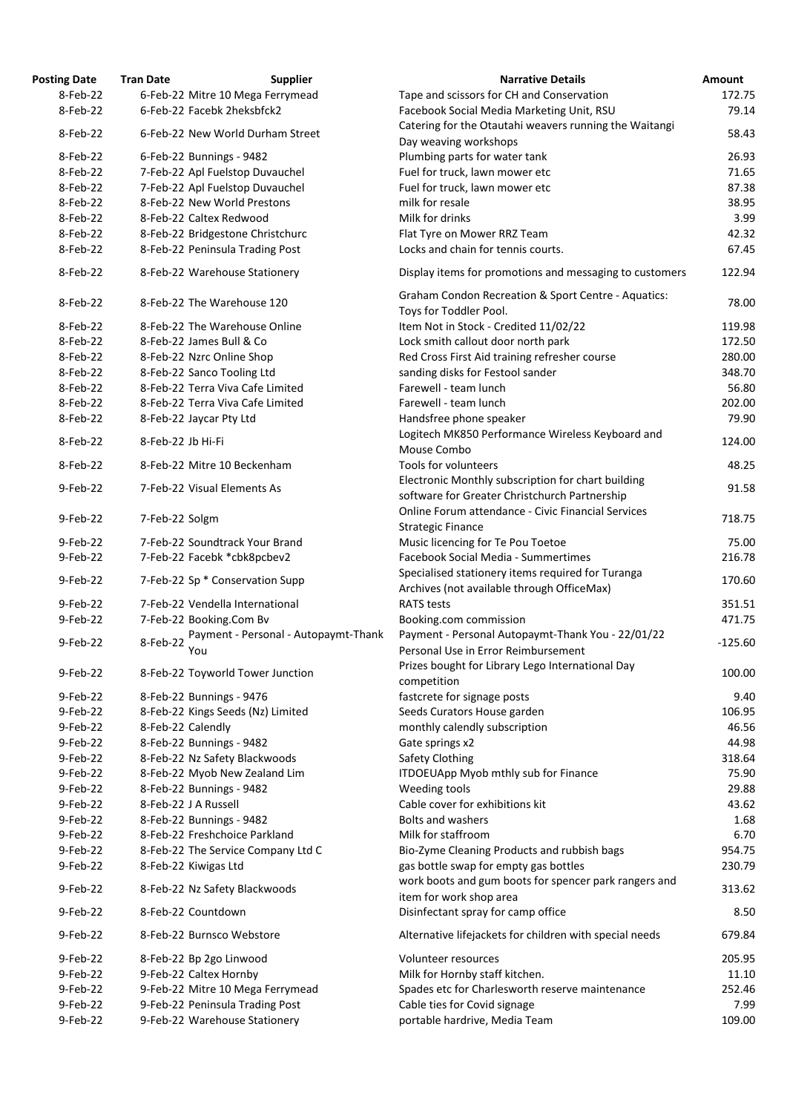| <b>Posting Date</b> | <b>Tran Date</b>  | <b>Supplier</b>                             | <b>Narrative Details</b>                                                                            | Amount    |
|---------------------|-------------------|---------------------------------------------|-----------------------------------------------------------------------------------------------------|-----------|
| 8-Feb-22            |                   | 6-Feb-22 Mitre 10 Mega Ferrymead            | Tape and scissors for CH and Conservation                                                           | 172.75    |
| 8-Feb-22            |                   | 6-Feb-22 Facebk 2heksbfck2                  | Facebook Social Media Marketing Unit, RSU                                                           | 79.14     |
|                     |                   | 6-Feb-22 New World Durham Street            | Catering for the Otautahi weavers running the Waitangi                                              |           |
| 8-Feb-22            |                   |                                             | Day weaving workshops                                                                               | 58.43     |
| 8-Feb-22            |                   | 6-Feb-22 Bunnings - 9482                    | Plumbing parts for water tank                                                                       | 26.93     |
| 8-Feb-22            |                   | 7-Feb-22 Apl Fuelstop Duvauchel             | Fuel for truck, lawn mower etc                                                                      | 71.65     |
| 8-Feb-22            |                   | 7-Feb-22 Apl Fuelstop Duvauchel             | Fuel for truck, lawn mower etc                                                                      | 87.38     |
| 8-Feb-22            |                   | 8-Feb-22 New World Prestons                 | milk for resale                                                                                     | 38.95     |
| 8-Feb-22            |                   | 8-Feb-22 Caltex Redwood                     | Milk for drinks                                                                                     | 3.99      |
| 8-Feb-22            |                   | 8-Feb-22 Bridgestone Christchurc            | Flat Tyre on Mower RRZ Team                                                                         | 42.32     |
| 8-Feb-22            |                   | 8-Feb-22 Peninsula Trading Post             | Locks and chain for tennis courts.                                                                  | 67.45     |
| 8-Feb-22            |                   | 8-Feb-22 Warehouse Stationery               | Display items for promotions and messaging to customers                                             | 122.94    |
| 8-Feb-22            |                   | 8-Feb-22 The Warehouse 120                  | <b>Graham Condon Recreation &amp; Sport Centre - Aquatics:</b>                                      | 78.00     |
|                     |                   |                                             | Toys for Toddler Pool.                                                                              |           |
| 8-Feb-22            |                   | 8-Feb-22 The Warehouse Online               | Item Not in Stock - Credited 11/02/22                                                               | 119.98    |
| 8-Feb-22            |                   | 8-Feb-22 James Bull & Co                    | Lock smith callout door north park                                                                  | 172.50    |
| 8-Feb-22            |                   | 8-Feb-22 Nzrc Online Shop                   | Red Cross First Aid training refresher course                                                       | 280.00    |
| 8-Feb-22            |                   | 8-Feb-22 Sanco Tooling Ltd                  | sanding disks for Festool sander                                                                    | 348.70    |
| 8-Feb-22            |                   | 8-Feb-22 Terra Viva Cafe Limited            | Farewell - team lunch                                                                               | 56.80     |
| 8-Feb-22            |                   | 8-Feb-22 Terra Viva Cafe Limited            | Farewell - team lunch                                                                               | 202.00    |
| 8-Feb-22            |                   | 8-Feb-22 Jaycar Pty Ltd                     | Handsfree phone speaker                                                                             | 79.90     |
|                     |                   |                                             | Logitech MK850 Performance Wireless Keyboard and                                                    |           |
| 8-Feb-22            | 8-Feb-22 Jb Hi-Fi |                                             | Mouse Combo                                                                                         | 124.00    |
| 8-Feb-22            |                   | 8-Feb-22 Mitre 10 Beckenham                 | Tools for volunteers                                                                                | 48.25     |
| 9-Feb-22            |                   | 7-Feb-22 Visual Elements As                 | Electronic Monthly subscription for chart building<br>software for Greater Christchurch Partnership | 91.58     |
| 9-Feb-22            | 7-Feb-22 Solgm    |                                             | Online Forum attendance - Civic Financial Services                                                  | 718.75    |
| $9$ -Feb-22         |                   | 7-Feb-22 Soundtrack Your Brand              | <b>Strategic Finance</b>                                                                            |           |
|                     |                   |                                             | Music licencing for Te Pou Toetoe                                                                   | 75.00     |
| $9$ -Feb-22         |                   | 7-Feb-22 Facebk *cbk8pcbev2                 | Facebook Social Media - Summertimes                                                                 | 216.78    |
| 9-Feb-22            |                   | 7-Feb-22 Sp * Conservation Supp             | Specialised stationery items required for Turanga<br>Archives (not available through OfficeMax)     | 170.60    |
| 9-Feb-22            |                   | 7-Feb-22 Vendella International             | <b>RATS</b> tests                                                                                   | 351.51    |
| 9-Feb-22            |                   | 7-Feb-22 Booking.Com Bv                     | Booking.com commission                                                                              | 471.75    |
| 9-Feb-22            | 8-Feb-22          | Payment - Personal - Autopaymt-Thank<br>You | Payment - Personal Autopaymt-Thank You - 22/01/22<br>Personal Use in Error Reimbursement            | $-125.60$ |
| 9-Feb-22            |                   | 8-Feb-22 Toyworld Tower Junction            | Prizes bought for Library Lego International Day                                                    | 100.00    |
|                     |                   |                                             | competition                                                                                         |           |
| 9-Feb-22            |                   | 8-Feb-22 Bunnings - 9476                    | fastcrete for signage posts                                                                         | 9.40      |
| 9-Feb-22            |                   | 8-Feb-22 Kings Seeds (Nz) Limited           | Seeds Curators House garden                                                                         | 106.95    |
| 9-Feb-22            | 8-Feb-22 Calendly |                                             | monthly calendly subscription                                                                       | 46.56     |
| 9-Feb-22            |                   | 8-Feb-22 Bunnings - 9482                    | Gate springs x2                                                                                     | 44.98     |
| 9-Feb-22            |                   | 8-Feb-22 Nz Safety Blackwoods               | <b>Safety Clothing</b>                                                                              | 318.64    |
| 9-Feb-22            |                   | 8-Feb-22 Myob New Zealand Lim               | ITDOEUApp Myob mthly sub for Finance                                                                | 75.90     |
| 9-Feb-22            |                   | 8-Feb-22 Bunnings - 9482                    | Weeding tools                                                                                       | 29.88     |
| 9-Feb-22            |                   | 8-Feb-22 J A Russell                        | Cable cover for exhibitions kit                                                                     | 43.62     |
| 9-Feb-22            |                   | 8-Feb-22 Bunnings - 9482                    | <b>Bolts and washers</b>                                                                            | 1.68      |
| 9-Feb-22            |                   | 8-Feb-22 Freshchoice Parkland               | Milk for staffroom                                                                                  | 6.70      |
| 9-Feb-22            |                   | 8-Feb-22 The Service Company Ltd C          | Bio-Zyme Cleaning Products and rubbish bags                                                         | 954.75    |
| 9-Feb-22            |                   | 8-Feb-22 Kiwigas Ltd                        | gas bottle swap for empty gas bottles                                                               | 230.79    |
| 9-Feb-22            |                   | 8-Feb-22 Nz Safety Blackwoods               | work boots and gum boots for spencer park rangers and<br>item for work shop area                    | 313.62    |
| 9-Feb-22            |                   | 8-Feb-22 Countdown                          | Disinfectant spray for camp office                                                                  | 8.50      |
| 9-Feb-22            |                   | 8-Feb-22 Burnsco Webstore                   | Alternative lifejackets for children with special needs                                             | 679.84    |
| 9-Feb-22            |                   | 8-Feb-22 Bp 2go Linwood                     | Volunteer resources                                                                                 | 205.95    |
| 9-Feb-22            |                   | 9-Feb-22 Caltex Hornby                      | Milk for Hornby staff kitchen.                                                                      | 11.10     |
| 9-Feb-22            |                   | 9-Feb-22 Mitre 10 Mega Ferrymead            | Spades etc for Charlesworth reserve maintenance                                                     | 252.46    |
| 9-Feb-22            |                   | 9-Feb-22 Peninsula Trading Post             | Cable ties for Covid signage                                                                        | 7.99      |
| 9-Feb-22            |                   | 9-Feb-22 Warehouse Stationery               | portable hardrive, Media Team                                                                       | 109.00    |
|                     |                   |                                             |                                                                                                     |           |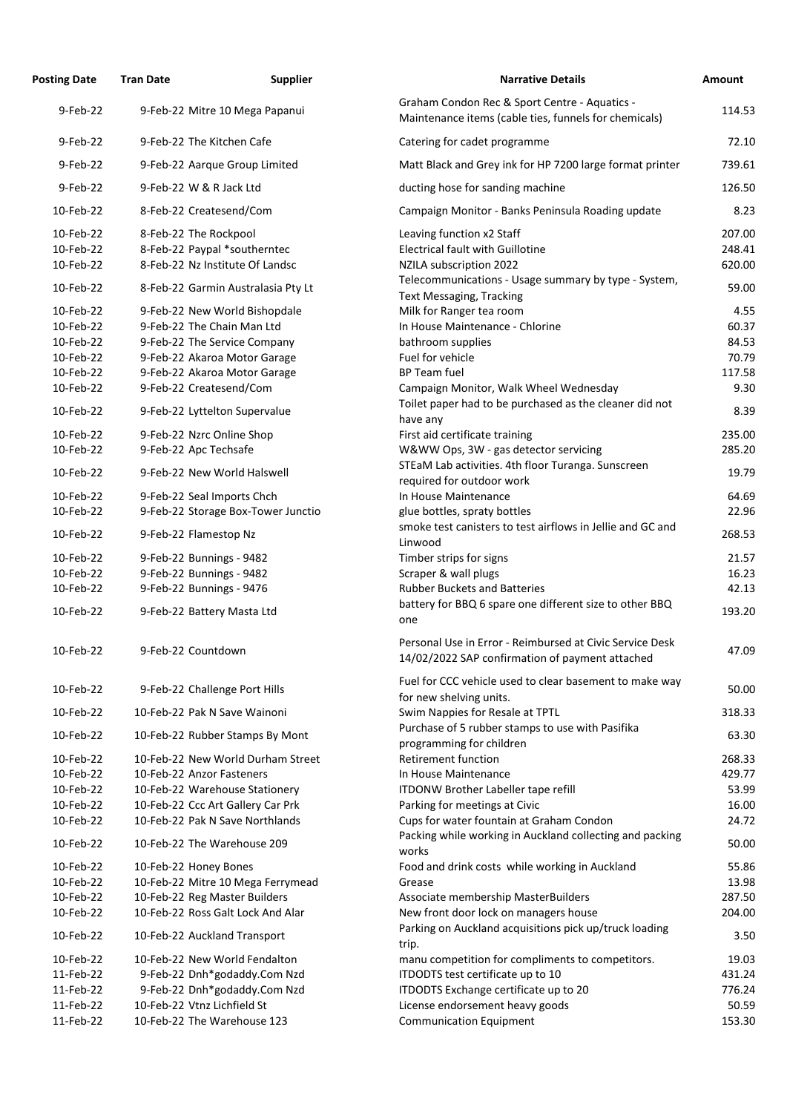| <b>Posting Date</b> | <b>Tran Date</b>                   | <b>Supplier</b><br><b>Narrative Details</b>                                                                | <b>Amount</b> |
|---------------------|------------------------------------|------------------------------------------------------------------------------------------------------------|---------------|
| 9-Feb-22            | 9-Feb-22 Mitre 10 Mega Papanui     | Graham Condon Rec & Sport Centre - Aquatics -<br>Maintenance items (cable ties, funnels for chemicals)     | 114.53        |
| 9-Feb-22            | 9-Feb-22 The Kitchen Cafe          | Catering for cadet programme                                                                               | 72.10         |
| 9-Feb-22            | 9-Feb-22 Aarque Group Limited      | Matt Black and Grey ink for HP 7200 large format printer                                                   | 739.61        |
| 9-Feb-22            | 9-Feb-22 W & R Jack Ltd            | ducting hose for sanding machine                                                                           | 126.50        |
| 10-Feb-22           | 8-Feb-22 Createsend/Com            | Campaign Monitor - Banks Peninsula Roading update                                                          | 8.23          |
| 10-Feb-22           | 8-Feb-22 The Rockpool              | Leaving function x2 Staff                                                                                  | 207.00        |
| 10-Feb-22           | 8-Feb-22 Paypal *southerntec       | <b>Electrical fault with Guillotine</b>                                                                    | 248.41        |
| 10-Feb-22           | 8-Feb-22 Nz Institute Of Landsc    | NZILA subscription 2022                                                                                    | 620.00        |
| 10-Feb-22           | 8-Feb-22 Garmin Australasia Pty Lt | Telecommunications - Usage summary by type - System,<br><b>Text Messaging, Tracking</b>                    | 59.00         |
| 10-Feb-22           | 9-Feb-22 New World Bishopdale      | Milk for Ranger tea room                                                                                   | 4.55          |
| 10-Feb-22           | 9-Feb-22 The Chain Man Ltd         | In House Maintenance - Chlorine                                                                            | 60.37         |
| 10-Feb-22           | 9-Feb-22 The Service Company       | bathroom supplies                                                                                          | 84.53         |
| 10-Feb-22           | 9-Feb-22 Akaroa Motor Garage       | Fuel for vehicle                                                                                           | 70.79         |
| 10-Feb-22           | 9-Feb-22 Akaroa Motor Garage       | <b>BP Team fuel</b>                                                                                        | 117.58        |
| 10-Feb-22           | 9-Feb-22 Createsend/Com            | Campaign Monitor, Walk Wheel Wednesday                                                                     | 9.30          |
| 10-Feb-22           | 9-Feb-22 Lyttelton Supervalue      | Toilet paper had to be purchased as the cleaner did not                                                    | 8.39          |
|                     |                                    | have any                                                                                                   |               |
| 10-Feb-22           | 9-Feb-22 Nzrc Online Shop          | First aid certificate training                                                                             | 235.00        |
| 10-Feb-22           | 9-Feb-22 Apc Techsafe              | W&WW Ops, 3W - gas detector servicing                                                                      | 285.20        |
| 10-Feb-22           | 9-Feb-22 New World Halswell        | STEaM Lab activities. 4th floor Turanga. Sunscreen<br>required for outdoor work                            | 19.79         |
| 10-Feb-22           | 9-Feb-22 Seal Imports Chch         | In House Maintenance                                                                                       | 64.69         |
| 10-Feb-22           | 9-Feb-22 Storage Box-Tower Junctio | glue bottles, spraty bottles                                                                               | 22.96         |
| 10-Feb-22           | 9-Feb-22 Flamestop Nz              | smoke test canisters to test airflows in Jellie and GC and<br>Linwood                                      | 268.53        |
| 10-Feb-22           | 9-Feb-22 Bunnings - 9482           | Timber strips for signs                                                                                    | 21.57         |
| 10-Feb-22           | 9-Feb-22 Bunnings - 9482           | Scraper & wall plugs                                                                                       | 16.23         |
| 10-Feb-22           | 9-Feb-22 Bunnings - 9476           | <b>Rubber Buckets and Batteries</b>                                                                        | 42.13         |
| 10-Feb-22           | 9-Feb-22 Battery Masta Ltd         | battery for BBQ 6 spare one different size to other BBQ                                                    | 193.20        |
| 10-Feb-22           | 9-Feb-22 Countdown                 | one<br>Personal Use in Error - Reimbursed at Civic Service Desk                                            | 47.09         |
|                     |                                    | 14/02/2022 SAP confirmation of payment attached<br>Fuel for CCC vehicle used to clear basement to make way |               |
| 10-Feb-22           | 9-Feb-22 Challenge Port Hills      | for new shelving units.                                                                                    | 50.00         |
| 10-Feb-22           | 10-Feb-22 Pak N Save Wainoni       | Swim Nappies for Resale at TPTL                                                                            | 318.33        |
| 10-Feb-22           | 10-Feb-22 Rubber Stamps By Mont    | Purchase of 5 rubber stamps to use with Pasifika<br>programming for children                               | 63.30         |
| 10-Feb-22           | 10-Feb-22 New World Durham Street  | <b>Retirement function</b>                                                                                 | 268.33        |
| 10-Feb-22           | 10-Feb-22 Anzor Fasteners          | In House Maintenance                                                                                       | 429.77        |
| 10-Feb-22           | 10-Feb-22 Warehouse Stationery     | <b>ITDONW Brother Labeller tape refill</b>                                                                 | 53.99         |
| 10-Feb-22           | 10-Feb-22 Ccc Art Gallery Car Prk  | Parking for meetings at Civic                                                                              | 16.00         |
| 10-Feb-22           | 10-Feb-22 Pak N Save Northlands    | Cups for water fountain at Graham Condon                                                                   | 24.72         |
| 10-Feb-22           | 10-Feb-22 The Warehouse 209        | Packing while working in Auckland collecting and packing<br>works                                          | 50.00         |
| 10-Feb-22           | 10-Feb-22 Honey Bones              | Food and drink costs while working in Auckland                                                             | 55.86         |
| 10-Feb-22           | 10-Feb-22 Mitre 10 Mega Ferrymead  | Grease                                                                                                     | 13.98         |
| 10-Feb-22           | 10-Feb-22 Reg Master Builders      | Associate membership MasterBuilders                                                                        | 287.50        |
| 10-Feb-22           | 10-Feb-22 Ross Galt Lock And Alar  | New front door lock on managers house                                                                      | 204.00        |
| 10-Feb-22           | 10-Feb-22 Auckland Transport       | Parking on Auckland acquisitions pick up/truck loading                                                     | 3.50          |
|                     |                                    | trip.                                                                                                      |               |
| 10-Feb-22           | 10-Feb-22 New World Fendalton      | manu competition for compliments to competitors.                                                           | 19.03         |
| 11-Feb-22           | 9-Feb-22 Dnh*godaddy.Com Nzd       | ITDODTS test certificate up to 10                                                                          | 431.24        |
| 11-Feb-22           | 9-Feb-22 Dnh*godaddy.Com Nzd       | ITDODTS Exchange certificate up to 20                                                                      | 776.24        |
| 11-Feb-22           | 10-Feb-22 Vtnz Lichfield St        | License endorsement heavy goods                                                                            | 50.59         |
| 11-Feb-22           | 10-Feb-22 The Warehouse 123        | <b>Communication Equipment</b>                                                                             | 153.30        |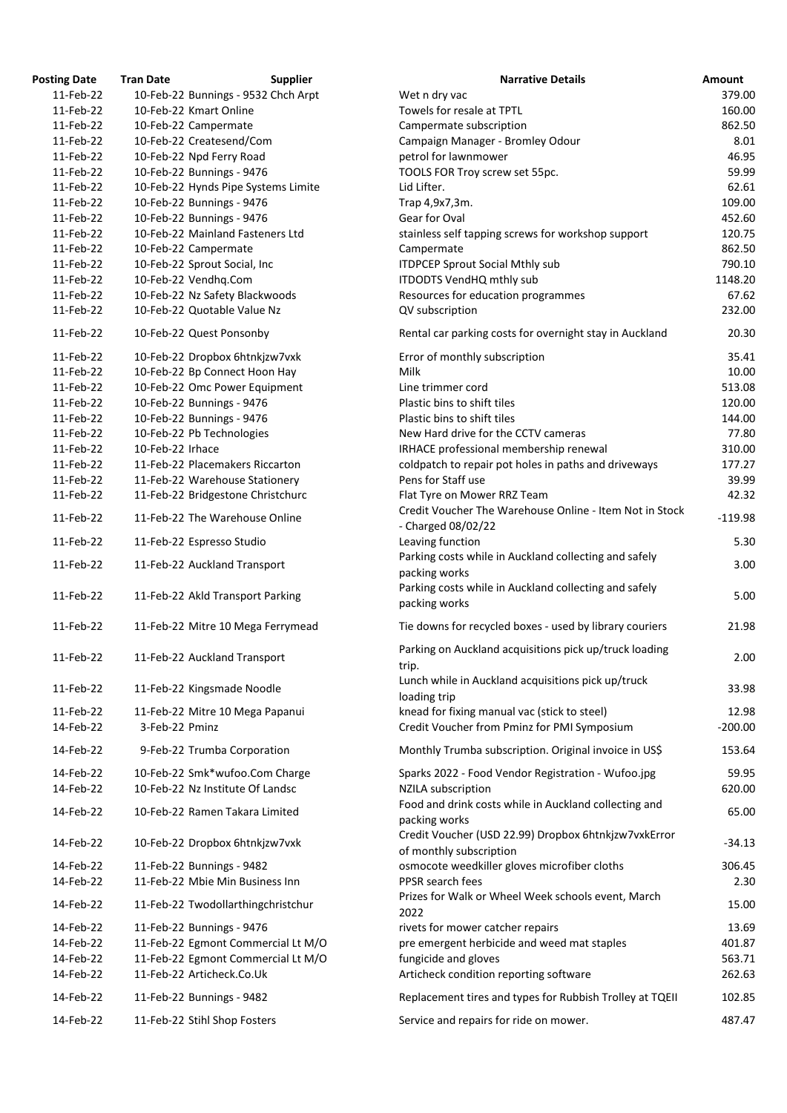| <b>Posting Date</b>    | <b>Tran Date</b>          | <b>Supplier</b>                     | <b>Narrative Details</b>                                                        | Amo |
|------------------------|---------------------------|-------------------------------------|---------------------------------------------------------------------------------|-----|
| 11-Feb-22              |                           | 10-Feb-22 Bunnings - 9532 Chch Arpt | Wet n dry vac                                                                   |     |
| 11-Feb-22              | 10-Feb-22 Kmart Online    |                                     | Towels for resale at TPTL                                                       |     |
| 11-Feb-22              | 10-Feb-22 Campermate      |                                     | Campermate subscription                                                         |     |
| 11-Feb-22              |                           | 10-Feb-22 Createsend/Com            | Campaign Manager - Bromley Odour                                                |     |
| 11-Feb-22              | 10-Feb-22 Npd Ferry Road  |                                     | petrol for lawnmower                                                            |     |
| 11-Feb-22              | 10-Feb-22 Bunnings - 9476 |                                     | TOOLS FOR Troy screw set 55pc.                                                  |     |
| 11-Feb-22              |                           | 10-Feb-22 Hynds Pipe Systems Limite | Lid Lifter.                                                                     |     |
| 11-Feb-22              | 10-Feb-22 Bunnings - 9476 |                                     | Trap 4,9x7,3m.                                                                  |     |
| 11-Feb-22              | 10-Feb-22 Bunnings - 9476 |                                     | Gear for Oval                                                                   |     |
| 11-Feb-22              |                           | 10-Feb-22 Mainland Fasteners Ltd    | stainless self tapping screws for workshop support                              |     |
|                        |                           |                                     |                                                                                 |     |
| 11-Feb-22              | 10-Feb-22 Campermate      |                                     | Campermate                                                                      |     |
| 11-Feb-22              |                           | 10-Feb-22 Sprout Social, Inc        | <b>ITDPCEP Sprout Social Mthly sub</b>                                          |     |
| 11-Feb-22              | 10-Feb-22 Vendhq.Com      |                                     | <b>ITDODTS VendHQ mthly sub</b>                                                 | 11  |
| 11-Feb-22              |                           | 10-Feb-22 Nz Safety Blackwoods      | Resources for education programmes                                              |     |
| 11-Feb-22              |                           | 10-Feb-22 Quotable Value Nz         | QV subscription                                                                 |     |
| 11-Feb-22              | 10-Feb-22 Quest Ponsonby  |                                     | Rental car parking costs for overnight stay in Auckland                         |     |
| 11-Feb-22              |                           | 10-Feb-22 Dropbox 6htnkjzw7vxk      | Error of monthly subscription                                                   |     |
| 11-Feb-22              |                           | 10-Feb-22 Bp Connect Hoon Hay       | Milk                                                                            |     |
| 11-Feb-22              |                           | 10-Feb-22 Omc Power Equipment       | Line trimmer cord                                                               |     |
| 11-Feb-22              | 10-Feb-22 Bunnings - 9476 |                                     | Plastic bins to shift tiles                                                     |     |
| 11-Feb-22              | 10-Feb-22 Bunnings - 9476 |                                     | Plastic bins to shift tiles                                                     |     |
| 11-Feb-22              | 10-Feb-22 Pb Technologies |                                     | New Hard drive for the CCTV cameras                                             |     |
| 11-Feb-22              | 10-Feb-22 Irhace          |                                     | IRHACE professional membership renewal                                          |     |
| 11-Feb-22              |                           | 11-Feb-22 Placemakers Riccarton     | coldpatch to repair pot holes in paths and driveways                            |     |
| 11-Feb-22              |                           | 11-Feb-22 Warehouse Stationery      | Pens for Staff use                                                              |     |
| 11-Feb-22              |                           | 11-Feb-22 Bridgestone Christchurc   | Flat Tyre on Mower RRZ Team                                                     |     |
| 11-Feb-22              |                           | 11-Feb-22 The Warehouse Online      | Credit Voucher The Warehouse Online - Item Not in Stock<br>- Charged 08/02/22   | -1  |
| 11-Feb-22              | 11-Feb-22 Espresso Studio |                                     | Leaving function                                                                |     |
| 11-Feb-22              |                           | 11-Feb-22 Auckland Transport        | Parking costs while in Auckland collecting and safely<br>packing works          |     |
| 11-Feb-22              |                           | 11-Feb-22 Akld Transport Parking    | Parking costs while in Auckland collecting and safely<br>packing works          |     |
| 11-Feb-22              |                           | 11-Feb-22 Mitre 10 Mega Ferrymead   | Tie downs for recycled boxes - used by library couriers                         |     |
| 11-Feb-22              |                           | 11-Feb-22 Auckland Transport        | Parking on Auckland acquisitions pick up/truck loading<br>trip.                 |     |
| 11-Feb-22              |                           | 11-Feb-22 Kingsmade Noodle          | Lunch while in Auckland acquisitions pick up/truck<br>loading trip              |     |
| 11-Feb-22              |                           | 11-Feb-22 Mitre 10 Mega Papanui     | knead for fixing manual vac (stick to steel)                                    |     |
| 14-Feb-22              | 3-Feb-22 Pminz            |                                     | Credit Voucher from Pminz for PMI Symposium                                     | -2  |
| 14-Feb-22              |                           | 9-Feb-22 Trumba Corporation         | Monthly Trumba subscription. Original invoice in US\$                           |     |
| 14-Feb-22              |                           | 10-Feb-22 Smk*wufoo.Com Charge      | Sparks 2022 - Food Vendor Registration - Wufoo.jpg                              |     |
| 14-Feb-22              |                           | 10-Feb-22 Nz Institute Of Landsc    | NZILA subscription                                                              |     |
| 14-Feb-22              |                           | 10-Feb-22 Ramen Takara Limited      | Food and drink costs while in Auckland collecting and<br>packing works          |     |
| 14-Feb-22              |                           | 10-Feb-22 Dropbox 6htnkjzw7vxk      | Credit Voucher (USD 22.99) Dropbox 6htnkjzw7vxkError<br>of monthly subscription |     |
| 14-Feb-22              | 11-Feb-22 Bunnings - 9482 |                                     | osmocote weedkiller gloves microfiber cloths                                    |     |
| 14-Feb-22              |                           | 11-Feb-22 Mbie Min Business Inn     | PPSR search fees                                                                |     |
| 14-Feb-22              |                           | 11-Feb-22 Twodollarthingchristchur  | Prizes for Walk or Wheel Week schools event, March                              |     |
|                        |                           |                                     | 2022                                                                            |     |
| 14-Feb-22              | 11-Feb-22 Bunnings - 9476 |                                     | rivets for mower catcher repairs                                                |     |
| 14-Feb-22<br>14-Feb-22 |                           | 11-Feb-22 Egmont Commercial Lt M/O  | pre emergent herbicide and weed mat staples                                     |     |
|                        |                           | 11-Feb-22 Egmont Commercial Lt M/O  | fungicide and gloves                                                            |     |
| 14-Feb-22              | 11-Feb-22 Articheck.Co.Uk |                                     | Articheck condition reporting software                                          |     |
| 14-Feb-22              | 11-Feb-22 Bunnings - 9482 |                                     | Replacement tires and types for Rubbish Trolley at TQEII                        |     |
| 14-Feb-22              |                           | 11-Feb-22 Stihl Shop Fosters        | Service and repairs for ride on mower.                                          |     |

| ng Date:               | Tran Date        | Supplier                                                           | Narrative Details                                                               | Amount          |
|------------------------|------------------|--------------------------------------------------------------------|---------------------------------------------------------------------------------|-----------------|
| 11-Feb-22              |                  | 10-Feb-22 Bunnings - 9532 Chch Arpt                                | Wet n dry vac                                                                   | 379.00          |
| 11-Feb-22              |                  | 10-Feb-22 Kmart Online                                             | Towels for resale at TPTL                                                       | 160.00          |
| 11-Feb-22              |                  | 10-Feb-22 Campermate                                               | Campermate subscription                                                         | 862.50          |
| 11-Feb-22              |                  | 10-Feb-22 Createsend/Com                                           | Campaign Manager - Bromley Odour                                                | 8.01            |
| 11-Feb-22              |                  | 10-Feb-22 Npd Ferry Road                                           | petrol for lawnmower                                                            | 46.95           |
| 11-Feb-22              |                  | 10-Feb-22 Bunnings - 9476                                          | TOOLS FOR Troy screw set 55pc.                                                  | 59.99           |
| 11-Feb-22              |                  | 10-Feb-22 Hynds Pipe Systems Limite                                | Lid Lifter.                                                                     | 62.61           |
| 11-Feb-22              |                  | 10-Feb-22 Bunnings - 9476                                          | Trap 4,9x7,3m.                                                                  | 109.00          |
| 11-Feb-22              |                  | 10-Feb-22 Bunnings - 9476                                          | Gear for Oval                                                                   | 452.60          |
| 11-Feb-22              |                  | 10-Feb-22 Mainland Fasteners Ltd                                   | stainless self tapping screws for workshop support                              | 120.75          |
| 11-Feb-22              |                  | 10-Feb-22 Campermate                                               | Campermate                                                                      | 862.50          |
| 11-Feb-22              |                  | 10-Feb-22 Sprout Social, Inc                                       | <b>ITDPCEP Sprout Social Mthly sub</b>                                          | 790.10          |
| 11-Feb-22              |                  | 10-Feb-22 Vendhq.Com                                               | ITDODTS VendHQ mthly sub                                                        | 1148.20         |
| 11-Feb-22              |                  | 10-Feb-22 Nz Safety Blackwoods                                     | Resources for education programmes                                              | 67.62           |
| 11-Feb-22              |                  | 10-Feb-22 Quotable Value Nz                                        | QV subscription                                                                 | 232.00          |
| 11-Feb-22              |                  | 10-Feb-22 Quest Ponsonby                                           | Rental car parking costs for overnight stay in Auckland                         | 20.30           |
| 11-Feb-22              |                  | 10-Feb-22 Dropbox 6htnkjzw7vxk                                     | Error of monthly subscription                                                   | 35.41           |
| 11-Feb-22              |                  | 10-Feb-22 Bp Connect Hoon Hay                                      | Milk                                                                            | 10.00           |
|                        |                  |                                                                    |                                                                                 |                 |
| 11-Feb-22              |                  | 10-Feb-22 Omc Power Equipment                                      | Line trimmer cord                                                               | 513.08          |
| 11-Feb-22              |                  | 10-Feb-22 Bunnings - 9476                                          | Plastic bins to shift tiles                                                     | 120.00          |
| 11-Feb-22              |                  | 10-Feb-22 Bunnings - 9476                                          | Plastic bins to shift tiles                                                     | 144.00          |
| 11-Feb-22              |                  | 10-Feb-22 Pb Technologies                                          | New Hard drive for the CCTV cameras                                             | 77.80           |
| 11-Feb-22              | 10-Feb-22 Irhace |                                                                    | IRHACE professional membership renewal                                          | 310.00          |
| 11-Feb-22              |                  | 11-Feb-22 Placemakers Riccarton                                    | coldpatch to repair pot holes in paths and driveways                            | 177.27          |
| 11-Feb-22              |                  | 11-Feb-22 Warehouse Stationery                                     | Pens for Staff use                                                              | 39.99           |
| 11-Feb-22              |                  | 11-Feb-22 Bridgestone Christchurc                                  | Flat Tyre on Mower RRZ Team                                                     | 42.32           |
| 11-Feb-22              |                  | 11-Feb-22 The Warehouse Online                                     | Credit Voucher The Warehouse Online - Item Not in Stock<br>- Charged 08/02/22   | $-119.98$       |
| 11-Feb-22              |                  | 11-Feb-22 Espresso Studio                                          | Leaving function                                                                | 5.30            |
|                        |                  |                                                                    | Parking costs while in Auckland collecting and safely                           |                 |
| 11-Feb-22              |                  | 11-Feb-22 Auckland Transport                                       | packing works<br>Parking costs while in Auckland collecting and safely          | 3.00            |
| 11-Feb-22              |                  | 11-Feb-22 Akld Transport Parking                                   | packing works                                                                   | 5.00            |
| 11-Feb-22              |                  | 11-Feb-22 Mitre 10 Mega Ferrymead                                  | Tie downs for recycled boxes - used by library couriers                         | 21.98           |
| 11-Feb-22              |                  | 11-Feb-22 Auckland Transport                                       | Parking on Auckland acquisitions pick up/truck loading<br>trip.                 | 2.00            |
| 11-Feb-22              |                  | 11-Feb-22 Kingsmade Noodle                                         | Lunch while in Auckland acquisitions pick up/truck<br>loading trip              | 33.98           |
| 11-Feb-22              |                  | 11-Feb-22 Mitre 10 Mega Papanui                                    | knead for fixing manual vac (stick to steel)                                    | 12.98           |
| 14-Feb-22              | 3-Feb-22 Pminz   |                                                                    | Credit Voucher from Pminz for PMI Symposium                                     | $-200.00$       |
| 14-Feb-22              |                  | 9-Feb-22 Trumba Corporation                                        | Monthly Trumba subscription. Original invoice in US\$                           | 153.64          |
|                        |                  |                                                                    |                                                                                 |                 |
| 14-Feb-22<br>14-Feb-22 |                  | 10-Feb-22 Smk*wufoo.Com Charge<br>10-Feb-22 Nz Institute Of Landsc | Sparks 2022 - Food Vendor Registration - Wufoo.jpg<br>NZILA subscription        | 59.95<br>620.00 |
| 14-Feb-22              |                  | 10-Feb-22 Ramen Takara Limited                                     | Food and drink costs while in Auckland collecting and<br>packing works          | 65.00           |
| 14-Feb-22              |                  | 10-Feb-22 Dropbox 6htnkjzw7vxk                                     | Credit Voucher (USD 22.99) Dropbox 6htnkjzw7vxkError<br>of monthly subscription | $-34.13$        |
| 14-Feb-22              |                  | 11-Feb-22 Bunnings - 9482                                          | osmocote weedkiller gloves microfiber cloths                                    | 306.45          |
| 14-Feb-22              |                  | 11-Feb-22 Mbie Min Business Inn                                    | PPSR search fees                                                                | 2.30            |
| 14-Feb-22              |                  | 11-Feb-22 Twodollarthingchristchur                                 | Prizes for Walk or Wheel Week schools event, March<br>2022                      | 15.00           |
|                        |                  |                                                                    |                                                                                 | 13.69           |
| 14-Feb-22              |                  | 11-Feb-22 Bunnings - 9476                                          | rivets for mower catcher repairs                                                |                 |
| 14-Feb-22              |                  | 11-Feb-22 Egmont Commercial Lt M/O                                 | pre emergent herbicide and weed mat staples                                     | 401.87          |
| 14-Feb-22              |                  | 11-Feb-22 Egmont Commercial Lt M/O                                 | fungicide and gloves                                                            | 563.71          |
| 14-Feb-22              |                  | 11-Feb-22 Articheck.Co.Uk                                          | Articheck condition reporting software                                          | 262.63          |
| 14-Feb-22              |                  | 11-Feb-22 Bunnings - 9482                                          | Replacement tires and types for Rubbish Trolley at TQEII                        | 102.85          |
| 14-Feb-22              |                  | 11-Feb-22 Stihl Shop Fosters                                       | Service and repairs for ride on mower.                                          | 487.47          |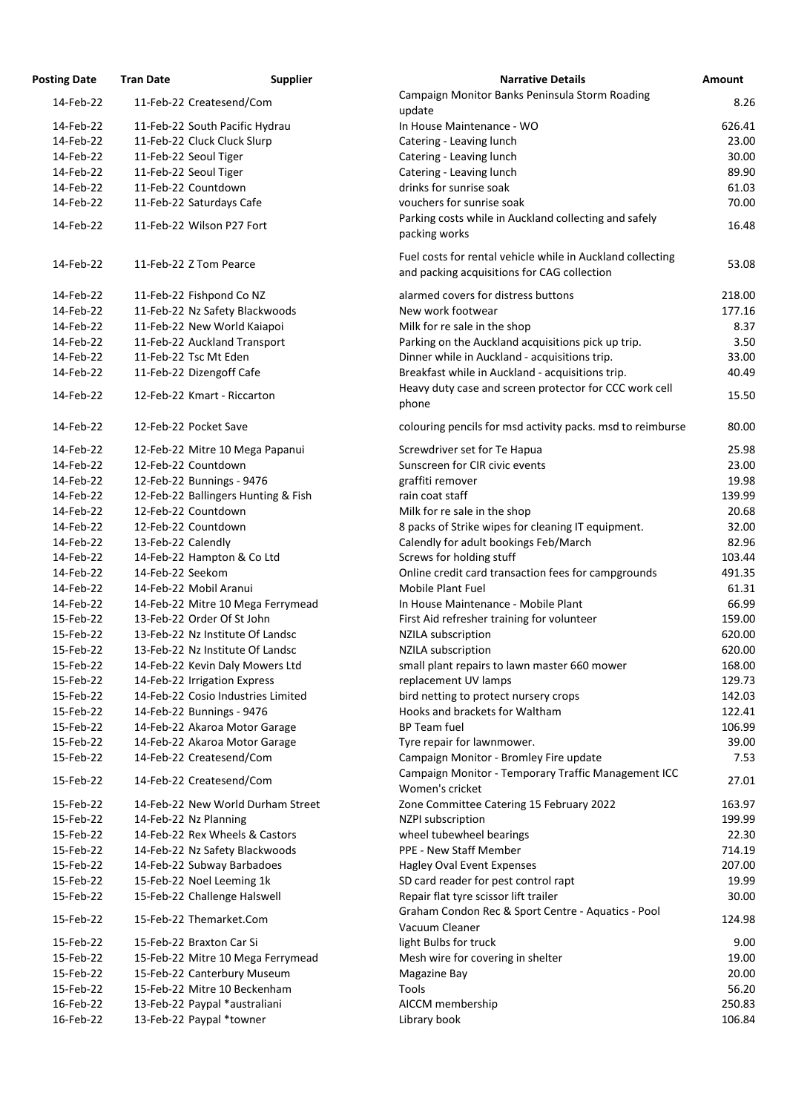| <b>Posting Date</b>    | <b>Tran Date</b>                                     | <b>Supplier</b>                     | <b>Narrative Details</b>                                                                                  | Amount        |
|------------------------|------------------------------------------------------|-------------------------------------|-----------------------------------------------------------------------------------------------------------|---------------|
| 14-Feb-22              | 11-Feb-22 Createsend/Com                             |                                     | Campaign Monitor Banks Peninsula Storm Roading                                                            | 8.26          |
|                        |                                                      |                                     | update                                                                                                    |               |
| 14-Feb-22              | 11-Feb-22 South Pacific Hydrau                       |                                     | In House Maintenance - WO                                                                                 | 626.41        |
| 14-Feb-22              | 11-Feb-22 Cluck Cluck Slurp                          |                                     | Catering - Leaving lunch                                                                                  | 23.00         |
| 14-Feb-22              | 11-Feb-22 Seoul Tiger                                |                                     | Catering - Leaving lunch                                                                                  | 30.00         |
| 14-Feb-22              | 11-Feb-22 Seoul Tiger                                |                                     | Catering - Leaving lunch                                                                                  | 89.90         |
| 14-Feb-22              | 11-Feb-22 Countdown                                  |                                     | drinks for sunrise soak                                                                                   | 61.03         |
| 14-Feb-22              | 11-Feb-22 Saturdays Cafe                             |                                     | vouchers for sunrise soak                                                                                 | 70.00         |
| 14-Feb-22              | 11-Feb-22 Wilson P27 Fort                            |                                     | Parking costs while in Auckland collecting and safely<br>packing works                                    | 16.48         |
| 14-Feb-22              | 11-Feb-22 Z Tom Pearce                               |                                     | Fuel costs for rental vehicle while in Auckland collecting<br>and packing acquisitions for CAG collection | 53.08         |
| 14-Feb-22              | 11-Feb-22 Fishpond Co NZ                             |                                     | alarmed covers for distress buttons                                                                       | 218.00        |
| 14-Feb-22              | 11-Feb-22 Nz Safety Blackwoods                       |                                     | New work footwear                                                                                         | 177.16        |
| 14-Feb-22              | 11-Feb-22 New World Kaiapoi                          |                                     | Milk for re sale in the shop                                                                              | 8.37          |
| 14-Feb-22              | 11-Feb-22 Auckland Transport                         |                                     | Parking on the Auckland acquisitions pick up trip.                                                        | 3.50          |
| 14-Feb-22              | 11-Feb-22 Tsc Mt Eden                                |                                     | Dinner while in Auckland - acquisitions trip.                                                             | 33.00         |
| 14-Feb-22              | 11-Feb-22 Dizengoff Cafe                             |                                     | Breakfast while in Auckland - acquisitions trip.                                                          | 40.49         |
| 14-Feb-22              | 12-Feb-22 Kmart - Riccarton                          |                                     | Heavy duty case and screen protector for CCC work cell<br>phone                                           | 15.50         |
| 14-Feb-22              | 12-Feb-22 Pocket Save                                |                                     | colouring pencils for msd activity packs. msd to reimburse                                                | 80.00         |
| 14-Feb-22              | 12-Feb-22 Mitre 10 Mega Papanui                      |                                     | Screwdriver set for Te Hapua                                                                              | 25.98         |
| 14-Feb-22              | 12-Feb-22 Countdown                                  |                                     | Sunscreen for CIR civic events                                                                            | 23.00         |
| 14-Feb-22              | 12-Feb-22 Bunnings - 9476                            |                                     | graffiti remover                                                                                          | 19.98         |
| 14-Feb-22              |                                                      | 12-Feb-22 Ballingers Hunting & Fish | rain coat staff                                                                                           | 139.99        |
| 14-Feb-22              | 12-Feb-22 Countdown                                  |                                     | Milk for re sale in the shop                                                                              | 20.68         |
| 14-Feb-22              | 12-Feb-22 Countdown                                  |                                     | 8 packs of Strike wipes for cleaning IT equipment.                                                        | 32.00         |
| 14-Feb-22              |                                                      |                                     | Calendly for adult bookings Feb/March                                                                     | 82.96         |
| 14-Feb-22              | 13-Feb-22 Calendly<br>14-Feb-22 Hampton & Co Ltd     |                                     |                                                                                                           |               |
|                        |                                                      |                                     | Screws for holding stuff                                                                                  | 103.44        |
| 14-Feb-22              | 14-Feb-22 Seekom                                     |                                     | Online credit card transaction fees for campgrounds                                                       | 491.35        |
| 14-Feb-22              | 14-Feb-22 Mobil Aranui                               |                                     | Mobile Plant Fuel                                                                                         | 61.31         |
| 14-Feb-22              |                                                      | 14-Feb-22 Mitre 10 Mega Ferrymead   | In House Maintenance - Mobile Plant                                                                       | 66.99         |
| 15-Feb-22              | 13-Feb-22 Order Of St John                           |                                     | First Aid refresher training for volunteer                                                                | 159.00        |
| 15-Feb-22              | 13-Feb-22 Nz Institute Of Landsc                     |                                     | <b>NZILA</b> subscription                                                                                 | 620.00        |
| 15-Feb-22              | 13-Feb-22 Nz Institute Of Landsc                     |                                     | <b>NZILA</b> subscription                                                                                 | 620.00        |
| 15-Feb-22              | 14-Feb-22 Kevin Daly Mowers Ltd                      |                                     | small plant repairs to lawn master 660 mower                                                              | 168.00        |
| 15-Feb-22              | 14-Feb-22 Irrigation Express                         |                                     | replacement UV lamps                                                                                      | 129.73        |
| 15-Feb-22              | 14-Feb-22 Cosio Industries Limited                   |                                     | bird netting to protect nursery crops                                                                     | 142.03        |
| 15-Feb-22              | 14-Feb-22 Bunnings - 9476                            |                                     | Hooks and brackets for Waltham                                                                            | 122.41        |
| 15-Feb-22              | 14-Feb-22 Akaroa Motor Garage                        |                                     | <b>BP Team fuel</b>                                                                                       | 106.99        |
| 15-Feb-22              | 14-Feb-22 Akaroa Motor Garage                        |                                     | Tyre repair for lawnmower.                                                                                | 39.00         |
| 15-Feb-22<br>15-Feb-22 | 14-Feb-22 Createsend/Com<br>14-Feb-22 Createsend/Com |                                     | Campaign Monitor - Bromley Fire update<br>Campaign Monitor - Temporary Traffic Management ICC             | 7.53<br>27.01 |
|                        |                                                      |                                     | Women's cricket                                                                                           |               |
| 15-Feb-22              |                                                      | 14-Feb-22 New World Durham Street   | Zone Committee Catering 15 February 2022                                                                  | 163.97        |
| 15-Feb-22              | 14-Feb-22 Nz Planning                                |                                     | <b>NZPI</b> subscription                                                                                  | 199.99        |
| 15-Feb-22              | 14-Feb-22 Rex Wheels & Castors                       |                                     | wheel tubewheel bearings                                                                                  | 22.30         |
| 15-Feb-22              | 14-Feb-22 Nz Safety Blackwoods                       |                                     | PPE - New Staff Member                                                                                    | 714.19        |
| 15-Feb-22              | 14-Feb-22 Subway Barbadoes                           |                                     | Hagley Oval Event Expenses                                                                                | 207.00        |
| 15-Feb-22              | 15-Feb-22 Noel Leeming 1k                            |                                     | SD card reader for pest control rapt                                                                      | 19.99         |
| 15-Feb-22              | 15-Feb-22 Challenge Halswell                         |                                     | Repair flat tyre scissor lift trailer                                                                     | 30.00         |
| 15-Feb-22              | 15-Feb-22 Themarket.Com                              |                                     | Graham Condon Rec & Sport Centre - Aquatics - Pool<br>Vacuum Cleaner                                      | 124.98        |
| 15-Feb-22              | 15-Feb-22 Braxton Car Si                             |                                     | light Bulbs for truck                                                                                     | 9.00          |
| 15-Feb-22              |                                                      | 15-Feb-22 Mitre 10 Mega Ferrymead   | Mesh wire for covering in shelter                                                                         | 19.00         |
| 15-Feb-22              | 15-Feb-22 Canterbury Museum                          |                                     | Magazine Bay                                                                                              | 20.00         |
| 15-Feb-22              | 15-Feb-22 Mitre 10 Beckenham                         |                                     | Tools                                                                                                     | 56.20         |
| 16-Feb-22              | 13-Feb-22 Paypal *australiani                        |                                     | AICCM membership                                                                                          | 250.83        |
| 16-Feb-22              | 13-Feb-22 Paypal *towner                             |                                     | Library book                                                                                              | 106.84        |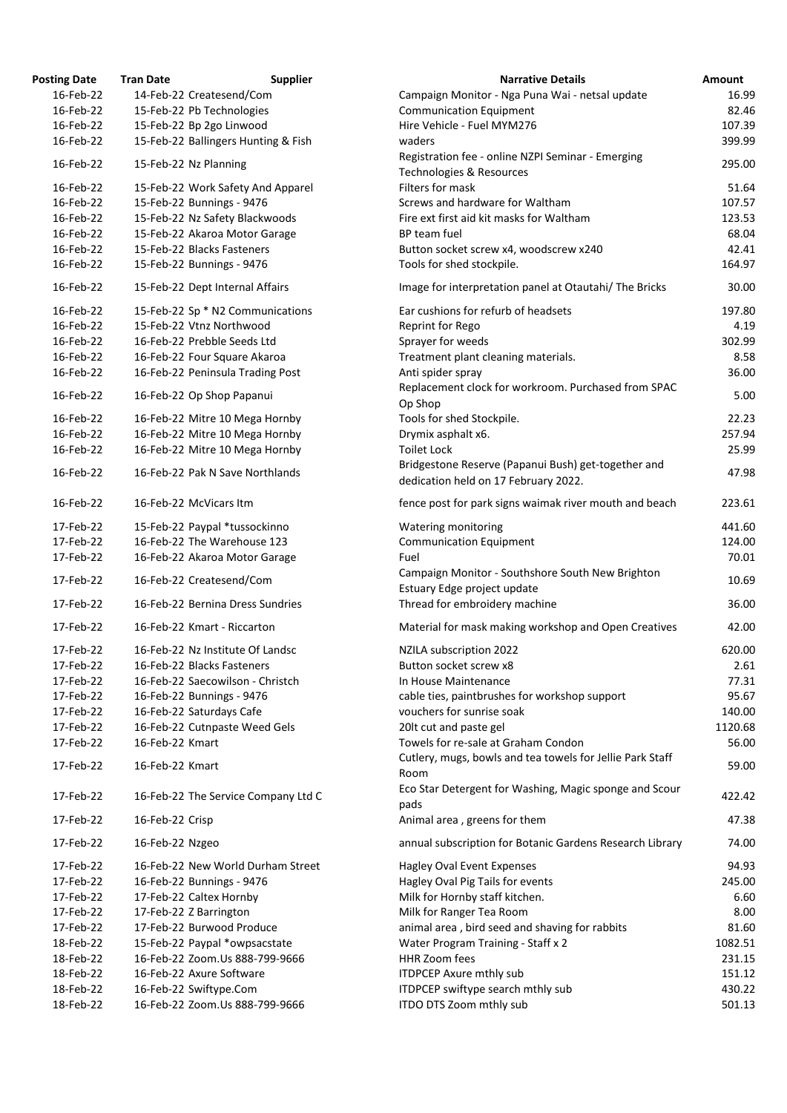| <b>Posting Date</b> | <b>Tran Date</b>                    | <b>Supplier</b><br><b>Narrative Details</b>                                                      | Amount  |
|---------------------|-------------------------------------|--------------------------------------------------------------------------------------------------|---------|
| 16-Feb-22           | 14-Feb-22 Createsend/Com            | Campaign Monitor - Nga Puna Wai - netsal update                                                  | 16.99   |
| 16-Feb-22           | 15-Feb-22 Pb Technologies           | <b>Communication Equipment</b>                                                                   | 82.46   |
| 16-Feb-22           | 15-Feb-22 Bp 2go Linwood            | Hire Vehicle - Fuel MYM276                                                                       | 107.39  |
| 16-Feb-22           | 15-Feb-22 Ballingers Hunting & Fish | waders                                                                                           | 399.99  |
| 16-Feb-22           | 15-Feb-22 Nz Planning               | Registration fee - online NZPI Seminar - Emerging<br>Technologies & Resources                    | 295.00  |
| 16-Feb-22           | 15-Feb-22 Work Safety And Apparel   | Filters for mask                                                                                 | 51.64   |
| 16-Feb-22           | 15-Feb-22 Bunnings - 9476           | Screws and hardware for Waltham                                                                  | 107.57  |
| 16-Feb-22           | 15-Feb-22 Nz Safety Blackwoods      | Fire ext first aid kit masks for Waltham                                                         | 123.53  |
| 16-Feb-22           | 15-Feb-22 Akaroa Motor Garage       | BP team fuel                                                                                     | 68.04   |
| 16-Feb-22           | 15-Feb-22 Blacks Fasteners          | Button socket screw x4, woodscrew x240                                                           | 42.41   |
| 16-Feb-22           |                                     | Tools for shed stockpile.                                                                        | 164.97  |
|                     | 15-Feb-22 Bunnings - 9476           |                                                                                                  |         |
| 16-Feb-22           | 15-Feb-22 Dept Internal Affairs     | Image for interpretation panel at Otautahi/ The Bricks                                           | 30.00   |
| 16-Feb-22           | 15-Feb-22 Sp * N2 Communications    | Ear cushions for refurb of headsets                                                              | 197.80  |
| 16-Feb-22           | 15-Feb-22 Vtnz Northwood            | Reprint for Rego                                                                                 | 4.19    |
| 16-Feb-22           | 16-Feb-22 Prebble Seeds Ltd         | Sprayer for weeds                                                                                | 302.99  |
| 16-Feb-22           | 16-Feb-22 Four Square Akaroa        | Treatment plant cleaning materials.                                                              | 8.58    |
| 16-Feb-22           | 16-Feb-22 Peninsula Trading Post    | Anti spider spray                                                                                | 36.00   |
|                     |                                     | Replacement clock for workroom. Purchased from SPAC                                              |         |
| 16-Feb-22           | 16-Feb-22 Op Shop Papanui           | Op Shop                                                                                          | 5.00    |
| 16-Feb-22           | 16-Feb-22 Mitre 10 Mega Hornby      | Tools for shed Stockpile.                                                                        | 22.23   |
| 16-Feb-22           | 16-Feb-22 Mitre 10 Mega Hornby      | Drymix asphalt x6.                                                                               | 257.94  |
| 16-Feb-22           | 16-Feb-22 Mitre 10 Mega Hornby      | <b>Toilet Lock</b>                                                                               | 25.99   |
|                     |                                     | Bridgestone Reserve (Papanui Bush) get-together and                                              |         |
| 16-Feb-22           | 16-Feb-22 Pak N Save Northlands     | dedication held on 17 February 2022.                                                             | 47.98   |
| 16-Feb-22           | 16-Feb-22 McVicars Itm              | fence post for park signs waimak river mouth and beach                                           | 223.61  |
| 17-Feb-22           | 15-Feb-22 Paypal *tussockinno       | <b>Watering monitoring</b>                                                                       | 441.60  |
| 17-Feb-22           | 16-Feb-22 The Warehouse 123         | <b>Communication Equipment</b>                                                                   | 124.00  |
| 17-Feb-22           | 16-Feb-22 Akaroa Motor Garage       | Fuel                                                                                             | 70.01   |
| 17-Feb-22           | 16-Feb-22 Createsend/Com            | Campaign Monitor - Southshore South New Brighton<br>Estuary Edge project update                  | 10.69   |
| 17-Feb-22           | 16-Feb-22 Bernina Dress Sundries    | Thread for embroidery machine                                                                    | 36.00   |
| 17-Feb-22           | 16-Feb-22 Kmart - Riccarton         | Material for mask making workshop and Open Creatives                                             | 42.00   |
| 17-Feb-22           | 16-Feb-22 Nz Institute Of Landsc    |                                                                                                  | 620.00  |
|                     |                                     | NZILA subscription 2022                                                                          |         |
| 17-Feb-22           | 16-Feb-22 Blacks Fasteners          | Button socket screw x8                                                                           | 2.61    |
| 17-Feb-22           | 16-Feb-22 Saecowilson - Christch    | In House Maintenance                                                                             | 77.31   |
| 17-Feb-22           | 16-Feb-22 Bunnings - 9476           | cable ties, paintbrushes for workshop support                                                    | 95.67   |
| 17-Feb-22           | 16-Feb-22 Saturdays Cafe            | vouchers for sunrise soak                                                                        | 140.00  |
| 17-Feb-22           | 16-Feb-22 Cutnpaste Weed Gels       | 20lt cut and paste gel                                                                           | 1120.68 |
| 17-Feb-22           | 16-Feb-22 Kmart                     | Towels for re-sale at Graham Condon<br>Cutlery, mugs, bowls and tea towels for Jellie Park Staff | 56.00   |
| 17-Feb-22           | 16-Feb-22 Kmart                     | Room                                                                                             | 59.00   |
| 17-Feb-22           | 16-Feb-22 The Service Company Ltd C | Eco Star Detergent for Washing, Magic sponge and Scour<br>pads                                   | 422.42  |
| 17-Feb-22           | 16-Feb-22 Crisp                     | Animal area, greens for them                                                                     | 47.38   |
| 17-Feb-22           | 16-Feb-22 Nzgeo                     | annual subscription for Botanic Gardens Research Library                                         | 74.00   |
| 17-Feb-22           | 16-Feb-22 New World Durham Street   | <b>Hagley Oval Event Expenses</b>                                                                | 94.93   |
| 17-Feb-22           | 16-Feb-22 Bunnings - 9476           | Hagley Oval Pig Tails for events                                                                 | 245.00  |
| 17-Feb-22           | 17-Feb-22 Caltex Hornby             | Milk for Hornby staff kitchen.                                                                   | 6.60    |
| 17-Feb-22           | 17-Feb-22 Z Barrington              | Milk for Ranger Tea Room                                                                         | 8.00    |
| 17-Feb-22           | 17-Feb-22 Burwood Produce           | animal area, bird seed and shaving for rabbits                                                   | 81.60   |
| 18-Feb-22           | 15-Feb-22 Paypal *owpsacstate       | Water Program Training - Staff x 2                                                               | 1082.51 |
| 18-Feb-22           | 16-Feb-22 Zoom.Us 888-799-9666      | <b>HHR Zoom fees</b>                                                                             | 231.15  |
| 18-Feb-22           | 16-Feb-22 Axure Software            | <b>ITDPCEP Axure mthly sub</b>                                                                   | 151.12  |
| 18-Feb-22           | 16-Feb-22 Swiftype.Com              | ITDPCEP swiftype search mthly sub                                                                | 430.22  |
| 18-Feb-22           | 16-Feb-22 Zoom.Us 888-799-9666      | ITDO DTS Zoom mthly sub                                                                          | 501.13  |
|                     |                                     |                                                                                                  |         |

59.00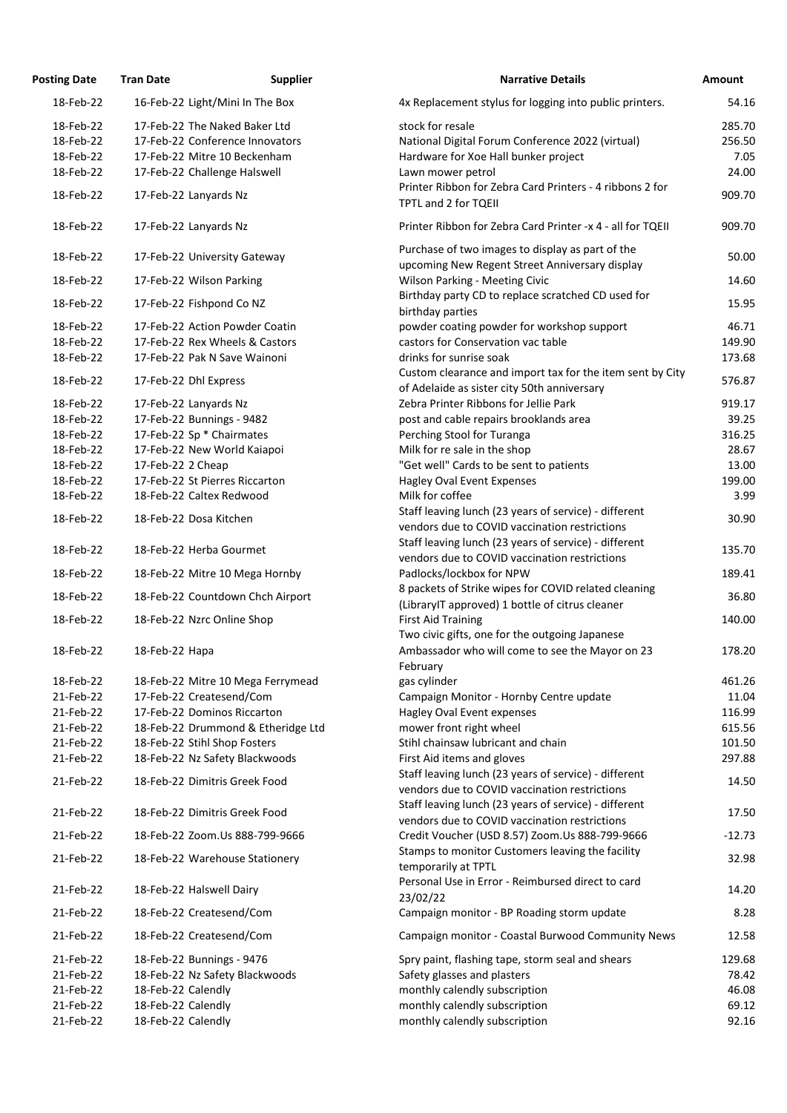| <b>Posting Date</b> | <b>Tran Date</b>                | <b>Supplier</b>                    | <b>Narrative Details</b>                                                                                      | Amount   |
|---------------------|---------------------------------|------------------------------------|---------------------------------------------------------------------------------------------------------------|----------|
| 18-Feb-22           | 16-Feb-22 Light/Mini In The Box |                                    | 4x Replacement stylus for logging into public printers.                                                       | 54.16    |
| 18-Feb-22           | 17-Feb-22 The Naked Baker Ltd   |                                    | stock for resale                                                                                              | 285.70   |
| 18-Feb-22           |                                 | 17-Feb-22 Conference Innovators    | National Digital Forum Conference 2022 (virtual)                                                              | 256.50   |
| 18-Feb-22           | 17-Feb-22 Mitre 10 Beckenham    |                                    | Hardware for Xoe Hall bunker project                                                                          | 7.05     |
| 18-Feb-22           | 17-Feb-22 Challenge Halswell    |                                    | Lawn mower petrol                                                                                             | 24.00    |
| 18-Feb-22           | 17-Feb-22 Lanyards Nz           |                                    | Printer Ribbon for Zebra Card Printers - 4 ribbons 2 for<br>TPTL and 2 for TQEII                              | 909.70   |
| 18-Feb-22           | 17-Feb-22 Lanyards Nz           |                                    | Printer Ribbon for Zebra Card Printer -x 4 - all for TQEII                                                    | 909.70   |
| 18-Feb-22           | 17-Feb-22 University Gateway    |                                    | Purchase of two images to display as part of the<br>upcoming New Regent Street Anniversary display            | 50.00    |
| 18-Feb-22           | 17-Feb-22 Wilson Parking        |                                    | <b>Wilson Parking - Meeting Civic</b>                                                                         | 14.60    |
| 18-Feb-22           | 17-Feb-22 Fishpond Co NZ        |                                    | Birthday party CD to replace scratched CD used for<br>birthday parties                                        | 15.95    |
| 18-Feb-22           | 17-Feb-22 Action Powder Coatin  |                                    | powder coating powder for workshop support                                                                    | 46.71    |
| 18-Feb-22           | 17-Feb-22 Rex Wheels & Castors  |                                    | castors for Conservation vac table                                                                            | 149.90   |
| 18-Feb-22           | 17-Feb-22 Pak N Save Wainoni    |                                    | drinks for sunrise soak                                                                                       | 173.68   |
| 18-Feb-22           | 17-Feb-22 Dhl Express           |                                    | Custom clearance and import tax for the item sent by City                                                     | 576.87   |
|                     |                                 |                                    | of Adelaide as sister city 50th anniversary                                                                   |          |
| 18-Feb-22           | 17-Feb-22 Lanyards Nz           |                                    | Zebra Printer Ribbons for Jellie Park                                                                         | 919.17   |
| 18-Feb-22           | 17-Feb-22 Bunnings - 9482       |                                    | post and cable repairs brooklands area                                                                        | 39.25    |
| 18-Feb-22           | 17-Feb-22 Sp * Chairmates       |                                    | Perching Stool for Turanga                                                                                    | 316.25   |
| 18-Feb-22           | 17-Feb-22 New World Kaiapoi     |                                    | Milk for re sale in the shop                                                                                  | 28.67    |
| 18-Feb-22           | 17-Feb-22 2 Cheap               |                                    | "Get well" Cards to be sent to patients                                                                       | 13.00    |
| 18-Feb-22           | 17-Feb-22 St Pierres Riccarton  |                                    | <b>Hagley Oval Event Expenses</b>                                                                             | 199.00   |
| 18-Feb-22           | 18-Feb-22 Caltex Redwood        |                                    | Milk for coffee                                                                                               | 3.99     |
| 18-Feb-22           | 18-Feb-22 Dosa Kitchen          |                                    | Staff leaving lunch (23 years of service) - different<br>vendors due to COVID vaccination restrictions        | 30.90    |
|                     |                                 |                                    | Staff leaving lunch (23 years of service) - different                                                         |          |
| 18-Feb-22           | 18-Feb-22 Herba Gourmet         |                                    | vendors due to COVID vaccination restrictions                                                                 | 135.70   |
| 18-Feb-22           |                                 | 18-Feb-22 Mitre 10 Mega Hornby     | Padlocks/lockbox for NPW                                                                                      | 189.41   |
| 18-Feb-22           |                                 | 18-Feb-22 Countdown Chch Airport   | 8 packets of Strike wipes for COVID related cleaning                                                          | 36.80    |
|                     |                                 |                                    | (LibraryIT approved) 1 bottle of citrus cleaner                                                               |          |
| 18-Feb-22           | 18-Feb-22 Nzrc Online Shop      |                                    | <b>First Aid Training</b>                                                                                     | 140.00   |
| 18-Feb-22           | 18-Feb-22 Hapa                  |                                    | Two civic gifts, one for the outgoing Japanese<br>Ambassador who will come to see the Mayor on 23<br>February | 178.20   |
| 18-Feb-22           |                                 | 18-Feb-22 Mitre 10 Mega Ferrymead  | gas cylinder                                                                                                  | 461.26   |
| 21-Feb-22           | 17-Feb-22 Createsend/Com        |                                    | Campaign Monitor - Hornby Centre update                                                                       | 11.04    |
| 21-Feb-22           | 17-Feb-22 Dominos Riccarton     |                                    | Hagley Oval Event expenses                                                                                    | 116.99   |
| 21-Feb-22           |                                 | 18-Feb-22 Drummond & Etheridge Ltd | mower front right wheel                                                                                       | 615.56   |
| 21-Feb-22           | 18-Feb-22 Stihl Shop Fosters    |                                    | Stihl chainsaw lubricant and chain                                                                            | 101.50   |
| 21-Feb-22           |                                 | 18-Feb-22 Nz Safety Blackwoods     | First Aid items and gloves                                                                                    | 297.88   |
| 21-Feb-22           | 18-Feb-22 Dimitris Greek Food   |                                    | Staff leaving lunch (23 years of service) - different                                                         | 14.50    |
|                     |                                 |                                    | vendors due to COVID vaccination restrictions                                                                 |          |
| 21-Feb-22           | 18-Feb-22 Dimitris Greek Food   |                                    | Staff leaving lunch (23 years of service) - different<br>vendors due to COVID vaccination restrictions        | 17.50    |
| 21-Feb-22           |                                 | 18-Feb-22 Zoom.Us 888-799-9666     | Credit Voucher (USD 8.57) Zoom.Us 888-799-9666                                                                | $-12.73$ |
| 21-Feb-22           |                                 | 18-Feb-22 Warehouse Stationery     | Stamps to monitor Customers leaving the facility<br>temporarily at TPTL                                       | 32.98    |
| 21-Feb-22           | 18-Feb-22 Halswell Dairy        |                                    | Personal Use in Error - Reimbursed direct to card<br>23/02/22                                                 | 14.20    |
| 21-Feb-22           | 18-Feb-22 Createsend/Com        |                                    | Campaign monitor - BP Roading storm update                                                                    | 8.28     |
| 21-Feb-22           | 18-Feb-22 Createsend/Com        |                                    | Campaign monitor - Coastal Burwood Community News                                                             | 12.58    |
| 21-Feb-22           | 18-Feb-22 Bunnings - 9476       |                                    | Spry paint, flashing tape, storm seal and shears                                                              | 129.68   |
| 21-Feb-22           |                                 | 18-Feb-22 Nz Safety Blackwoods     | Safety glasses and plasters                                                                                   | 78.42    |
| 21-Feb-22           | 18-Feb-22 Calendly              |                                    | monthly calendly subscription                                                                                 | 46.08    |
| 21-Feb-22           | 18-Feb-22 Calendly              |                                    | monthly calendly subscription                                                                                 | 69.12    |
| 21-Feb-22           | 18-Feb-22 Calendly              |                                    | monthly calendly subscription                                                                                 | 92.16    |
|                     |                                 |                                    |                                                                                                               |          |

178.20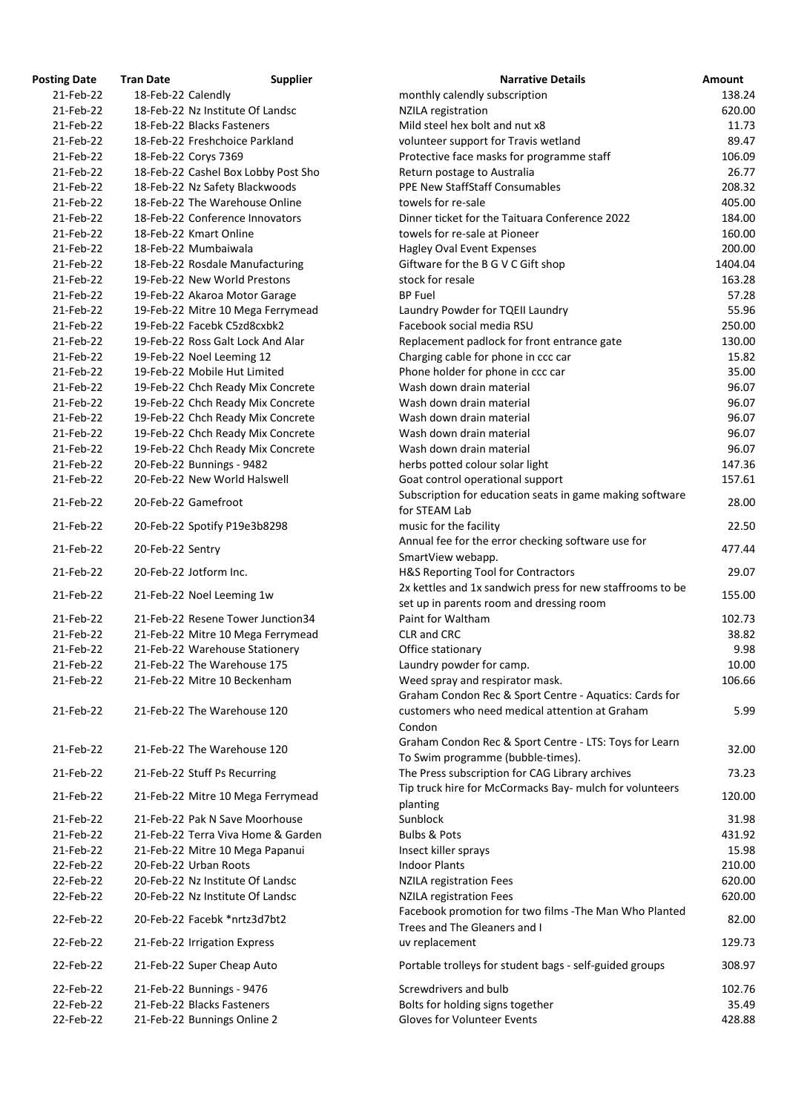| <b>Osting Date</b> | <b>Tran Date</b>   | <b>Supplier</b>                     | <b>Narrative Details</b>                                                                             |
|--------------------|--------------------|-------------------------------------|------------------------------------------------------------------------------------------------------|
| 21-Feb-22          | 18-Feb-22 Calendly |                                     | monthly calendly subscription                                                                        |
| 21-Feb-22          |                    | 18-Feb-22 Nz Institute Of Landsc    | NZILA registration                                                                                   |
| 21-Feb-22          |                    | 18-Feb-22 Blacks Fasteners          | Mild steel hex bolt and nut x8                                                                       |
| 21-Feb-22          |                    | 18-Feb-22 Freshchoice Parkland      | volunteer support for Travis wetland                                                                 |
| 21-Feb-22          |                    | 18-Feb-22 Corys 7369                | Protective face masks for programme staff                                                            |
| 21-Feb-22          |                    | 18-Feb-22 Cashel Box Lobby Post Sho | Return postage to Australia                                                                          |
| 21-Feb-22          |                    | 18-Feb-22 Nz Safety Blackwoods      | <b>PPE New StaffStaff Consumables</b>                                                                |
| 21-Feb-22          |                    | 18-Feb-22 The Warehouse Online      | towels for re-sale                                                                                   |
| 21-Feb-22          |                    | 18-Feb-22 Conference Innovators     | Dinner ticket for the Taituara Conference 2022                                                       |
| 21-Feb-22          |                    | 18-Feb-22 Kmart Online              | towels for re-sale at Pioneer                                                                        |
| 21-Feb-22          |                    | 18-Feb-22 Mumbaiwala                | Hagley Oval Event Expenses                                                                           |
| 21-Feb-22          |                    | 18-Feb-22 Rosdale Manufacturing     | Giftware for the B G V C Gift shop                                                                   |
| 21-Feb-22          |                    | 19-Feb-22 New World Prestons        | stock for resale                                                                                     |
| 21-Feb-22          |                    | 19-Feb-22 Akaroa Motor Garage       | <b>BP Fuel</b>                                                                                       |
| 21-Feb-22          |                    | 19-Feb-22 Mitre 10 Mega Ferrymead   | Laundry Powder for TQEII Laundry                                                                     |
| 21-Feb-22          |                    | 19-Feb-22 Facebk C5zd8cxbk2         | Facebook social media RSU                                                                            |
| 21-Feb-22          |                    | 19-Feb-22 Ross Galt Lock And Alar   | Replacement padlock for front entrance gate                                                          |
| 21-Feb-22          |                    | 19-Feb-22 Noel Leeming 12           | Charging cable for phone in ccc car                                                                  |
| 21-Feb-22          |                    | 19-Feb-22 Mobile Hut Limited        | Phone holder for phone in ccc car                                                                    |
| 21-Feb-22          |                    | 19-Feb-22 Chch Ready Mix Concrete   | Wash down drain material                                                                             |
| 21-Feb-22          |                    | 19-Feb-22 Chch Ready Mix Concrete   | Wash down drain material                                                                             |
| 21-Feb-22          |                    | 19-Feb-22 Chch Ready Mix Concrete   | Wash down drain material                                                                             |
| 21-Feb-22          |                    | 19-Feb-22 Chch Ready Mix Concrete   | Wash down drain material                                                                             |
| 21-Feb-22          |                    | 19-Feb-22 Chch Ready Mix Concrete   | Wash down drain material                                                                             |
| 21-Feb-22          |                    | 20-Feb-22 Bunnings - 9482           | herbs potted colour solar light                                                                      |
| 21-Feb-22          |                    | 20-Feb-22 New World Halswell        | Goat control operational support                                                                     |
| 21-Feb-22          |                    | 20-Feb-22 Gamefroot                 | Subscription for education seats in game making so<br>for STEAM Lab                                  |
| 21-Feb-22          |                    | 20-Feb-22 Spotify P19e3b8298        | music for the facility                                                                               |
| 21-Feb-22          | 20-Feb-22 Sentry   |                                     | Annual fee for the error checking software use for<br>SmartView webapp.                              |
| 21-Feb-22          |                    | 20-Feb-22 Jotform Inc.              | H&S Reporting Tool for Contractors<br>2x kettles and 1x sandwich press for new staffroon             |
| 21-Feb-22          |                    | 21-Feb-22 Noel Leeming 1w           | set up in parents room and dressing room                                                             |
| 21-Feb-22          |                    | 21-Feb-22 Resene Tower Junction34   | Paint for Waltham                                                                                    |
| 21-Feb-22          |                    | 21-Feb-22 Mitre 10 Mega Ferrymead   | CLR and CRC                                                                                          |
| 21-Feb-22          |                    | 21-Feb-22 Warehouse Stationery      | Office stationary                                                                                    |
| 21-Feb-22          |                    | 21-Feb-22 The Warehouse 175         | Laundry powder for camp.                                                                             |
| 21-Feb-22          |                    | 21-Feb-22 Mitre 10 Beckenham        | Weed spray and respirator mask.<br>Graham Condon Rec & Sport Centre - Aquatics: Ca                   |
| 21-Feb-22          |                    | 21-Feb-22 The Warehouse 120         | customers who need medical attention at Graham<br>Condon                                             |
| 21-Feb-22          |                    | 21-Feb-22 The Warehouse 120         | Graham Condon Rec & Sport Centre - LTS: Toys for<br>To Swim programme (bubble-times).                |
| 21-Feb-22          |                    | 21-Feb-22 Stuff Ps Recurring        | The Press subscription for CAG Library archives<br>Tip truck hire for McCormacks Bay- mulch for volu |
| 21-Feb-22          |                    | 21-Feb-22 Mitre 10 Mega Ferrymead   | planting                                                                                             |
| 21-Feb-22          |                    | 21-Feb-22 Pak N Save Moorhouse      | Sunblock                                                                                             |
| 21-Feb-22          |                    | 21-Feb-22 Terra Viva Home & Garden  | <b>Bulbs &amp; Pots</b>                                                                              |
| 21-Feb-22          |                    | 21-Feb-22 Mitre 10 Mega Papanui     | Insect killer sprays                                                                                 |
| 22-Feb-22          |                    | 20-Feb-22 Urban Roots               | <b>Indoor Plants</b>                                                                                 |
| 22-Feb-22          |                    | 20-Feb-22 Nz Institute Of Landsc    | <b>NZILA registration Fees</b>                                                                       |
| 22-Feb-22          |                    | 20-Feb-22 Nz Institute Of Landsc    | <b>NZILA registration Fees</b>                                                                       |
| 22-Feb-22          |                    | 20-Feb-22 Facebk *nrtz3d7bt2        | Facebook promotion for two films - The Man Who<br>Trees and The Gleaners and I                       |
| 22-Feb-22          |                    | 21-Feb-22 Irrigation Express        | uv replacement                                                                                       |
| 22-Feb-22          |                    | 21-Feb-22 Super Cheap Auto          | Portable trolleys for student bags - self-guided gro                                                 |
| 22-Feb-22          |                    | 21-Feb-22 Bunnings - 9476           | Screwdrivers and bulb                                                                                |
| 22-Feb-22          |                    | 21-Feb-22 Blacks Fasteners          | Bolts for holding signs together                                                                     |
| 22-Feb-22          |                    | 21-Feb-22 Bunnings Online 2         | <b>Gloves for Volunteer Events</b>                                                                   |

| <b>Posting Date</b> | <b>Tran Date</b>   | <b>Supplier</b>                     | <b>Narrative Details</b>                                  | <b>Amount</b> |
|---------------------|--------------------|-------------------------------------|-----------------------------------------------------------|---------------|
| 21-Feb-22           | 18-Feb-22 Calendly |                                     | monthly calendly subscription                             | 138.24        |
| 21-Feb-22           |                    | 18-Feb-22 Nz Institute Of Landsc    | NZILA registration                                        | 620.00        |
| 21-Feb-22           |                    | 18-Feb-22 Blacks Fasteners          | Mild steel hex bolt and nut x8                            | 11.73         |
| 21-Feb-22           |                    | 18-Feb-22 Freshchoice Parkland      | volunteer support for Travis wetland                      | 89.47         |
|                     |                    |                                     |                                                           |               |
| 21-Feb-22           |                    | 18-Feb-22 Corys 7369                | Protective face masks for programme staff                 | 106.09        |
| 21-Feb-22           |                    | 18-Feb-22 Cashel Box Lobby Post Sho | Return postage to Australia                               | 26.77         |
| 21-Feb-22           |                    | 18-Feb-22 Nz Safety Blackwoods      | <b>PPE New StaffStaff Consumables</b>                     | 208.32        |
| 21-Feb-22           |                    | 18-Feb-22 The Warehouse Online      | towels for re-sale                                        | 405.00        |
| 21-Feb-22           |                    | 18-Feb-22 Conference Innovators     | Dinner ticket for the Taituara Conference 2022            | 184.00        |
| 21-Feb-22           |                    | 18-Feb-22 Kmart Online              | towels for re-sale at Pioneer                             | 160.00        |
| 21-Feb-22           |                    | 18-Feb-22 Mumbaiwala                | Hagley Oval Event Expenses                                | 200.00        |
| 21-Feb-22           |                    | 18-Feb-22 Rosdale Manufacturing     | Giftware for the B G V C Gift shop                        | 1404.04       |
| 21-Feb-22           |                    | 19-Feb-22 New World Prestons        | stock for resale                                          | 163.28        |
|                     |                    |                                     |                                                           |               |
| 21-Feb-22           |                    | 19-Feb-22 Akaroa Motor Garage       | <b>BP Fuel</b>                                            | 57.28         |
| 21-Feb-22           |                    | 19-Feb-22 Mitre 10 Mega Ferrymead   | Laundry Powder for TQEII Laundry                          | 55.96         |
| 21-Feb-22           |                    | 19-Feb-22 Facebk C5zd8cxbk2         | Facebook social media RSU                                 | 250.00        |
| 21-Feb-22           |                    | 19-Feb-22 Ross Galt Lock And Alar   | Replacement padlock for front entrance gate               | 130.00        |
| 21-Feb-22           |                    | 19-Feb-22 Noel Leeming 12           | Charging cable for phone in ccc car                       | 15.82         |
| 21-Feb-22           |                    | 19-Feb-22 Mobile Hut Limited        | Phone holder for phone in ccc car                         | 35.00         |
| 21-Feb-22           |                    | 19-Feb-22 Chch Ready Mix Concrete   | Wash down drain material                                  | 96.07         |
| 21-Feb-22           |                    | 19-Feb-22 Chch Ready Mix Concrete   | Wash down drain material                                  | 96.07         |
| 21-Feb-22           |                    | 19-Feb-22 Chch Ready Mix Concrete   | Wash down drain material                                  | 96.07         |
|                     |                    |                                     |                                                           |               |
| 21-Feb-22           |                    | 19-Feb-22 Chch Ready Mix Concrete   | Wash down drain material                                  | 96.07         |
| 21-Feb-22           |                    | 19-Feb-22 Chch Ready Mix Concrete   | Wash down drain material                                  | 96.07         |
| 21-Feb-22           |                    | 20-Feb-22 Bunnings - 9482           | herbs potted colour solar light                           | 147.36        |
| 21-Feb-22           |                    | 20-Feb-22 New World Halswell        | Goat control operational support                          | 157.61        |
|                     |                    |                                     | Subscription for education seats in game making software  |               |
| 21-Feb-22           |                    | 20-Feb-22 Gamefroot                 | for STEAM Lab                                             | 28.00         |
| 21-Feb-22           |                    | 20-Feb-22 Spotify P19e3b8298        | music for the facility                                    | 22.50         |
|                     |                    |                                     | Annual fee for the error checking software use for        |               |
| 21-Feb-22           | 20-Feb-22 Sentry   |                                     | SmartView webapp.                                         | 477.44        |
|                     |                    |                                     |                                                           |               |
| 21-Feb-22           |                    | 20-Feb-22 Jotform Inc.              | H&S Reporting Tool for Contractors                        | 29.07         |
| 21-Feb-22           |                    | 21-Feb-22 Noel Leeming 1w           | 2x kettles and 1x sandwich press for new staffrooms to be | 155.00        |
|                     |                    |                                     | set up in parents room and dressing room                  |               |
| 21-Feb-22           |                    | 21-Feb-22 Resene Tower Junction34   | Paint for Waltham                                         | 102.73        |
| 21-Feb-22           |                    | 21-Feb-22 Mitre 10 Mega Ferrymead   | CLR and CRC                                               | 38.82         |
| 21-Feb-22           |                    | 21-Feb-22 Warehouse Stationery      | Office stationary                                         | 9.98          |
| 21-Feb-22           |                    | 21-Feb-22 The Warehouse 175         | Laundry powder for camp.                                  | 10.00         |
| 21-Feb-22           |                    | 21-Feb-22 Mitre 10 Beckenham        | Weed spray and respirator mask.                           | 106.66        |
|                     |                    |                                     | Graham Condon Rec & Sport Centre - Aquatics: Cards for    |               |
| 21-Feb-22           |                    | 21-Feb-22 The Warehouse 120         | customers who need medical attention at Graham            | 5.99          |
|                     |                    |                                     |                                                           |               |
|                     |                    |                                     | Condon                                                    |               |
| 21-Feb-22           |                    | 21-Feb-22 The Warehouse 120         | Graham Condon Rec & Sport Centre - LTS: Toys for Learn    | 32.00         |
|                     |                    |                                     | To Swim programme (bubble-times).                         |               |
| 21-Feb-22           |                    | 21-Feb-22 Stuff Ps Recurring        | The Press subscription for CAG Library archives           | 73.23         |
|                     |                    |                                     | Tip truck hire for McCormacks Bay- mulch for volunteers   |               |
| 21-Feb-22           |                    | 21-Feb-22 Mitre 10 Mega Ferrymead   | planting                                                  | 120.00        |
| 21-Feb-22           |                    | 21-Feb-22 Pak N Save Moorhouse      | Sunblock                                                  | 31.98         |
| 21-Feb-22           |                    | 21-Feb-22 Terra Viva Home & Garden  | <b>Bulbs &amp; Pots</b>                                   | 431.92        |
| 21-Feb-22           |                    | 21-Feb-22 Mitre 10 Mega Papanui     | Insect killer sprays                                      | 15.98         |
|                     |                    | 20-Feb-22 Urban Roots               |                                                           |               |
| 22-Feb-22           |                    |                                     | <b>Indoor Plants</b>                                      | 210.00        |
| 22-Feb-22           |                    | 20-Feb-22 Nz Institute Of Landsc    | <b>NZILA registration Fees</b>                            | 620.00        |
| 22-Feb-22           |                    | 20-Feb-22 Nz Institute Of Landsc    | <b>NZILA registration Fees</b>                            | 620.00        |
| 22-Feb-22           |                    | 20-Feb-22 Facebk *nrtz3d7bt2        | Facebook promotion for two films -The Man Who Planted     | 82.00         |
|                     |                    |                                     | Trees and The Gleaners and I                              | 129.73        |
| 22-Feb-22           |                    | 21-Feb-22 Irrigation Express        | uv replacement                                            |               |
| 22-Feb-22           |                    | 21-Feb-22 Super Cheap Auto          | Portable trolleys for student bags - self-guided groups   | 308.97        |
| 22-Feb-22           |                    | 21-Feb-22 Bunnings - 9476           | Screwdrivers and bulb                                     | 102.76        |
| 22-Feb-22           |                    | 21-Feb-22 Blacks Fasteners          | Bolts for holding signs together                          | 35.49         |
| 22-Feb-22           |                    | 21-Feb-22 Bunnings Online 2         | <b>Gloves for Volunteer Events</b>                        | 428.88        |
|                     |                    |                                     |                                                           |               |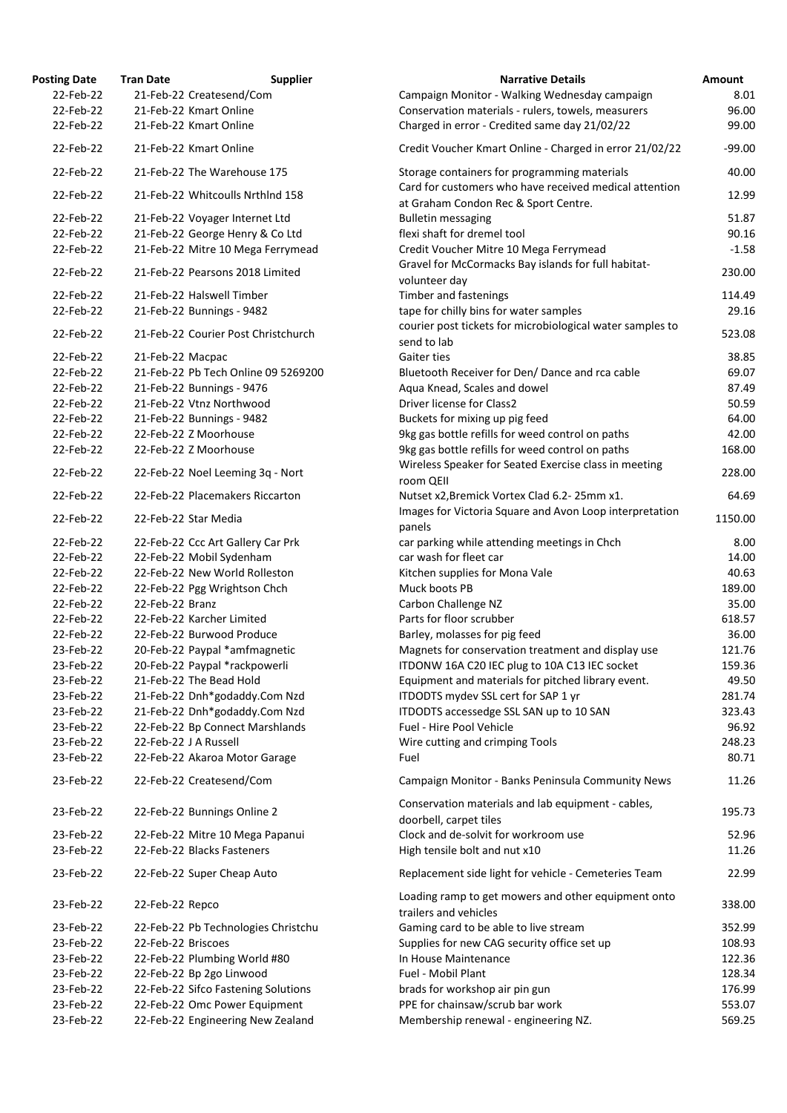| osting Date            | <b>Tran Date</b>   | <b>Supplier</b>                                                     | <b>Narrative Details</b>                                                                                  |
|------------------------|--------------------|---------------------------------------------------------------------|-----------------------------------------------------------------------------------------------------------|
| 22-Feb-22              |                    | 21-Feb-22 Createsend/Com                                            | Campaign Monitor - Walking Wednesday campaign                                                             |
| 22-Feb-22              |                    | 21-Feb-22 Kmart Online                                              | Conservation materials - rulers, towels, measurers                                                        |
| 22-Feb-22              |                    | 21-Feb-22 Kmart Online                                              | Charged in error - Credited same day 21/02/22                                                             |
| 22-Feb-22              |                    | 21-Feb-22 Kmart Online                                              | Credit Voucher Kmart Online - Charged in error 21/02                                                      |
| 22-Feb-22              |                    | 21-Feb-22 The Warehouse 175                                         | Storage containers for programming materials<br>Card for customers who have received medical attent       |
| 22-Feb-22              |                    | 21-Feb-22 Whitcoulls Nrthlnd 158                                    | at Graham Condon Rec & Sport Centre.                                                                      |
| 22-Feb-22              |                    | 21-Feb-22 Voyager Internet Ltd                                      | <b>Bulletin messaging</b>                                                                                 |
| 22-Feb-22              |                    | 21-Feb-22 George Henry & Co Ltd                                     | flexi shaft for dremel tool                                                                               |
| 22-Feb-22              |                    | 21-Feb-22 Mitre 10 Mega Ferrymead                                   | Credit Voucher Mitre 10 Mega Ferrymead                                                                    |
| 22-Feb-22              |                    | 21-Feb-22 Pearsons 2018 Limited                                     | Gravel for McCormacks Bay islands for full habitat-<br>volunteer day                                      |
| 22-Feb-22              |                    | 21-Feb-22 Halswell Timber                                           | Timber and fastenings                                                                                     |
| 22-Feb-22              |                    | 21-Feb-22 Bunnings - 9482                                           | tape for chilly bins for water samples                                                                    |
| 22-Feb-22              |                    | 21-Feb-22 Courier Post Christchurch                                 | courier post tickets for microbiological water samples                                                    |
|                        |                    |                                                                     | send to lab                                                                                               |
| 22-Feb-22              | 21-Feb-22 Macpac   |                                                                     | Gaiter ties                                                                                               |
| 22-Feb-22              |                    | 21-Feb-22 Pb Tech Online 09 5269200                                 | Bluetooth Receiver for Den/Dance and rca cable                                                            |
| 22-Feb-22              |                    | 21-Feb-22 Bunnings - 9476                                           | Aqua Knead, Scales and dowel                                                                              |
| 22-Feb-22              |                    | 21-Feb-22 Vtnz Northwood                                            | Driver license for Class2                                                                                 |
| 22-Feb-22              |                    | 21-Feb-22 Bunnings - 9482                                           | Buckets for mixing up pig feed                                                                            |
| 22-Feb-22              |                    | 22-Feb-22 Z Moorhouse                                               | 9kg gas bottle refills for weed control on paths                                                          |
| 22-Feb-22              |                    | 22-Feb-22 Z Moorhouse                                               | 9kg gas bottle refills for weed control on paths<br>Wireless Speaker for Seated Exercise class in meeting |
| 22-Feb-22              |                    | 22-Feb-22 Noel Leeming 3q - Nort<br>22-Feb-22 Placemakers Riccarton | room QEII                                                                                                 |
| 22-Feb-22<br>22-Feb-22 |                    | 22-Feb-22 Star Media                                                | Nutset x2, Bremick Vortex Clad 6.2-25mm x1.<br>Images for Victoria Square and Avon Loop interpretat       |
|                        |                    |                                                                     | panels                                                                                                    |
| 22-Feb-22              |                    | 22-Feb-22 Ccc Art Gallery Car Prk                                   | car parking while attending meetings in Chch<br>car wash for fleet car                                    |
| 22-Feb-22              |                    | 22-Feb-22 Mobil Sydenham                                            |                                                                                                           |
| 22-Feb-22              |                    | 22-Feb-22 New World Rolleston                                       | Kitchen supplies for Mona Vale                                                                            |
| 22-Feb-22              |                    | 22-Feb-22 Pgg Wrightson Chch                                        | Muck boots PB                                                                                             |
| 22-Feb-22              | 22-Feb-22 Branz    |                                                                     | Carbon Challenge NZ                                                                                       |
| 22-Feb-22              |                    | 22-Feb-22 Karcher Limited                                           | Parts for floor scrubber                                                                                  |
| 22-Feb-22              |                    | 22-Feb-22 Burwood Produce                                           | Barley, molasses for pig feed                                                                             |
| 23-Feb-22              |                    | 20-Feb-22 Paypal *amfmagnetic                                       | Magnets for conservation treatment and display use                                                        |
| 23-Feb-22              |                    | 20-Feb-22 Paypal *rackpowerli                                       | ITDONW 16A C20 IEC plug to 10A C13 IEC socket                                                             |
| 23-Feb-22              |                    | 21-Feb-22 The Bead Hold                                             | Equipment and materials for pitched library event.                                                        |
| 23-Feb-22              |                    | 21-Feb-22 Dnh*godaddy.Com Nzd                                       | ITDODTS mydev SSL cert for SAP 1 yr                                                                       |
| 23-Feb-22              |                    | 21-Feb-22 Dnh*godaddy.Com Nzd                                       | ITDODTS accessedge SSL SAN up to 10 SAN                                                                   |
| 23-Feb-22              |                    | 22-Feb-22 Bp Connect Marshlands                                     | Fuel - Hire Pool Vehicle                                                                                  |
| 23-Feb-22              |                    | 22-Feb-22 J A Russell                                               | Wire cutting and crimping Tools                                                                           |
| 23-Feb-22              |                    | 22-Feb-22 Akaroa Motor Garage                                       | Fuel                                                                                                      |
| 23-Feb-22              |                    | 22-Feb-22 Createsend/Com                                            | Campaign Monitor - Banks Peninsula Community New                                                          |
| 23-Feb-22              |                    | 22-Feb-22 Bunnings Online 2                                         | Conservation materials and lab equipment - cables,<br>doorbell, carpet tiles                              |
| 23-Feb-22              |                    | 22-Feb-22 Mitre 10 Mega Papanui                                     | Clock and de-solvit for workroom use                                                                      |
| 23-Feb-22              |                    | 22-Feb-22 Blacks Fasteners                                          | High tensile bolt and nut x10                                                                             |
| 23-Feb-22              |                    | 22-Feb-22 Super Cheap Auto                                          | Replacement side light for vehicle - Cemeteries Team                                                      |
| 23-Feb-22              | 22-Feb-22 Repco    |                                                                     | Loading ramp to get mowers and other equipment on<br>trailers and vehicles                                |
| 23-Feb-22              |                    | 22-Feb-22 Pb Technologies Christchu                                 | Gaming card to be able to live stream                                                                     |
| 23-Feb-22              | 22-Feb-22 Briscoes |                                                                     | Supplies for new CAG security office set up                                                               |
| 23-Feb-22              |                    | 22-Feb-22 Plumbing World #80                                        | In House Maintenance                                                                                      |
| 23-Feb-22              |                    | 22-Feb-22 Bp 2go Linwood                                            | Fuel - Mobil Plant                                                                                        |
| 23-Feb-22              |                    | 22-Feb-22 Sifco Fastening Solutions                                 | brads for workshop air pin gun                                                                            |
| 23-Feb-22              |                    | 22-Feb-22 Omc Power Equipment                                       | PPE for chainsaw/scrub bar work                                                                           |
| 23-Feb-22              |                    | 22-Feb-22 Engineering New Zealand                                   | Membership renewal - engineering NZ.                                                                      |
|                        |                    |                                                                     |                                                                                                           |

| <b>Posting Date</b> | <b>Tran Date</b>   | <b>Supplier</b>                     | <b>Narrative Details</b>                                                                       | <b>Amount</b> |
|---------------------|--------------------|-------------------------------------|------------------------------------------------------------------------------------------------|---------------|
| 22-Feb-22           |                    | 21-Feb-22 Createsend/Com            | Campaign Monitor - Walking Wednesday campaign                                                  | 8.01          |
| 22-Feb-22           |                    | 21-Feb-22 Kmart Online              | Conservation materials - rulers, towels, measurers                                             | 96.00         |
| 22-Feb-22           |                    | 21-Feb-22 Kmart Online              | Charged in error - Credited same day 21/02/22                                                  | 99.00         |
| 22-Feb-22           |                    | 21-Feb-22 Kmart Online              | Credit Voucher Kmart Online - Charged in error 21/02/22                                        | $-99.00$      |
| 22-Feb-22           |                    | 21-Feb-22 The Warehouse 175         | Storage containers for programming materials                                                   | 40.00         |
| 22-Feb-22           |                    | 21-Feb-22 Whitcoulls Nrthlnd 158    | Card for customers who have received medical attention<br>at Graham Condon Rec & Sport Centre. | 12.99         |
| 22-Feb-22           |                    | 21-Feb-22 Voyager Internet Ltd      | <b>Bulletin messaging</b>                                                                      | 51.87         |
| 22-Feb-22           |                    | 21-Feb-22 George Henry & Co Ltd     | flexi shaft for dremel tool                                                                    | 90.16         |
| 22-Feb-22           |                    | 21-Feb-22 Mitre 10 Mega Ferrymead   | Credit Voucher Mitre 10 Mega Ferrymead                                                         | $-1.58$       |
| 22-Feb-22           |                    | 21-Feb-22 Pearsons 2018 Limited     | Gravel for McCormacks Bay islands for full habitat-<br>volunteer day                           | 230.00        |
| 22-Feb-22           |                    | 21-Feb-22 Halswell Timber           | Timber and fastenings                                                                          | 114.49        |
|                     |                    |                                     |                                                                                                |               |
| 22-Feb-22           |                    | 21-Feb-22 Bunnings - 9482           | tape for chilly bins for water samples                                                         | 29.16         |
| 22-Feb-22           |                    | 21-Feb-22 Courier Post Christchurch | courier post tickets for microbiological water samples to<br>send to lab                       | 523.08        |
| 22-Feb-22           | 21-Feb-22 Macpac   |                                     | Gaiter ties                                                                                    | 38.85         |
| 22-Feb-22           |                    | 21-Feb-22 Pb Tech Online 09 5269200 | Bluetooth Receiver for Den/Dance and rca cable                                                 | 69.07         |
| 22-Feb-22           |                    | 21-Feb-22 Bunnings - 9476           | Aqua Knead, Scales and dowel                                                                   | 87.49         |
| 22-Feb-22           |                    | 21-Feb-22 Vtnz Northwood            | Driver license for Class2                                                                      | 50.59         |
| 22-Feb-22           |                    | 21-Feb-22 Bunnings - 9482           | Buckets for mixing up pig feed                                                                 | 64.00         |
| 22-Feb-22           |                    | 22-Feb-22 Z Moorhouse               | 9kg gas bottle refills for weed control on paths                                               | 42.00         |
| 22-Feb-22           |                    | 22-Feb-22 Z Moorhouse               | 9kg gas bottle refills for weed control on paths                                               | 168.00        |
| 22-Feb-22           |                    | 22-Feb-22 Noel Leeming 3q - Nort    | Wireless Speaker for Seated Exercise class in meeting<br>room QEII                             | 228.00        |
| 22-Feb-22           |                    | 22-Feb-22 Placemakers Riccarton     | Nutset x2, Bremick Vortex Clad 6.2-25mm x1.                                                    | 64.69         |
| 22-Feb-22           |                    | 22-Feb-22 Star Media                | Images for Victoria Square and Avon Loop interpretation<br>panels                              | 1150.00       |
| 22-Feb-22           |                    | 22-Feb-22 Ccc Art Gallery Car Prk   | car parking while attending meetings in Chch                                                   | 8.00          |
| 22-Feb-22           |                    | 22-Feb-22 Mobil Sydenham            | car wash for fleet car                                                                         | 14.00         |
| 22-Feb-22           |                    | 22-Feb-22 New World Rolleston       | Kitchen supplies for Mona Vale                                                                 | 40.63         |
| 22-Feb-22           |                    | 22-Feb-22 Pgg Wrightson Chch        | Muck boots PB                                                                                  | 189.00        |
| 22-Feb-22           | 22-Feb-22 Branz    |                                     | Carbon Challenge NZ                                                                            | 35.00         |
| 22-Feb-22           |                    | 22-Feb-22 Karcher Limited           | Parts for floor scrubber                                                                       | 618.57        |
| 22-Feb-22           |                    | 22-Feb-22 Burwood Produce           | Barley, molasses for pig feed                                                                  | 36.00         |
| 23-Feb-22           |                    | 20-Feb-22 Paypal *amfmagnetic       |                                                                                                | 121.76        |
|                     |                    |                                     | Magnets for conservation treatment and display use                                             |               |
| 23-Feb-22           |                    | 20-Feb-22 Paypal *rackpowerli       | ITDONW 16A C20 IEC plug to 10A C13 IEC socket                                                  | 159.36        |
| 23-Feb-22           |                    | 21-Feb-22 The Bead Hold             | Equipment and materials for pitched library event.                                             | 49.50         |
| 23-Feb-22           |                    | 21-Feb-22 Dnh*godaddy.Com Nzd       | ITDODTS mydev SSL cert for SAP 1 yr                                                            | 281.74        |
| 23-Feb-22           |                    | 21-Feb-22 Dnh*godaddy.Com Nzd       | ITDODTS accessedge SSL SAN up to 10 SAN                                                        | 323.43        |
| 23-Feb-22           |                    | 22-Feb-22 Bp Connect Marshlands     | Fuel - Hire Pool Vehicle                                                                       | 96.92         |
| 23-Feb-22           |                    | 22-Feb-22 J A Russell               | Wire cutting and crimping Tools                                                                | 248.23        |
| 23-Feb-22           |                    | 22-Feb-22 Akaroa Motor Garage       | Fuel                                                                                           | 80.71         |
| 23-Feb-22           |                    | 22-Feb-22 Createsend/Com            | Campaign Monitor - Banks Peninsula Community News                                              | 11.26         |
| 23-Feb-22           |                    | 22-Feb-22 Bunnings Online 2         | Conservation materials and lab equipment - cables,<br>doorbell, carpet tiles                   | 195.73        |
| 23-Feb-22           |                    | 22-Feb-22 Mitre 10 Mega Papanui     | Clock and de-solvit for workroom use                                                           | 52.96         |
| 23-Feb-22           |                    | 22-Feb-22 Blacks Fasteners          | High tensile bolt and nut x10                                                                  | 11.26         |
| 23-Feb-22           |                    | 22-Feb-22 Super Cheap Auto          | Replacement side light for vehicle - Cemeteries Team                                           | 22.99         |
| 23-Feb-22           | 22-Feb-22 Repco    |                                     | Loading ramp to get mowers and other equipment onto<br>trailers and vehicles                   | 338.00        |
| 23-Feb-22           |                    | 22-Feb-22 Pb Technologies Christchu | Gaming card to be able to live stream                                                          | 352.99        |
| 23-Feb-22           | 22-Feb-22 Briscoes |                                     | Supplies for new CAG security office set up                                                    | 108.93        |
| 23-Feb-22           |                    | 22-Feb-22 Plumbing World #80        | In House Maintenance                                                                           | 122.36        |
| 23-Feb-22           |                    | 22-Feb-22 Bp 2go Linwood            | Fuel - Mobil Plant                                                                             | 128.34        |
| 23-Feb-22           |                    | 22-Feb-22 Sifco Fastening Solutions | brads for workshop air pin gun                                                                 | 176.99        |
| 23-Feb-22           |                    | 22-Feb-22 Omc Power Equipment       | PPE for chainsaw/scrub bar work                                                                | 553.07        |
| 23-Feb-22           |                    | 22-Feb-22 Engineering New Zealand   | Membership renewal - engineering NZ.                                                           | 569.25        |
|                     |                    |                                     |                                                                                                |               |